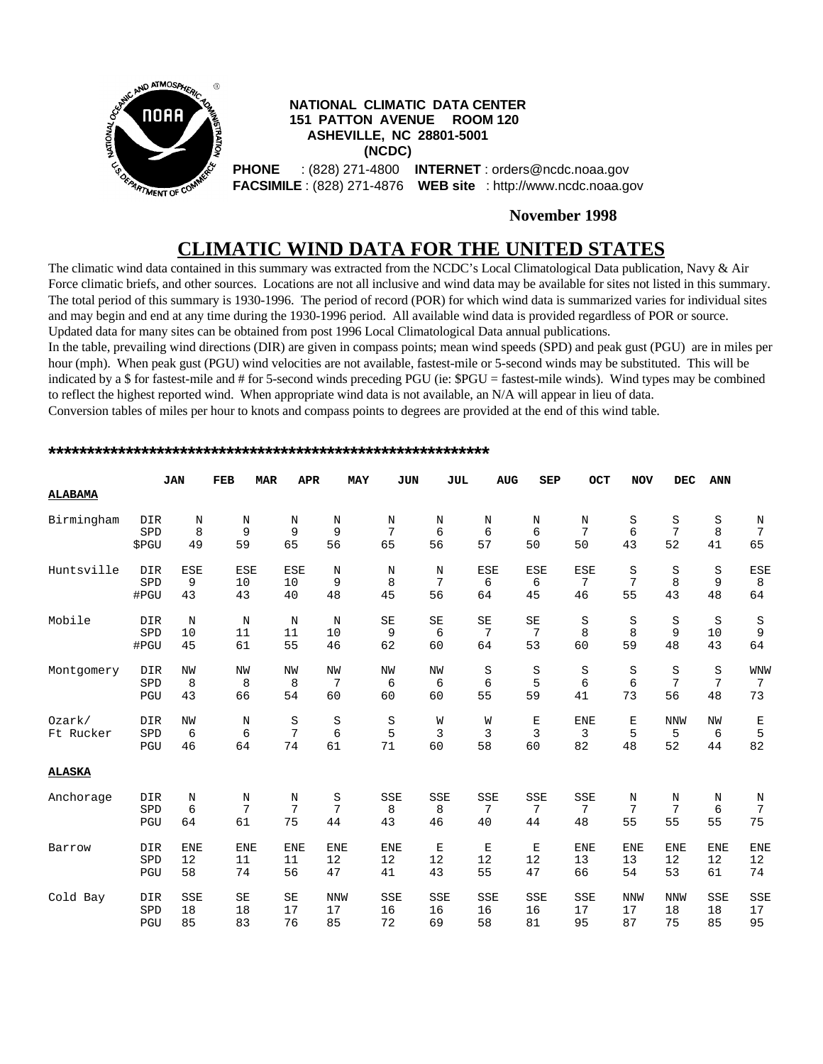

### **November 1998**

# **CLIMATIC WIND DATA FOR THE UNITED STATES**

The climatic wind data contained in this summary was extracted from the NCDC's Local Climatological Data publication, Navy & Air Force climatic briefs, and other sources. Locations are not all inclusive and wind data may be available for sites not listed in this summary. The total period of this summary is 1930-1996. The period of record (POR) for which wind data is summarized varies for individual sites and may begin and end at any time during the 1930-1996 period. All available wind data is provided regardless of POR or source. Updated data for many sites can be obtained from post 1996 Local Climatological Data annual publications. In the table, prevailing wind directions (DIR) are given in compass points; mean wind speeds (SPD) and peak gust (PGU) are in miles per

hour (mph). When peak gust (PGU) wind velocities are not available, fastest-mile or 5-second winds may be substituted. This will be indicated by a \$ for fastest-mile and # for 5-second winds preceding PGU (ie: \$PGU = fastest-mile winds). Wind types may be combined to reflect the highest reported wind. When appropriate wind data is not available, an N/A will appear in lieu of data. Conversion tables of miles per hour to knots and compass points to degrees are provided at the end of this wind table.

| <b>ALABAMA</b> |       | <b>JAN</b> | <b>FEB</b> | <b>APR</b><br><b>MAR</b> |            | <b>MAY</b><br><b>JUN</b> | <b>JUL</b> | <b>AUG</b> | <b>SEP</b> | OCT        | <b>NOV</b> | <b>DEC</b>     | <b>ANN</b>     |                 |
|----------------|-------|------------|------------|--------------------------|------------|--------------------------|------------|------------|------------|------------|------------|----------------|----------------|-----------------|
|                |       |            |            |                          |            |                          |            |            |            |            |            |                |                |                 |
| Birmingham     | DIR   | N          | N          | N                        | N          | N                        | N          | N          | N          | N          | S          | S              | $\rm S$        | N               |
|                | SPD   | 8          | 9          | 9                        | 9          | 7                        | 6          | 6          | 6          | 7          | 6          | 7              | 8              | $7\phantom{.0}$ |
|                | \$PGU | 49         | 59         | 65                       | 56         | 65                       | 56         | 57         | 50         | 50         | 43         | 52             | 41             | 65              |
| Huntsville     | DIR   | <b>ESE</b> | <b>ESE</b> | <b>ESE</b>               | N          | N                        | N          | <b>ESE</b> | <b>ESE</b> | <b>ESE</b> | S          | S              | S              | <b>ESE</b>      |
|                | SPD   | 9          | 10         | 10                       | 9          | 8                        | 7          | 6          | 6          | 7          | 7          | 8              | 9              | 8               |
|                | #PGU  | 43         | 43         | 40                       | 48         | 45                       | 56         | 64         | 45         | 46         | 55         | 43             | 48             | 64              |
| Mobile         | DIR   | N          | N          | N                        | N          | SE                       | SE         | SE         | SE         | S          | S          | S              | S              | S               |
|                | SPD   | 10         | 11         | 11                       | 10         | 9                        | 6          | 7          | 7          | 8          | 8          | 9              | 10             | 9               |
|                | #PGU  | 45         | 61         | 55                       | 46         | 62                       | 60         | 64         | 53         | 60         | 59         | 48             | 43             | 64              |
| Montgomery     | DIR   | <b>NW</b>  | NW         | NW                       | NW         | NW                       | NW         | S          | S          | S          | S          | S              | S              | <b>WNW</b>      |
|                | SPD   | 8          | 8          | 8                        | 7          | 6                        | 6          | 6          | 5          | 6          | 6          | $\overline{7}$ | $\overline{7}$ | $7\phantom{.0}$ |
|                | PGU   | 43         | 66         | 54                       | 60         | 60                       | 60         | 55         | 59         | 41         | 73         | 56             | 48             | 73              |
| Ozark/         | DIR   | <b>NW</b>  | N          | S                        | S          | S                        | W          | W          | Е          | <b>ENE</b> | Е          | <b>NNW</b>     | <b>NW</b>      | Е               |
| Ft Rucker      | SPD   | 6          | 6          | 7                        | $\epsilon$ | 5                        | 3          | 3          | 3          | 3          | 5          | 5              | 6              | 5               |
|                | PGU   | 46         | 64         | 74                       | 61         | 71                       | 60         | 58         | 60         | 82         | 48         | 52             | 44             | 82              |
| <b>ALASKA</b>  |       |            |            |                          |            |                          |            |            |            |            |            |                |                |                 |
| Anchorage      | DIR   | N          | N          | N                        | S          | <b>SSE</b>               | SSE        | <b>SSE</b> | <b>SSE</b> | <b>SSE</b> | $\rm N$    | Ν              | Ν              | N               |
|                | SPD   | 6          | 7          | 7                        | 7          | 8                        | 8          | 7          | 7          | 7          | 7          | 7              | 6              | 7               |
|                | PGU   | 64         | 61         | 75                       | 44         | 43                       | 46         | 40         | 44         | 48         | 55         | 55             | 55             | 75              |
| Barrow         | DIR   | <b>ENE</b> | <b>ENE</b> | <b>ENE</b>               | <b>ENE</b> | <b>ENE</b>               | E          | Е          | Е          | <b>ENE</b> | <b>ENE</b> | <b>ENE</b>     | <b>ENE</b>     | <b>ENE</b>      |
|                | SPD   | 12         | 11         | 11                       | 12         | 12                       | 12         | 12         | 12         | 13         | 13         | 12             | 12             | 12              |
|                | PGU   | 58         | 74         | 56                       | 47         | 41                       | 43         | 55         | 47         | 66         | 54         | 53             | 61             | 74              |
| Cold Bay       | DIR   | <b>SSE</b> | SE         | SE                       | <b>NNW</b> | SSE                      | SSE        | <b>SSE</b> | <b>SSE</b> | <b>SSE</b> | <b>NNW</b> | <b>NNW</b>     | <b>SSE</b>     | SSE             |
|                | SPD   | 18         | 18         | 17                       | 17         | 16                       | 16         | 16         | 16         | 17         | 17         | 18             | 18             | 17              |
|                | PGU   | 85         | 83         | 76                       | 85         | 72                       | 69         | 58         | 81         | 95         | 87         | 75             | 85             | 95              |

#### **\*\*\*\*\*\*\*\*\*\*\*\*\*\*\*\*\*\*\*\*\*\*\*\*\*\*\*\*\*\*\*\*\*\*\*\*\*\*\*\*\*\*\*\*\*\*\*\*\*\*\*\*\*\*\*\*\***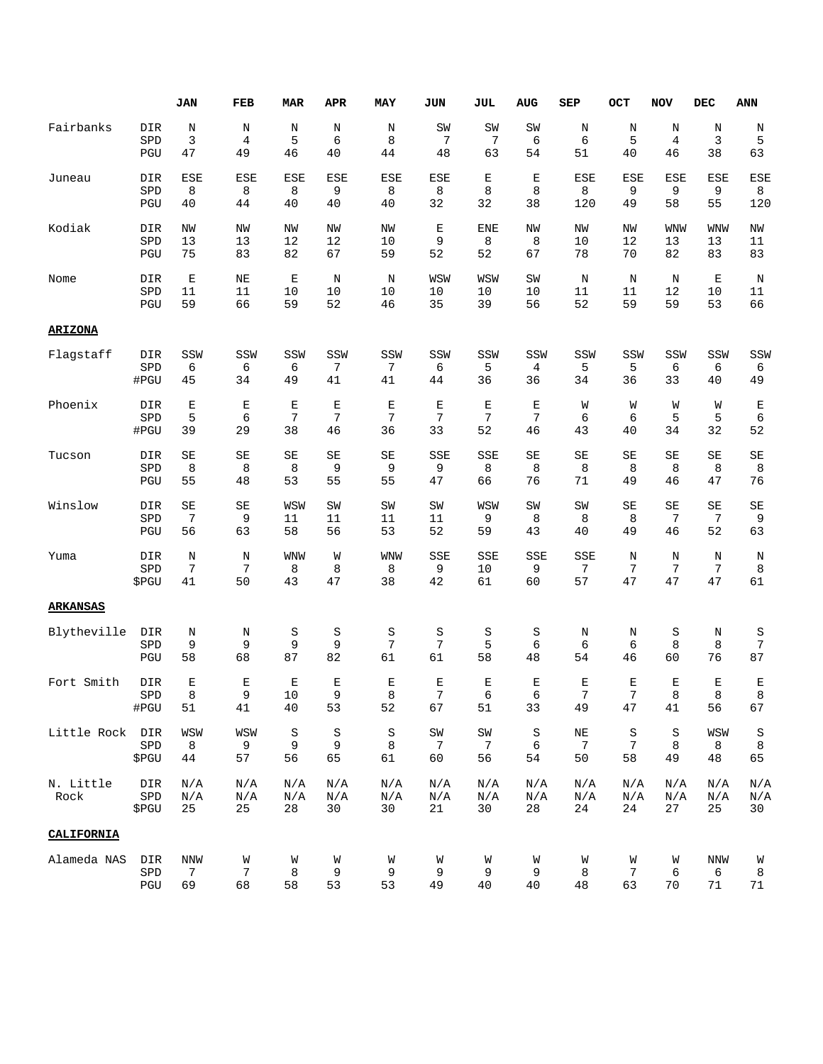|                   |                     | <b>JAN</b>       | FEB              | <b>MAR</b>       | <b>APR</b>       | MAY                | JUN                         | JUL              | <b>AUG</b>       | <b>SEP</b>                  | OCT              | <b>NOV</b>       | DEC              | <b>ANN</b>          |
|-------------------|---------------------|------------------|------------------|------------------|------------------|--------------------|-----------------------------|------------------|------------------|-----------------------------|------------------|------------------|------------------|---------------------|
| Fairbanks         | DIR                 | $\, {\rm N}$     | Ν                | N                | Ν                | Ν                  | SW                          | SW               | ${\tt SW}$       | Ν                           | Ν                | Ν                | Ν                | Ν                   |
|                   | SPD                 | 3                | $\overline{4}$   | 5                | 6                | 8                  | $\overline{7}$              | 7                | 6                | 6                           | 5                | $\overline{4}$   | 3                | 5                   |
|                   | PGU                 | 47               | 49               | 46               | 40               | 44                 | 48                          | 63               | 54               | 51                          | 40               | 46               | 38               | 63                  |
| Juneau            | DIR                 | <b>ESE</b>       | ESE              | ESE              | ESE              | ESE                | ESE                         | E                | $\mathbf E$      | ESE                         | ESE              | ESE              | ESE              | <b>ESE</b>          |
|                   | SPD                 | 8                | 8                | 8                | 9                | 8                  | 8                           | 8                | 8                | 8                           | 9                | 9                | 9                | 8                   |
|                   | PGU                 | 40               | 44               | 40               | 40               | 40                 | 32                          | 32               | 38               | 120                         | 49               | 58               | 55               | 120                 |
| Kodiak            | DIR                 | NW               | ΝW               | ΝW               | NW               | NW                 | Е                           | <b>ENE</b>       | NW               | NW                          | ΝW               | <b>WNW</b>       | <b>WNW</b>       | ΝW                  |
|                   | SPD                 | 13               | 13               | 12               | 12               | 10                 | 9                           | 8                | 8                | 10                          | 12               | 13               | 13               | 11                  |
|                   | PGU                 | 75               | 83               | 82               | 67               | 59                 | 52                          | 52               | 67               | 78                          | 70               | 82               | 83               | 83                  |
| Nome              | DIR                 | $\mathbf E$      | $\rm NE$         | $\mathbf E$      | N                | N                  | WSW                         | WSW              | SW               | N                           | N                | N                | Е                | N                   |
|                   | SPD                 | 11               | 11               | 10               | 10               | 10                 | 10                          | 10               | 10               | 11                          | 11               | 12               | 10               | 11                  |
|                   | PGU                 | 59               | 66               | 59               | 52               | 46                 | 35                          | 39               | 56               | 52                          | 59               | 59               | 53               | 66                  |
| <b>ARIZONA</b>    |                     |                  |                  |                  |                  |                    |                             |                  |                  |                             |                  |                  |                  |                     |
| Flagstaff         | DIR                 | SSW              | SSW              | SSW              | SSW              | SSW                | SSW                         | SSW              | SSW              | SSW                         | SSW              | SSW              | SSW              | SSW                 |
|                   | SPD                 | 6                | 6                | 6                | 7                | 7                  | 6                           | 5                | 4                | 5                           | 5                | 6                | 6                | 6                   |
|                   | #PGU                | 45               | 34               | 49               | 41               | 41                 | 44                          | 36               | 36               | 34                          | 36               | 33               | 40               | 49                  |
| Phoenix           | DIR                 | E                | E                | E                | Ε                | Е                  | Е                           | Ε                | Ε                | W                           | W                | W                | W                | $\mathbf E$         |
|                   | SPD                 | 5                | 6                | 7                | 7                | 7                  | 7                           | 7                | 7                | 6                           | 6                | 5                | 5                | $\epsilon$          |
|                   | #PGU                | 39               | 29               | 38               | 46               | 36                 | 33                          | 52               | 46               | 43                          | 40               | 34               | 32               | 52                  |
| Tucson            | DIR                 | SE               | SE               | SE               | SE               | SE                 | SSE                         | SSE              | SE               | SE                          | SE               | SE               | SE               | SE                  |
|                   | SPD                 | 8                | 8                | 8                | 9                | 9                  | 9                           | 8                | 8                | 8                           | 8                | 8                | 8                | 8                   |
|                   | PGU                 | 55               | 48               | 53               | 55               | 55                 | 47                          | 66               | 76               | 71                          | 49               | 46               | 47               | 76                  |
| Winslow           | DIR                 | SE               | SE               | WSW              | SW               | SW                 | SW                          | WSW              | SW               | SW                          | SE               | SE               | SE               | $\operatorname{SE}$ |
|                   | SPD                 | 7                | 9                | 11               | 11               | 11                 | 11                          | 9                | 8                | 8                           | 8                | 7                | 7                | 9                   |
|                   | PGU                 | 56               | 63               | 58               | 56               | 53                 | 52                          | 59               | 43               | 40                          | 49               | 46               | 52               | 63                  |
| Yuma              | DIR                 | N                | N                | WNW              | W                | <b>WNW</b>         | SSE                         | SSE              | SSE              | SSE                         | Ν                | Ν                | N                | Ν                   |
|                   | SPD                 | 7                | 7                | 8                | 8                | 8                  | 9                           | 10               | 9                | 7                           | 7                | 7                | 7                | 8                   |
|                   | \$PGU               | 41               | 50               | 43               | 47               | 38                 | 42                          | 61               | 60               | 57                          | 47               | 47               | 47               | 61                  |
| <b>ARKANSAS</b>   |                     |                  |                  |                  |                  |                    |                             |                  |                  |                             |                  |                  |                  |                     |
| Blytheville       | DIR                 | N                | Ν                | S                | S                | S                  | S                           | S                | S                | Ν                           | Ν                | S                | Ν                | S                   |
|                   | SPD                 | 9                | 9                | 9                | 9                | 7                  | 7                           | 5                | 6                | 6                           | 6                | 8                | 8                | $\sqrt{ }$          |
|                   | PGU                 | 58               | 68               | 87               | 82               | 61                 | 61                          | 58               | 48               | 54                          | 46               | 60               | 76               | 87                  |
| Fort Smith        | DIR                 | $\mathbf E$      | Ε                | Ε                | E                | $\mathbf E$        | $\mathbf E$                 | $\mathbf E$      | $\mathbf E$      | $\mathbf E$                 | Ε                | $\mathbf E$      | Е                | Ε                   |
|                   | SPD                 | 8                | 9                | $10$             | 9                | 8                  | 7                           | 6                | 6                | 7                           | 7                | 8                | 8                | 8                   |
|                   | #PGU                | 51               | 41               | 40               | 53               | 52                 | 67                          | 51               | 33               | 49                          | 47               | 41               | 56               | 67                  |
| Little Rock DIR   | SPD<br>\$PGU        | WSW<br>8<br>44   | WSW<br>9<br>57   | S<br>9<br>56     | S<br>9<br>65     | S<br>$\,8\,$<br>61 | SW<br>$7\phantom{.0}$<br>60 | SW<br>7<br>56    | S<br>6<br>54     | ΝE<br>$7\phantom{.0}$<br>50 | S<br>7<br>58     | S<br>8<br>49     | WSW<br>8<br>48   | S<br>$\,8\,$<br>65  |
| N. Little<br>Rock | DIR<br>SPD<br>\$PGU | N/A<br>N/A<br>25 | N/A<br>N/A<br>25 | N/A<br>N/A<br>28 | N/A<br>N/A<br>30 | N/A<br>N/A<br>30   | N/A<br>N/A<br>21            | N/A<br>N/A<br>30 | N/A<br>N/A<br>28 | N/A<br>N/A<br>24            | N/A<br>N/A<br>24 | N/A<br>N/A<br>27 | N/A<br>N/A<br>25 | N/A<br>N/A<br>30    |
| CALIFORNIA        |                     |                  |                  |                  |                  |                    |                             |                  |                  |                             |                  |                  |                  |                     |
| Alameda NAS       | DIR                 | NNW              | W                | W                | W                | W                  | W                           | W                | W                | W                           | W                | W                | NNW              | W                   |
|                   | SPD                 | 7                | 7                | 8                | 9                | 9                  | 9                           | 9                | 9                | 8                           | 7                | 6                | 6                | 8                   |
|                   | PGU                 | 69               | 68               | 58               | 53               | 53                 | 49                          | 40               | 40               | 48                          | 63               | 70               | 71               | 71                  |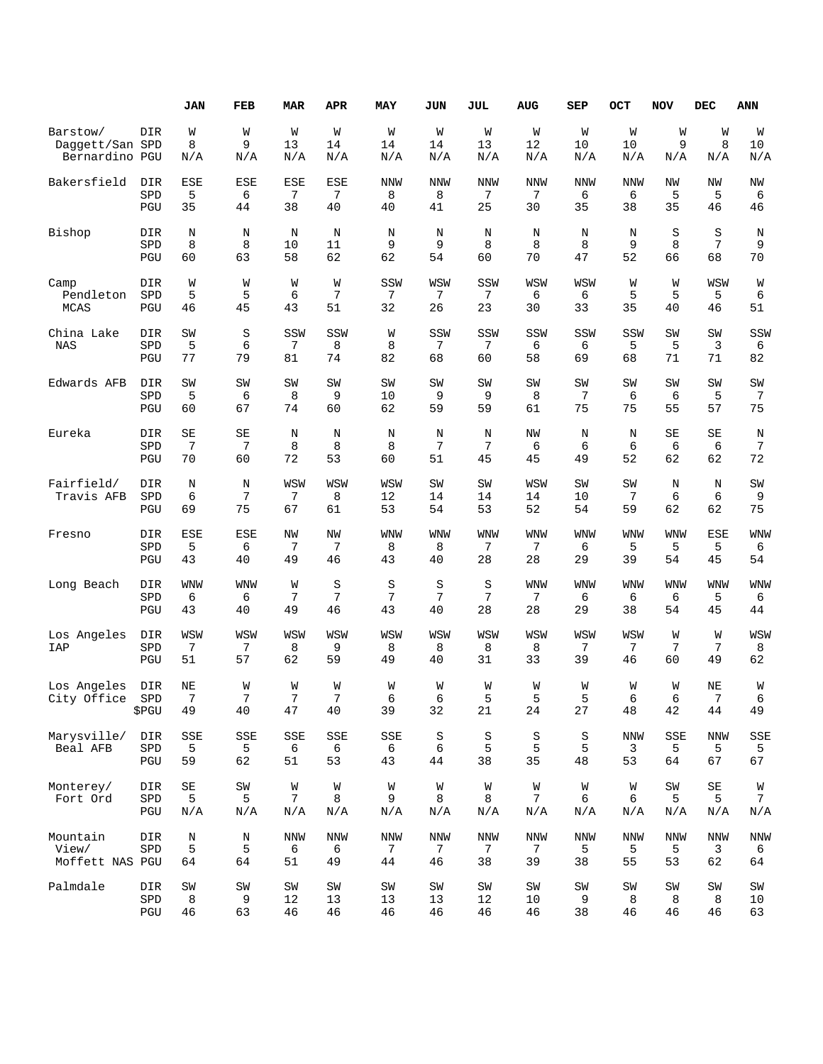|                                      |                            | <b>JAN</b>                      | FEB                       | <b>MAR</b>     | APR                   | MAY             | JUN                | JUL                   | AUG                   | <b>SEP</b>     | OCT                   | <b>NOV</b>            | <b>DEC</b>                      | ANN                        |
|--------------------------------------|----------------------------|---------------------------------|---------------------------|----------------|-----------------------|-----------------|--------------------|-----------------------|-----------------------|----------------|-----------------------|-----------------------|---------------------------------|----------------------------|
| Barstow/                             | DIR                        | W                               | W                         | W              | W                     | W               | W                  | W                     | W                     | W              | W                     | W                     | W                               | W                          |
| Daggett/San SPD                      |                            | 8                               | 9                         | 13             | 14                    | 14              | 14                 | 13                    | 12                    | 10             | 10                    | 9                     | 8                               | 10                         |
| Bernardino PGU                       |                            | N/A                             | $\rm N/\rm\AA$            | N/A            | N/A                   | N/A             | N/A                | N/A                   | N/A                   | N/A            | N/A                   | N/A                   | N/A                             | N/A                        |
| Bakersfield                          | DIR                        | ESE                             | <b>ESE</b>                | <b>ESE</b>     | ESE                   | <b>NNW</b>      | <b>NNW</b>         | <b>NNW</b>            | <b>NNW</b>            | <b>NNW</b>     | <b>NNW</b>            | NW                    | <b>NW</b>                       | ΝW                         |
|                                      | SPD                        | 5                               | 6                         | 7              | 7                     | 8               | 8                  | 7                     | 7                     | 6              | 6                     | 5                     | 5                               | 6                          |
|                                      | PGU                        | 35                              | 44                        | 38             | 40                    | 40              | 41                 | 25                    | 30                    | 35             | 38                    | 35                    | 46                              | 46                         |
| Bishop                               | DIR                        | N                               | N                         | N              | N                     | N               | N                  | N                     | N                     | N              | N                     | S                     | S                               | Ν                          |
|                                      | SPD                        | 8                               | 8                         | 10             | 11                    | 9               | 9                  | 8                     | 8                     | 8              | 9                     | 8                     | 7                               | 9                          |
|                                      | PGU                        | 60                              | 63                        | 58             | 62                    | 62              | 54                 | 60                    | 70                    | 47             | 52                    | 66                    | 68                              | 70                         |
| Camp                                 | DIR                        | W                               | W                         | W              | W                     | SSW             | WSW                | SSW                   | WSW                   | WSW            | W                     | W                     | WSW                             | W                          |
| Pendleton                            | SPD                        | 5                               | 5                         | 6              | 7                     | 7               | 7                  | 7                     | 6                     | 6              | 5                     | 5                     | 5                               | 6                          |
| MCAS                                 | PGU                        | 46                              | 45                        | 43             | 51                    | 32              | 26                 | 23                    | 30                    | 33             | 35                    | 40                    | 46                              | 51                         |
| China Lake<br><b>NAS</b>             | DIR<br>SPD<br>PGU          | SW<br>5<br>77                   | $\rm S$<br>6<br>79        | SSW<br>7<br>81 | SSW<br>8<br>74        | W<br>8<br>82    | SSW<br>7<br>68     | SSW<br>7<br>60        | SSW<br>6<br>58        | SSW<br>6<br>69 | SSW<br>5<br>68        | SW<br>5<br>71         | SW<br>3<br>71                   | SSW<br>6<br>82             |
| Edwards AFB                          | DIR                        | SW                              | SW                        | SW             | SW                    | SW              | SW                 | SW                    | SW                    | SW             | SW                    | SW                    | SW                              | SW                         |
|                                      | SPD                        | 5                               | 6                         | 8              | 9                     | 10              | 9                  | 9                     | 8                     | 7              | 6                     | 6                     | 5                               | 7                          |
|                                      | PGU                        | 60                              | 67                        | 74             | 60                    | 62              | 59                 | 59                    | 61                    | 75             | 75                    | 55                    | 57                              | 75                         |
| Eureka                               | DIR                        | SE                              | SE                        | N              | N                     | N               | N                  | N                     | NW                    | N              | N                     | SE                    | SE                              | N                          |
|                                      | SPD                        | 7                               | 7                         | 8              | 8                     | 8               | 7                  | 7                     | 6                     | 6              | 6                     | 6                     | 6                               | 7                          |
|                                      | PGU                        | 70                              | 60                        | 72             | 53                    | 60              | 51                 | 45                    | 45                    | 49             | 52                    | 62                    | 62                              | 72                         |
| Fairfield/<br>Travis AFB             | DIR<br>SPD<br>PGU          | $\rm N$<br>6<br>69              | N<br>7<br>75              | WSW<br>7<br>67 | WSW<br>8<br>61        | WSW<br>12<br>53 | SW<br>14<br>54     | SW<br>14<br>53        | WSW<br>14<br>52       | SW<br>10<br>54 | SW<br>7<br>59         | N<br>6<br>62          | N<br>6<br>62                    | SW<br>9<br>75              |
| Fresno                               | DIR                        | <b>ESE</b>                      | <b>ESE</b>                | NW             | NW                    | <b>WNW</b>      | WNW                | WNW                   | <b>WNW</b>            | WNW            | <b>WNW</b>            | WNW                   | ESE                             | WNW                        |
|                                      | SPD                        | 5                               | 6                         | 7              | 7                     | 8               | 8                  | 7                     | 7                     | 6              | 5                     | 5                     | 5                               | 6                          |
|                                      | PGU                        | 43                              | 40                        | 49             | 46                    | 43              | 40                 | 28                    | 28                    | 29             | 39                    | 54                    | 45                              | 54                         |
| Long Beach                           | DIR                        | WNW                             | <b>WNW</b>                | W              | S                     | S               | S                  | S                     | <b>WNW</b>            | WNW            | <b>WNW</b>            | <b>WNW</b>            | <b>WNW</b>                      | WNW                        |
|                                      | SPD                        | 6                               | 6                         | 7              | 7                     | 7               | 7                  | 7                     | 7                     | 6              | 6                     | 6                     | 5                               | 6                          |
|                                      | PGU                        | 43                              | 40                        | 49             | 46                    | 43              | 40                 | 28                    | 28                    | 29             | 38                    | 54                    | 45                              | 44                         |
| Los Angeles<br><b>IAP</b>            | DIR<br>SPD<br>PGU          | WSW<br>7<br>51                  | WSW<br>7<br>57            | WSW<br>8<br>62 | WSW<br>9<br>59        | WSW<br>8<br>49  | WSW<br>8<br>40     | WSW<br>8<br>31        | WSW<br>8<br>33        | WSW<br>7<br>39 | WSW<br>7<br>46        | W<br>7<br>60          | W<br>7<br>49                    | WSW<br>8<br>62             |
| Los Angeles<br>City Office           | <b>DIR</b><br>SPD<br>\$PGU | NE<br>7<br>49                   | W<br>7<br>40              | W<br>7<br>47   | W<br>7<br>40          | W<br>6<br>39    | W<br>6<br>32       | W<br>5<br>21          | W<br>5<br>24          | W<br>5<br>27   | W<br>6<br>48          | M<br>6<br>42          | NE<br>7<br>44                   | W<br>6<br>49               |
| Marysville/<br>Beal AFB              | DIR<br>${\tt SPD}$<br>PGU  | SSE<br>5<br>59                  | SSE<br>5<br>62            | SSE<br>6<br>51 | SSE<br>6<br>53        | SSE<br>6<br>43  | $\rm S$<br>6<br>44 | $\rm S$<br>5<br>38    | $\rm S$<br>5<br>35    | S<br>5<br>48   | <b>NNW</b><br>3<br>53 | SSE<br>5<br>64        | <b>NNW</b><br>5<br>67           | SSE<br>5<br>67             |
| Monterey/<br>Fort Ord                | DIR<br>${\tt SPD}$<br>PGU  | $\operatorname{SE}$<br>5<br>N/A | $\texttt{SW}$<br>5<br>N/A | W<br>7<br>N/A  | W<br>8<br>N/A         | W<br>9<br>N/A   | W<br>8<br>N/A      | W<br>8<br>N/A         | W<br>7<br>N/A         | W<br>6<br>N/A  | W<br>6<br>N/A         | SW<br>5<br>N/A        | $\operatorname{SE}$<br>5<br>N/A | W<br>$7\phantom{.}$<br>N/A |
| Mountain<br>View/<br>Moffett NAS PGU | DIR<br>SPD                 | N<br>5<br>64                    | N<br>5<br>64              | NNW<br>6<br>51 | <b>NNW</b><br>6<br>49 | NNW<br>7<br>44  | NNW<br>7<br>46     | <b>NNW</b><br>7<br>38 | <b>NNW</b><br>7<br>39 | NNW<br>5<br>38 | <b>NNW</b><br>5<br>55 | <b>NNW</b><br>5<br>53 | <b>NNW</b><br>3<br>62           | <b>NNW</b><br>6<br>64      |
| Palmdale                             | DIR                        | $\texttt{SW}$                   | SW                        | SW             | SW                    | SW              | SW                 | SW                    | SW                    | ${\tt SW}$     | SW                    | SW                    | SW                              | SW                         |
|                                      | ${\tt SPD}$                | 8                               | 9                         | 12             | 13                    | 13              | 13                 | 12                    | 10                    | 9              | 8                     | 8                     | 8                               | 10                         |
|                                      | PGU                        | $46$                            | 63                        | $4\sqrt{6}$    | 46                    | $4\sqrt{6}$     | 46                 | 46                    | $4\sqrt{6}$           | 38             | 46                    | 46                    | $4\sqrt{6}$                     | 63                         |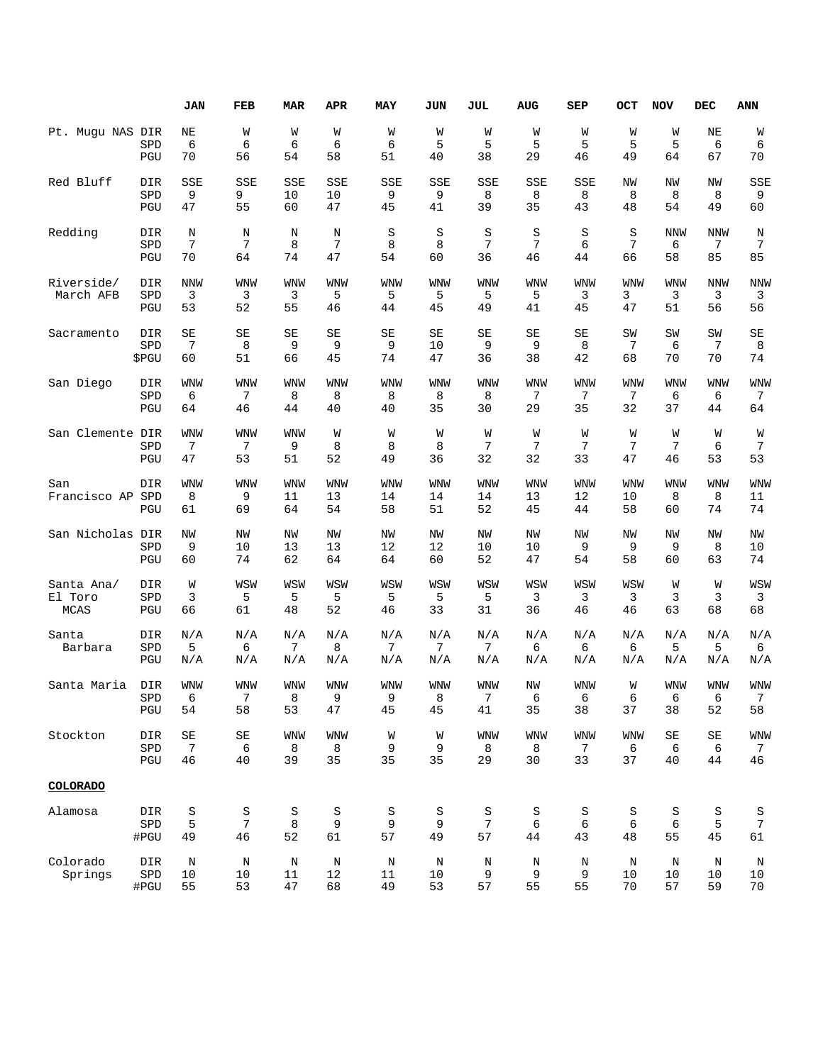|                       |                    | <b>JAN</b>          | FEB                 | MAR                    | APR        | MAY           | JUN        | JUL        | <b>AUG</b>   | SEP                   | OCT        | <b>NOV</b> | DEC                 | ANN                   |
|-----------------------|--------------------|---------------------|---------------------|------------------------|------------|---------------|------------|------------|--------------|-----------------------|------------|------------|---------------------|-----------------------|
| Pt. Muqu NAS DIR      |                    | NE                  | W                   | W                      | W          | W             | W          | W          | W            | W                     | W          | W          | ΝE                  | W                     |
|                       | SPD<br>PGU         | 6<br>70             | 6<br>56             | 6<br>54                | 6<br>58    | 6<br>51       | 5<br>40    | 5<br>38    | 5<br>29      | 5<br>46               | 5<br>49    | 5<br>64    | 6<br>67             | 6<br>70               |
| Red Bluff             | DIR                | SSE                 | SSE                 | <b>SSE</b>             | SSE        | SSE           | SSE        | SSE        | SSE          | SSE                   | ΝW         | ΝW         | ΝW                  | SSE                   |
|                       | SPD                | 9                   | 9                   | 10                     | 10         | 9             | 9          | 8          | 8            | 8                     | 8          | 8          | 8                   | 9                     |
|                       | PGU                | 47                  | 55                  | 60                     | 47         | 45            | 41         | 39         | 35           | 43                    | 48         | 54         | 49                  | 60                    |
| Redding               | DIR<br>SPD         | $\rm N$<br>7        | N<br>7              | N<br>8                 | N<br>7     | $\rm S$<br>8  | S<br>8     | S<br>7     | $\rm S$<br>7 | S<br>6                | S<br>7     | NNW<br>6   | NNW<br>7            | Ν<br>7                |
|                       | PGU                | 70                  | 64                  | 74                     | 47         | 54            | 60         | 36         | 46           | 44                    | 66         | 58         | 85                  | 85                    |
| Riverside/            | DIR                | <b>NNW</b>          | <b>WNW</b>          | <b>WNW</b>             | <b>WNW</b> | WNW           | WNW        | <b>WNW</b> | WNW          | <b>WNW</b>            | <b>WNW</b> | WNW        | <b>NNW</b>          | <b>NNW</b>            |
| March AFB             | SPD<br>PGU         | 3<br>53             | 3<br>52             | 3<br>55                | 5<br>46    | 5<br>44       | 5<br>45    | 5<br>49    | 5<br>41      | 3<br>45               | 3<br>47    | 3<br>51    | 3<br>56             | 3<br>56               |
|                       |                    |                     |                     |                        |            |               |            |            |              |                       |            |            |                     |                       |
| Sacramento            | DIR<br>SPD         | SE<br>7             | SE<br>8             | SE<br>9                | SE<br>9    | SE<br>9       | SE<br>10   | SE<br>9    | SE<br>9      | SE<br>8               | SW<br>7    | SW<br>6    | SW<br>7             | SE<br>8               |
|                       | \$PGU              | 60                  | 51                  | 66                     | 45         | 74            | 47         | 36         | 38           | 42                    | 68         | 70         | 70                  | 74                    |
| San Diego             | DIR                | WNW                 | <b>WNW</b>          | <b>WNW</b>             | <b>WNW</b> | <b>WNW</b>    | WNW        | WNW        | WNW          | <b>WNW</b>            | <b>WNW</b> | WNW        | <b>WNW</b>          | <b>WNW</b>            |
|                       | SPD<br>PGU         | 6<br>64             | 7<br>46             | 8<br>44                | 8<br>40    | 8<br>40       | 8<br>35    | 8<br>30    | 7<br>29      | 7<br>35               | 7<br>32    | 6<br>37    | 6<br>44             | 7<br>64               |
|                       |                    |                     |                     |                        |            |               |            |            |              |                       |            |            |                     |                       |
| San Clemente DIR      | SPD                | <b>WNW</b><br>7     | <b>WNW</b><br>7     | <b>WNW</b><br>9        | W<br>8     | W<br>8        | W<br>8     | W<br>7     | W<br>7       | W<br>7                | W<br>7     | W<br>7     | W<br>6              | W<br>7                |
|                       | PGU                | 47                  | 53                  | 51                     | 52         | 49            | 36         | 32         | 32           | 33                    | 47         | 46         | 53                  | 53                    |
| San                   | DIR                | <b>WNW</b>          | WNW                 | <b>WNW</b>             | <b>WNW</b> | WNW           | WNW        | <b>WNW</b> | WNW          | <b>WNW</b>            | <b>WNW</b> | WNW        | WNW                 | <b>WNW</b>            |
| Francisco AP          | SPD<br>PGU         | 8<br>61             | 9<br>69             | 11<br>64               | 13<br>54   | 14<br>58      | 14<br>51   | 14<br>52   | 13<br>45     | 12<br>44              | 10<br>58   | 8<br>60    | 8<br>74             | 11<br>74              |
|                       |                    |                     |                     |                        |            |               |            |            |              |                       |            |            |                     |                       |
| San Nicholas DIR      |                    | NW                  | NW                  | NW                     | NW         | NW            | NW         | NW         | <b>NW</b>    | NW<br>9               | NW         | NW         | NW                  | NW                    |
|                       | SPD<br>PGU         | 9<br>60             | 10<br>74            | 13<br>62               | 13<br>64   | 12<br>64      | 12<br>60   | 10<br>52   | 10<br>47     | 54                    | 9<br>58    | 9<br>60    | 8<br>63             | 10<br>74              |
|                       | DIR                | W                   | WSW                 | WSW                    |            |               | WSW        |            |              |                       |            |            | W                   |                       |
| Santa Ana/<br>El Toro | SPD                | 3                   | 5                   | 5                      | WSW<br>5   | WSW<br>5      | 5          | WSW<br>5   | WSW<br>3     | WSW<br>3              | WSW<br>3   | W<br>3     | 3                   | WSW<br>3              |
| MCAS                  | PGU                | 66                  | 61                  | 48                     | 52         | 46            | 33         | 31         | 36           | 46                    | 46         | 63         | 68                  | 68                    |
| Santa                 | DIR                | N/A                 | N/A                 | N/A                    | N/A        | N/A           | N/A        | N/A        | N/A          | N/A                   | N/A        | N/A        | N/A                 | N/A                   |
| Barbara               | SPD<br>PGU         | 5<br>N/A            | 6<br>N/A            | $7\phantom{.0}$<br>N/A | 8<br>N/A   | 7<br>N/A      | 7<br>N/A   | 7<br>N/A   | 6<br>N/A     | 6<br>N/A              | 6<br>N/A   | 5<br>N/A   | 5<br>N/A            | 6<br>N/A              |
|                       |                    | <b>WNW</b>          | <b>WNW</b>          | <b>WNW</b>             | <b>WNW</b> | <b>WNW</b>    | <b>WNW</b> | <b>WNW</b> | NW           | <b>WNW</b>            |            | <b>WNW</b> | <b>WNW</b>          | <b>WNW</b>            |
| Santa Maria           | DIR<br>SPD         | 6                   | 7                   | 8                      | 9          | 9             | 8          | 7          | 6            | 6                     | W<br>6     | 6          | 6                   | 7                     |
|                       | PGU                | 54                  | 58                  | 53                     | 47         | 45            | 45         | 41         | 35           | 38                    | 37         | 38         | 52                  | 58                    |
| Stockton              | DIR                | $\operatorname{SE}$ | $\operatorname{SE}$ | <b>WNW</b>             | <b>WNW</b> | W             | W          | <b>WNW</b> | <b>WNW</b>   | <b>WNW</b>            | <b>WNW</b> | $\rm SE$   | $\operatorname{SE}$ | <b>WNW</b>            |
|                       | ${\tt SPD}$<br>PGU | 7<br>46             | 6<br>40             | 8<br>39                | 8<br>35    | 9<br>35       | 9<br>35    | 8<br>29    | 8<br>30      | $7\phantom{.0}$<br>33 | 6<br>37    | 6<br>40    | 6<br>44             | $7\phantom{.0}$<br>46 |
| <b>COLORADO</b>       |                    |                     |                     |                        |            |               |            |            |              |                       |            |            |                     |                       |
|                       |                    |                     |                     |                        |            |               |            |            |              |                       |            |            |                     |                       |
| Alamosa               | DIR                | $\rm S$             | S                   | S                      | S          | S             | S          | S          | $\rm S$      | $\rm S$               | S          | S          | $\rm S$             | $\rm S$               |
|                       | SPD<br>#PGU        | 5<br>49             | 7<br>46             | 8<br>52                | 9<br>61    | 9<br>57       | 9<br>49    | 7<br>57    | 6<br>44      | 6<br>43               | 6<br>48    | 6<br>55    | 5<br>45             | 7<br>61               |
| Colorado              |                    |                     |                     |                        |            |               |            |            |              |                       |            |            |                     |                       |
| Springs               | DIR<br>SPD         | $\rm N$<br>10       | Ν<br>10             | N<br>11                | N<br>12    | $\rm N$<br>11 | Ν<br>10    | Ν<br>9     | Ν<br>9       | Ν<br>9                | Ν<br>10    | Ν<br>10    | Ν<br>10             | N<br>10               |
|                       | #PGU               | 55                  | 53                  | 47                     | 68         | 49            | 53         | 57         | 55           | 55                    | 70         | 57         | 59                  | 70                    |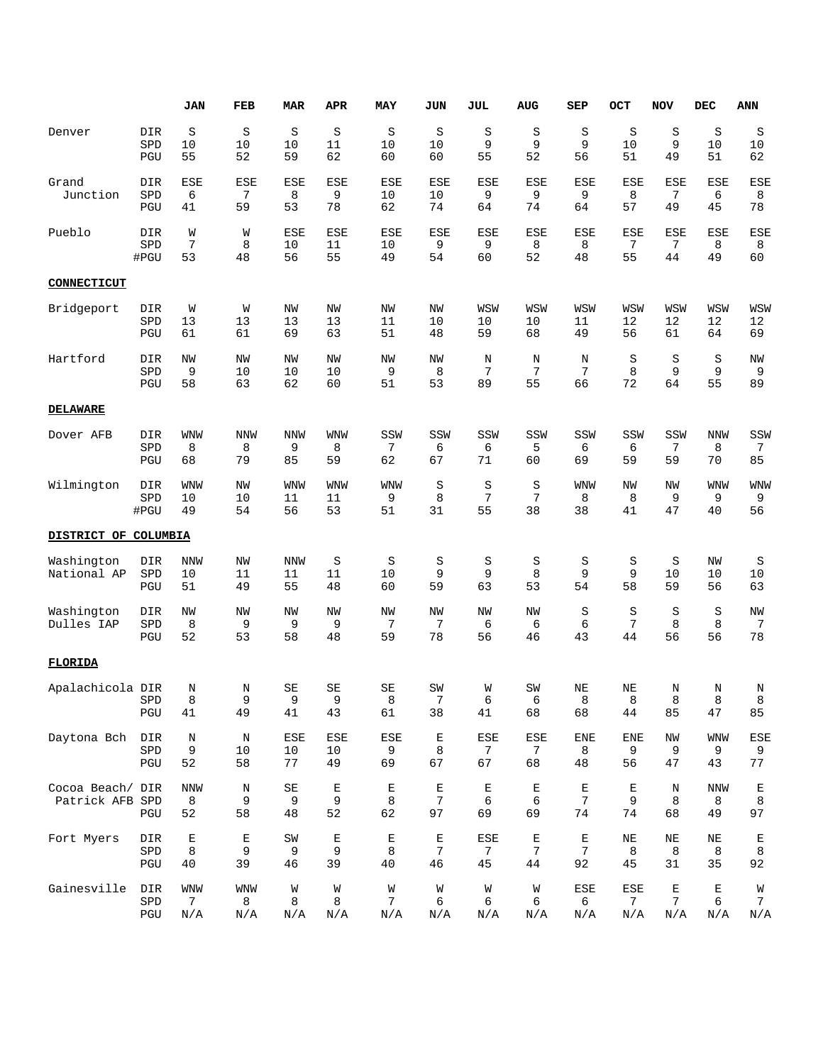|                                     |                    | <b>JAN</b>                           | FEB                       | <b>MAR</b>                     | APR                    | MAY                    | JUN                    | JUL                                 | <b>AUG</b>             | SEP                    | OCT                          | <b>NOV</b>                        | <b>DEC</b>            | ANN                         |
|-------------------------------------|--------------------|--------------------------------------|---------------------------|--------------------------------|------------------------|------------------------|------------------------|-------------------------------------|------------------------|------------------------|------------------------------|-----------------------------------|-----------------------|-----------------------------|
| Denver                              | DIR<br>SPD<br>PGU  | S<br>10<br>55                        | S<br>10<br>52             | S<br>10<br>59                  | S<br>11<br>62          | S<br>10<br>60          | S<br>10<br>60          | S<br>9<br>55                        | S<br>9<br>52           | S<br>9<br>56           | S<br>10<br>51                | S<br>9<br>49                      | S<br>10<br>51         | S<br>10<br>62               |
| Grand<br>Junction                   | DIR<br>SPD<br>PGU  | ESE<br>6<br>41                       | ESE<br>7<br>59            | ESE<br>8<br>53                 | ESE<br>9<br>78         | ESE<br>10<br>62        | ESE<br>10<br>74        | ESE<br>9<br>64                      | ESE<br>9<br>74         | ESE<br>9<br>64         | ESE<br>8<br>57               | ESE<br>7<br>49                    | ESE<br>6<br>45        | <b>ESE</b><br>8<br>78       |
| Pueblo                              | DIR<br>SPD<br>#PGU | W<br>7<br>53                         | W<br>8<br>48              | <b>ESE</b><br>10<br>56         | ESE<br>11<br>55        | ESE<br>10<br>49        | ESE<br>9<br>54         | ESE<br>9<br>60                      | ESE<br>8<br>52         | <b>ESE</b><br>8<br>48  | ESE<br>7<br>55               | ESE<br>7<br>44                    | <b>ESE</b><br>8<br>49 | <b>ESE</b><br>8<br>60       |
| CONNECTICUT                         |                    |                                      |                           |                                |                        |                        |                        |                                     |                        |                        |                              |                                   |                       |                             |
| Bridgeport                          | DIR<br>SPD<br>PGU  | W<br>13<br>61                        | W<br>13<br>61             | ΝW<br>13<br>69                 | ΝW<br>13<br>63         | NW<br>11<br>51         | NW<br>10<br>48         | WSW<br>10<br>59                     | WSW<br>10<br>68        | WSW<br>11<br>49        | WSW<br>12<br>56              | WSW<br>12<br>61                   | WSW<br>12<br>64       | WSW<br>12<br>69             |
| Hartford                            | DIR<br>SPD<br>PGU  | NW<br>9<br>58                        | NW<br>10<br>63            | NW<br>10<br>62                 | NW<br>10<br>60         | NW<br>9<br>51          | NW<br>8<br>53          | N<br>7<br>89                        | N<br>7<br>55           | N<br>7<br>66           | $\rm S$<br>8<br>72           | S<br>9<br>64                      | S<br>9<br>55          | ΝW<br>9<br>89               |
| <b>DELAWARE</b>                     |                    |                                      |                           |                                |                        |                        |                        |                                     |                        |                        |                              |                                   |                       |                             |
| Dover AFB                           | DIR<br>SPD<br>PGU  | <b>WNW</b><br>8<br>68                | <b>NNW</b><br>8<br>79     | <b>NNW</b><br>9<br>85          | <b>WNW</b><br>8<br>59  | SSW<br>7<br>62         | SSW<br>6<br>67         | SSW<br>6<br>71                      | SSW<br>5<br>60         | SSW<br>6<br>69         | SSW<br>6<br>59               | SSW<br>7<br>59                    | <b>NNW</b><br>8<br>70 | SSW<br>7<br>85              |
| Wilmington                          | DIR<br>SPD<br>#PGU | WNW<br>10<br>49                      | NW<br>10<br>54            | WNW<br>11<br>56                | <b>WNW</b><br>11<br>53 | WNW<br>9<br>51         | S<br>8<br>31           | S<br>7<br>55                        | S<br>7<br>38           | <b>WNW</b><br>8<br>38  | NW<br>8<br>41                | NW<br>9<br>47                     | <b>WNW</b><br>9<br>40 | <b>WNW</b><br>9<br>56       |
| DISTRICT OF COLUMBIA                |                    |                                      |                           |                                |                        |                        |                        |                                     |                        |                        |                              |                                   |                       |                             |
| Washington<br>National AP           | DIR<br>SPD<br>PGU  | NNW<br>10<br>51                      | NW<br>11<br>49            | <b>NNW</b><br>11<br>55         | S<br>11<br>48          | S<br>10<br>60          | S<br>9<br>59           | S<br>9<br>63                        | S<br>8<br>53           | S<br>9<br>54           | S<br>9<br>58                 | S<br>10<br>59                     | ΝW<br>10<br>56        | S<br>10<br>63               |
| Washington<br>Dulles IAP            | DIR<br>SPD<br>PGU  | NW<br>8<br>52                        | NW<br>9<br>53             | NW<br>9<br>58                  | NW<br>9<br>48          | NW<br>7<br>59          | NW<br>7<br>78          | NW<br>6<br>56                       | NW<br>6<br>46          | S<br>6<br>43           | S<br>7<br>44                 | S<br>8<br>56                      | S<br>8<br>56          | NW<br>7<br>78               |
| FLORIDA                             |                    |                                      |                           |                                |                        |                        |                        |                                     |                        |                        |                              |                                   |                       |                             |
| Apalachicola DIR                    | SPD<br>PGU         | Ν<br>8<br>41                         | Ν<br>$\overline{9}$<br>49 | SE<br>9<br>41                  | SE<br>9<br>43          | SE<br>8<br>61          | SW<br>7<br>38          | W<br>6<br>41                        | SW<br>6<br>68          | NE<br>8<br>68          | ΝE<br>8<br>44                | Ν<br>8<br>85                      | Ν<br>8<br>47          | Ν<br>8<br>85                |
| Daytona Bch                         | DIR<br>SPD<br>PGU  | $\rm N$<br>9<br>52                   | $\rm N$<br>10<br>58       | ESE<br>10<br>77                | ESE<br>10<br>49        | ESE<br>9<br>69         | $\mathbf E$<br>8<br>67 | ESE<br>$\mathcal{I}$<br>67          | ESE<br>7<br>68         | <b>ENE</b><br>8<br>48  | <b>ENE</b><br>9<br>56        | ΝW<br>9<br>47                     | WNW<br>9<br>43        | ESE<br>9<br>77              |
| Cocoa Beach/ DIR<br>Patrick AFB SPD | PGU                | <b>NNW</b><br>8<br>52                | $\rm N$<br>9<br>58        | $\operatorname{SE}$<br>9<br>48 | $\mathbf E$<br>9<br>52 | $\mathbf E$<br>8<br>62 | $\mathbf E$<br>7<br>97 | $\mathbf E$<br>6<br>69              | $\mathbf E$<br>6<br>69 | $\mathbf E$<br>7<br>74 | $\mathbf E$<br>9<br>74       | N<br>8<br>68                      | <b>NNW</b><br>8<br>49 | $\mathbf E$<br>8<br>97      |
| Fort Myers                          | DIR<br>SPD<br>PGU  | E<br>8<br>40                         | Е<br>9<br>39              | SW<br>9<br>46                  | E<br>9<br>39           | $\mathbf E$<br>8<br>40 | E<br>7<br>46           | <b>ESE</b><br>$7\phantom{.0}$<br>45 | Е<br>7<br>44           | E<br>7<br>92           | $\rm NE$<br>8<br>45          | ΝE<br>8<br>31                     | NE<br>8<br>35         | Е<br>$\,8\,$<br>92          |
| Gainesville                         | DIR<br>SPD<br>PGU  | <b>WNW</b><br>$7\phantom{.0}$<br>N/A | WNW<br>8<br>N/A           | W<br>8<br>N/A                  | W<br>8<br>N/A          | W<br>7<br>N/A          | W<br>6<br>N/A          | W<br>6<br>N/A                       | W<br>6<br>N/A          | ESE<br>6<br>N/A        | ESE<br>7 <sup>1</sup><br>N/A | E<br>$7\phantom{.0}$<br>$\rm N/A$ | Ε<br>6<br>N/A         | W<br>$7\phantom{.0}$<br>N/A |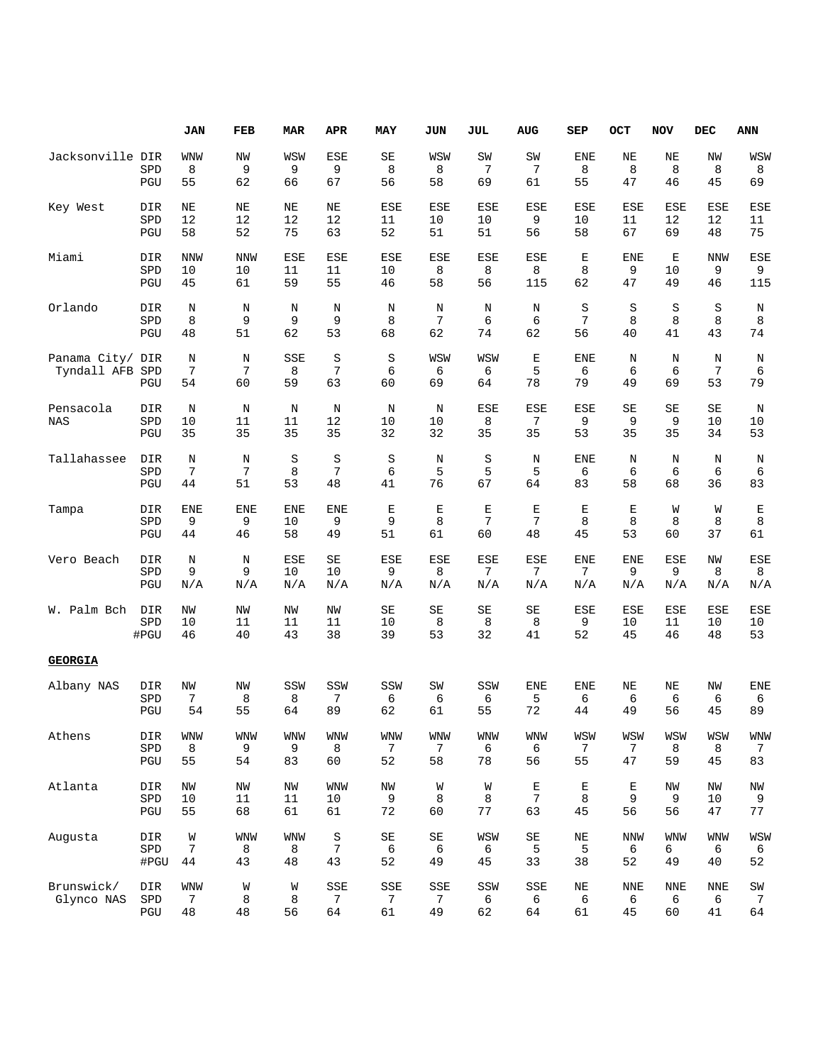|                                 |                            | JAN                    | FEB                    | <b>MAR</b>             | APR                    | MAY                               | JUN                    | JUL                    | AUG                      | <b>SEP</b>             | OCT                          | <b>NOV</b>             | DEC                    | <b>ANN</b>                                 |
|---------------------------------|----------------------------|------------------------|------------------------|------------------------|------------------------|-----------------------------------|------------------------|------------------------|--------------------------|------------------------|------------------------------|------------------------|------------------------|--------------------------------------------|
| Jacksonville DIR                | SPD                        | WNW<br>8               | NW<br>9                | WSW<br>9               | <b>ESE</b><br>9        | SE<br>8                           | WSW<br>8               | SW<br>7                | SW<br>7                  | <b>ENE</b><br>8        | NE<br>8                      | ΝE<br>8                | ΝW<br>8                | WSW<br>8                                   |
|                                 | PGU                        | 55                     | 62                     | 66                     | 67                     | 56                                | 58                     | 69                     | 61                       | 55                     | 47                           | 46                     | 45                     | 69                                         |
| Key West                        | DIR<br>SPD<br>$_{\rm PGU}$ | NE<br>12<br>58         | ΝE<br>12<br>52         | ΝE<br>12<br>75         | NE<br>12<br>63         | <b>ESE</b><br>11<br>52            | <b>ESE</b><br>10<br>51 | <b>ESE</b><br>10<br>51 | <b>ESE</b><br>9<br>56    | <b>ESE</b><br>10<br>58 | <b>ESE</b><br>11<br>67       | <b>ESE</b><br>12<br>69 | <b>ESE</b><br>12<br>48 | <b>ESE</b><br>11<br>75                     |
|                                 |                            |                        |                        |                        |                        |                                   |                        |                        |                          |                        |                              |                        |                        |                                            |
| Miami                           | DIR<br>SPD<br>PGU          | <b>NNW</b><br>10<br>45 | <b>NNW</b><br>10<br>61 | <b>ESE</b><br>11<br>59 | <b>ESE</b><br>11<br>55 | <b>ESE</b><br>10<br>46            | ESE<br>8<br>58         | <b>ESE</b><br>8<br>56  | <b>ESE</b><br>8<br>115   | Е<br>8<br>62           | <b>ENE</b><br>9<br>47        | Е<br>10<br>49          | <b>NNW</b><br>9<br>46  | <b>ESE</b><br>9<br>115                     |
| Orlando                         | <b>DIR</b><br>SPD          | $\rm N$<br>8           | N<br>9                 | N<br>9                 | $\rm N$<br>9           | N<br>8                            | N<br>7                 | N<br>6                 | N<br>6                   | S<br>7                 | S<br>8                       | S<br>8                 | S<br>8                 | N<br>8                                     |
|                                 | PGU                        | 48                     | 51                     | 62                     | 53                     | 68                                | 62                     | 74                     | 62                       | 56                     | 40                           | 41                     | 43                     | 74                                         |
| Panama City/ DIR<br>Tyndall AFB | SPD                        | $\rm N$<br>7           | N<br>7                 | SSE<br>8               | S<br>7                 | $\rm S$<br>6                      | WSW<br>6               | WSW<br>6               | $\mathbf E$<br>5         | <b>ENE</b><br>6        | N<br>6                       | N<br>6                 | $\rm N$<br>7           | N<br>6                                     |
|                                 | PGU                        | 54                     | 60                     | 59                     | 63                     | 60                                | 69                     | 64                     | 78                       | 79                     | 49                           | 69                     | 53                     | 79                                         |
| Pensacola<br><b>NAS</b>         | DIR<br>SPD<br>PGU          | N<br>10<br>35          | N<br>11<br>35          | N<br>11<br>35          | $\rm N$<br>12<br>35    | N<br>10<br>32                     | N<br>10<br>32          | <b>ESE</b><br>8<br>35  | ESE<br>7<br>35           | <b>ESE</b><br>9<br>53  | SE<br>9<br>35                | SE<br>9<br>35          | SE<br>10<br>34         | N<br>10<br>53                              |
|                                 |                            |                        |                        |                        |                        |                                   |                        |                        |                          |                        |                              |                        |                        |                                            |
| Tallahassee                     | DIR<br>SPD<br>PGU          | $\rm N$<br>7<br>44     | N<br>7<br>51           | S<br>8<br>53           | S<br>7<br>48           | $\rm S$<br>6<br>41                | N<br>5<br>76           | $\rm S$<br>5<br>67     | N<br>5<br>64             | <b>ENE</b><br>6<br>83  | Ν<br>6<br>58                 | N<br>6<br>68           | N<br>6<br>36           | Ν<br>6<br>83                               |
| Tampa                           | DIR                        | <b>ENE</b>             | ENE                    | ENE                    | <b>ENE</b>             | Ε                                 | $\mathbf E$            | Е                      | $\mathbf E$              | Е                      | Ε                            | W                      | W                      | E                                          |
|                                 | SPD<br>PGU                 | 9<br>44                | 9<br>46                | 10<br>58               | 9<br>49                | 9<br>51                           | 8<br>61                | 7<br>60                | 7<br>48                  | 8<br>45                | 8<br>53                      | 8<br>60                | 8<br>37                | 8<br>61                                    |
| Vero Beach                      | DIR<br>SPD                 | $\rm N$<br>9           | N<br>9                 | ESE<br>10              | SE<br>10               | ESE<br>9                          | ESE<br>8               | <b>ESE</b><br>7        | ESE<br>7                 | <b>ENE</b><br>7        | <b>ENE</b><br>9              | ESE<br>9               | NW<br>8                | <b>ESE</b><br>8                            |
|                                 | PGU                        | N/A                    | N/A                    | N/A                    | N/A                    | N/A                               | N/A                    | N/A                    | N/A                      | N/A                    | N/A                          | N/A                    | N/A                    | N/A                                        |
| W. Palm Bch                     | DIR<br>SPD<br>#PGU         | NW<br>10<br>46         | NW<br>11<br>40         | NW<br>11<br>43         | NW<br>11<br>38         | SE<br>10<br>39                    | SE<br>8<br>53          | SE<br>8<br>32          | SE<br>8<br>41            | ESE<br>9<br>52         | ESE<br>10<br>45              | <b>ESE</b><br>11<br>46 | ESE<br>10<br>48        | ESE<br>10<br>53                            |
| <b>GEORGIA</b>                  |                            |                        |                        |                        |                        |                                   |                        |                        |                          |                        |                              |                        |                        |                                            |
| Albany NAS                      | DIR<br>SPD                 | NW<br>7                | NW<br>8                | SSW<br>8               | SSW<br>7               | SSW<br>6                          | SW<br>6                | SSW<br>6               | <b>ENE</b><br>5          | <b>ENE</b><br>6        | NE<br>6                      | ΝE<br>6                | NW<br>6                | <b>ENE</b><br>6                            |
|                                 | PGU                        | 54                     | 55                     | 64                     | 89                     | 62                                | 61                     | 55                     | 72                       | 44                     | 49                           | 56                     | 45                     | 89                                         |
| Athens                          | DIR<br>${\tt SPD}$<br>PGU  | <b>WNW</b><br>8<br>55  | <b>WNW</b><br>9<br>54  | <b>WNW</b><br>9<br>83  | <b>WNW</b><br>8<br>60  | <b>WNW</b><br>$\mathcal{I}$<br>52 | <b>WNW</b><br>7<br>58  | <b>WNW</b><br>6<br>78  | <b>WNW</b><br>6<br>56    | WSW<br>7<br>55         | WSW<br>$7\phantom{.0}$<br>47 | WSW<br>8<br>59         | WSW<br>8<br>45         | <b>WNW</b><br>7<br>83                      |
|                                 |                            |                        |                        |                        |                        |                                   |                        |                        |                          |                        |                              |                        |                        |                                            |
| Atlanta                         | DIR<br>SPD<br>PGU          | ΝW<br>$10$<br>55       | NW<br>11<br>68         | NW<br>11<br>61         | <b>WNW</b><br>10<br>61 | NW<br>9<br>72                     | W<br>8<br>60           | W<br>8<br>77           | $\mathbf E$<br>7<br>63   | $\mathbf E$<br>8<br>45 | $\mathbb E$<br>9<br>56       | ΝW<br>9<br>56          | NW<br>10<br>47         | $\ensuremath{\text{NW}}\xspace$<br>9<br>77 |
| Augusta                         | DIR<br>SPD                 | W<br>7                 | <b>WNW</b><br>8        | <b>WNW</b><br>8        | $\rm S$<br>7           | SE<br>6                           | SE<br>6                | WSW<br>6               | $\operatorname{SE}$<br>5 | ΝE<br>5                | <b>NNW</b><br>6              | <b>WNW</b><br>6        | <b>WNW</b><br>6        | WSW<br>6                                   |
|                                 | #PGU                       | 44                     | 43                     | 48                     | 43                     | 52                                | 49                     | 45                     | 33                       | 38                     | 52                           | 49                     | 40                     | 52                                         |
| Brunswick/<br>Glynco NAS        | DIR<br>${\tt SPD}$         | <b>WNW</b><br>7        | W<br>8                 | W<br>8                 | SSE<br>7               | SSE<br>$\overline{7}$             | SSE<br>7               | SSW<br>6               | SSE<br>6                 | ΝE<br>6                | <b>NNE</b><br>6              | <b>NNE</b><br>6        | <b>NNE</b><br>6        | SW<br>7                                    |
|                                 | PGU                        | 48                     | 48                     | 56                     | 64                     | 61                                | 49                     | 62                     | 64                       | 61                     | 45                           | 60                     | 41                     | 64                                         |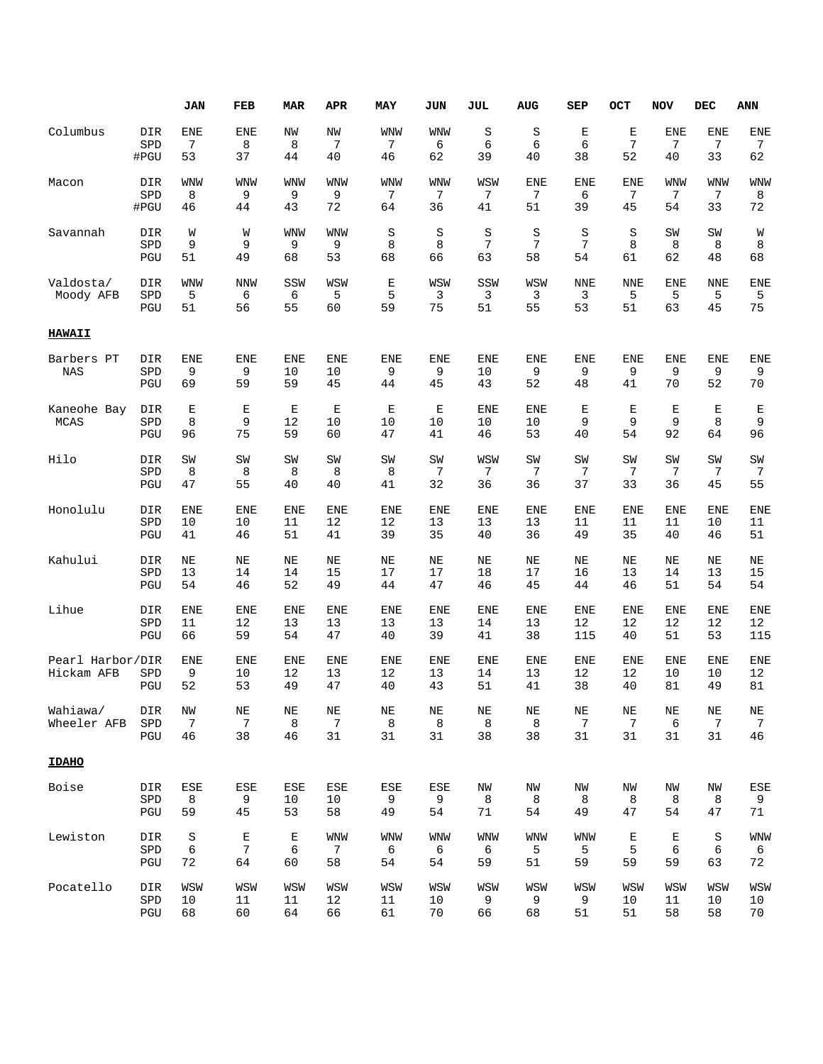|                                |                   | JAN                    | FEB                   | <b>MAR</b>             | APR                     | MAY                           | JUN                     | JUL                    | <b>AUG</b>             | SEP                    | OCT                    | <b>NOV</b>            | <b>DEC</b>                   | <b>ANN</b>                        |
|--------------------------------|-------------------|------------------------|-----------------------|------------------------|-------------------------|-------------------------------|-------------------------|------------------------|------------------------|------------------------|------------------------|-----------------------|------------------------------|-----------------------------------|
| Columbus                       | DIR               | <b>ENE</b>             | <b>ENE</b>            | NW                     | NW                      | <b>WNW</b>                    | WNW                     | S                      | S                      | Е                      | $\mathbf E$            | <b>ENE</b>            | <b>ENE</b>                   | <b>ENE</b>                        |
|                                | SPD               | 7                      | 8                     | 8                      | 7                       | 7                             | 6                       | 6                      | 6                      | 6                      | 7                      | 7                     | 7                            | 7                                 |
|                                | #PGU              | 53                     | 37                    | 44                     | 40                      | 46                            | 62                      | 39                     | 40                     | 38                     | 52                     | 40                    | 33                           | 62                                |
| Macon                          | DIR               | WNW                    | <b>WNW</b>            | WNW                    | <b>WNW</b>              | <b>WNW</b>                    | WNW                     | WSW                    | <b>ENE</b>             | <b>ENE</b>             | <b>ENE</b>             | WNW                   | <b>WNW</b>                   | <b>WNW</b>                        |
|                                | SPD               | 8                      | 9                     | 9                      | 9                       | 7                             | 7                       | 7                      | 7                      | 6                      | 7                      | 7                     | 7                            | 8                                 |
|                                | #PGU              | 46                     | 44                    | 43                     | 72                      | 64                            | 36                      | 41                     | 51                     | 39                     | 45                     | 54                    | 33                           | 72                                |
| Savannah                       | DIR               | W                      | W                     | WNW                    | WNW                     | S                             | S                       | S                      | S                      | S                      | S                      | SW                    | SW                           | W                                 |
|                                | SPD               | 9                      | 9                     | 9                      | 9                       | 8                             | 8                       | 7                      | 7                      | 7                      | 8                      | 8                     | 8                            | 8                                 |
|                                | PGU               | 51                     | 49                    | 68                     | 53                      | 68                            | 66                      | 63                     | 58                     | 54                     | 61                     | 62                    | 48                           | 68                                |
| Valdosta/<br>Moody AFB         | DIR<br>SPD<br>PGU | <b>WNW</b><br>5<br>51  | <b>NNW</b><br>6<br>56 | SSW<br>6<br>55         | WSW<br>5<br>60          | $\mathbf{E}% _{0}$<br>5<br>59 | WSW<br>3<br>75          | SSW<br>3<br>51         | WSW<br>3<br>55         | <b>NNE</b><br>3<br>53  | <b>NNE</b><br>5<br>51  | <b>ENE</b><br>5<br>63 | <b>NNE</b><br>5<br>45        | <b>ENE</b><br>5<br>75             |
| <b>HAWAII</b>                  |                   |                        |                       |                        |                         |                               |                         |                        |                        |                        |                        |                       |                              |                                   |
| Barbers PT<br><b>NAS</b>       | DIR<br>SPD<br>PGU | <b>ENE</b><br>9<br>69  | <b>ENE</b><br>9<br>59 | <b>ENE</b><br>10<br>59 | <b>ENE</b><br>10<br>45  | <b>ENE</b><br>9<br>44         | <b>ENE</b><br>9<br>45   | <b>ENE</b><br>10<br>43 | <b>ENE</b><br>9<br>52  | <b>ENE</b><br>9<br>48  | <b>ENE</b><br>9<br>41  | <b>ENE</b><br>9<br>70 | <b>ENE</b><br>9<br>52        | <b>ENE</b><br>9<br>70             |
| Kaneohe Bay<br><b>MCAS</b>     | DIR<br>SPD<br>PGU | $\mathbf E$<br>8<br>96 | E<br>9<br>75          | Е<br>12<br>59          | $\mathbf E$<br>10<br>60 | $\mathbf E$<br>10<br>47       | $\mathbf E$<br>10<br>41 | <b>ENE</b><br>10<br>46 | <b>ENE</b><br>10<br>53 | $\mathbf E$<br>9<br>40 | $\mathbf E$<br>9<br>54 | E<br>9<br>92          | E<br>8<br>64                 | Е<br>9<br>96                      |
| Hilo                           | DIR               | SW                     | SW                    | SW                     | SW                      | SW                            | SW                      | WSW                    | SW                     | SW                     | SW                     | SW                    | SW                           | SW                                |
|                                | SPD               | 8                      | 8                     | 8                      | 8                       | 8                             | 7                       | 7                      | 7                      | 7                      | 7                      | 7                     | 7                            | 7                                 |
|                                | PGU               | 47                     | 55                    | 40                     | 40                      | 41                            | 32                      | 36                     | 36                     | 37                     | 33                     | 36                    | 45                           | 55                                |
| Honolulu                       | DIR               | <b>ENE</b>             | <b>ENE</b>            | <b>ENE</b>             | <b>ENE</b>              | <b>ENE</b>                    | <b>ENE</b>              | <b>ENE</b>             | <b>ENE</b>             | <b>ENE</b>             | <b>ENE</b>             | <b>ENE</b>            | <b>ENE</b>                   | <b>ENE</b>                        |
|                                | SPD               | 10                     | 10                    | 11                     | 12                      | 12                            | 13                      | 13                     | 13                     | 11                     | 11                     | 11                    | 10                           | 11                                |
|                                | PGU               | 41                     | 46                    | 51                     | 41                      | 39                            | 35                      | 40                     | 36                     | 49                     | 35                     | 40                    | 46                           | 51                                |
| Kahului                        | DIR               | NE                     | ΝE                    | ΝE                     | NE                      | NE                            | NE                      | NE                     | NE                     | NE                     | NE                     | ΝE                    | NE                           | ΝE                                |
|                                | SPD               | 13                     | 14                    | 14                     | 15                      | 17                            | 17                      | 18                     | 17                     | 16                     | 13                     | 14                    | 13                           | 15                                |
|                                | PGU               | 54                     | 46                    | 52                     | 49                      | 44                            | 47                      | 46                     | 45                     | 44                     | 46                     | 51                    | 54                           | 54                                |
| Lihue                          | DIR               | <b>ENE</b>             | <b>ENE</b>            | <b>ENE</b>             | <b>ENE</b>              | <b>ENE</b>                    | <b>ENE</b>              | <b>ENE</b>             | <b>ENE</b>             | <b>ENE</b>             | <b>ENE</b>             | <b>ENE</b>            | <b>ENE</b>                   | <b>ENE</b>                        |
|                                | SPD               | 11                     | 12                    | 13                     | 13                      | 13                            | 13                      | 14                     | 13                     | 12                     | 12                     | 12                    | 12                           | 12                                |
|                                | PGU               | 66                     | 59                    | 54                     | 47                      | 40                            | 39                      | 41                     | 38                     | 115                    | 40                     | 51                    | 53                           | 115                               |
| Pearl Harbor/DIR<br>Hickam AFB | SPD<br>PGU        | <b>ENE</b><br>9<br>52  | ENE<br>10<br>53       | ENE<br>12<br>49        | <b>ENE</b><br>13<br>47  | ENE<br>12<br>40               | <b>ENE</b><br>13<br>43  | <b>ENE</b><br>14<br>51 | <b>ENE</b><br>13<br>41 | <b>ENE</b><br>12<br>38 | <b>ENE</b><br>12<br>40 | ENE<br>10<br>81       | ENE<br>10<br>49              | <b>ENE</b><br>12<br>81            |
| Wahiawa/<br>Wheeler AFB        | DIR<br>SPD<br>PGU | NW<br>7<br>46          | $\rm{NE}$<br>7<br>38  | $\rm NE$<br>8<br>46    | NE<br>7<br>31           | $\rm{NE}$<br>8<br>31          | $\rm{NE}$<br>8<br>31    | $\rm{NE}$<br>8<br>38   | NE<br>8<br>38          | NE<br>7<br>31          | NE<br>7<br>31          | ΝE<br>6<br>31         | NE<br>$\boldsymbol{7}$<br>31 | $\rm{NE}$<br>$\overline{7}$<br>46 |
| <b>IDAHO</b>                   |                   |                        |                       |                        |                         |                               |                         |                        |                        |                        |                        |                       |                              |                                   |
| Boise                          | DIR               | ESE                    | ESE                   | ESE                    | ESE                     | ESE                           | ESE                     | ΝW                     | NW                     | NW                     | ΝW                     | ΝW                    | ΝW                           | <b>ESE</b>                        |
|                                | SPD               | 8                      | 9                     | 10                     | 10                      | 9                             | 9                       | 8                      | 8                      | 8                      | 8                      | 8                     | 8                            | 9                                 |
|                                | PGU               | 59                     | 45                    | 53                     | 58                      | 49                            | 54                      | 71                     | 54                     | 49                     | 47                     | 54                    | 47                           | 71                                |
| Lewiston                       | DIR               | $\rm S$                | $\mathbf E$           | $\mathbf E$            | <b>WNW</b>              | WNW                           | WNW                     | <b>WNW</b>             | WNW                    | <b>WNW</b>             | $\mathbf E$            | $\mathbf E$           | $\rm S$                      | <b>WNW</b>                        |
|                                | SPD               | 6                      | 7                     | 6                      | 7                       | 6                             | 6                       | 6                      | 5                      | 5                      | 5                      | 6                     | 6                            | 6                                 |
|                                | PGU               | 72                     | 64                    | 60                     | 58                      | 54                            | 54                      | 59                     | 51                     | 59                     | 59                     | 59                    | 63                           | 72                                |
| Pocatello                      | DIR               | WSW                    | WSW                   | WSW                    | WSW                     | WSW                           | WSW                     | WSW                    | WSW                    | WSW                    | WSW                    | WSW                   | WSW                          | WSW                               |
|                                | SPD               | 10                     | 11                    | 11                     | 12                      | 11                            | 10                      | 9                      | 9                      | 9                      | 10                     | 11                    | 10                           | 10                                |
|                                | PGU               | 68                     | 60                    | 64                     | 66                      | 61                            | 70                      | 66                     | 68                     | 51                     | 51                     | 58                    | 58                           | 70                                |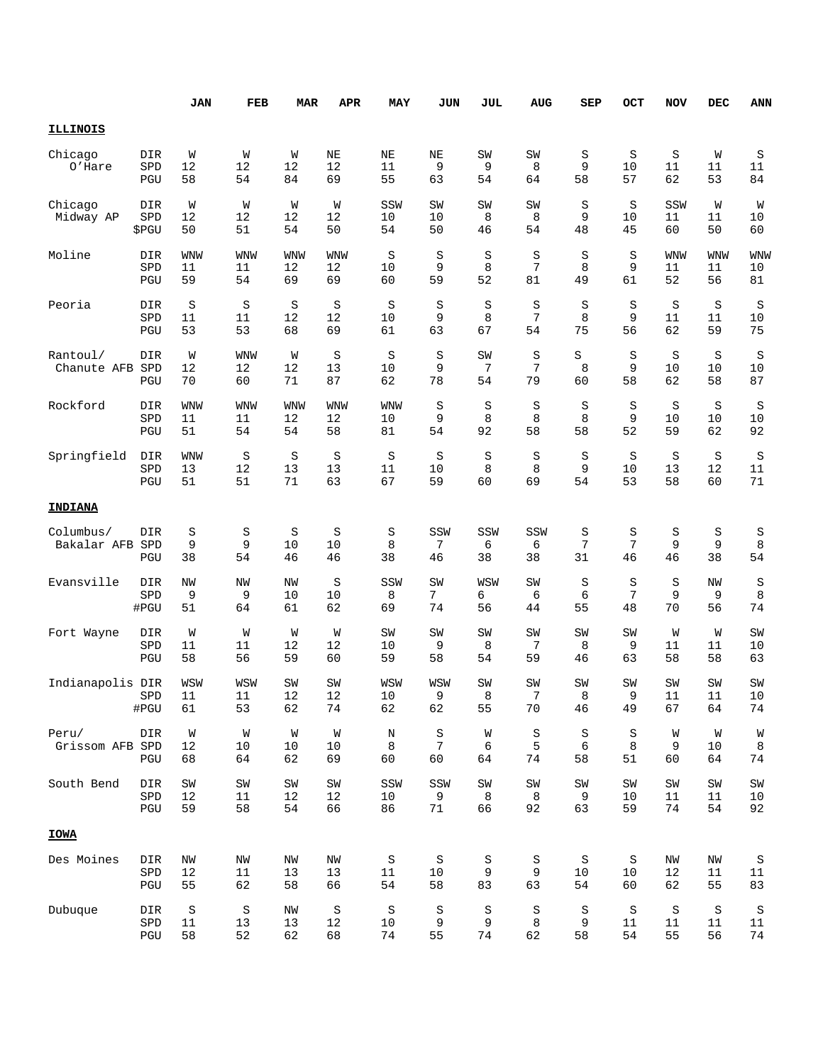|                          |                     | <b>JAN</b>              | FEB                       | <b>MAR</b>             | <b>APR</b>             | MAY                    | JUN                              | JUL                    | <b>AUG</b>     | SEP                 | OCT            | <b>NOV</b>          | DEC                 | <b>ANN</b>              |
|--------------------------|---------------------|-------------------------|---------------------------|------------------------|------------------------|------------------------|----------------------------------|------------------------|----------------|---------------------|----------------|---------------------|---------------------|-------------------------|
| <b>ILLINOIS</b>          |                     |                         |                           |                        |                        |                        |                                  |                        |                |                     |                |                     |                     |                         |
| Chicago<br>O'Hare        | DIR<br>SPD<br>PGU   | W<br>12<br>58           | W<br>12<br>54             | W<br>12<br>84          | NE<br>12<br>69         | NE<br>11<br>55         | NE<br>9<br>63                    | SW<br>9<br>54          | SW<br>8<br>64  | S<br>9<br>58        | S<br>10<br>57  | S<br>11<br>62       | W<br>11<br>53       | S<br>11<br>84           |
| Chicago<br>Midway AP     | DIR<br>SPD<br>\$PGU | W<br>12<br>50           | W<br>12<br>51             | W<br>12<br>54          | W<br>12<br>50          | SSW<br>10<br>54        | $\texttt{SW}$<br>10<br>50        | SW<br>8<br>46          | SW<br>8<br>54  | S<br>9<br>48        | S<br>10<br>45  | SSW<br>11<br>60     | W<br>11<br>50       | W<br>10<br>60           |
| Moline                   | DIR<br>SPD<br>PGU   | <b>WNW</b><br>11<br>59  | <b>WNW</b><br>11<br>54    | <b>WNW</b><br>12<br>69 | <b>WNW</b><br>12<br>69 | S<br>10<br>60          | S<br>9<br>59                     | $\rm S$<br>8<br>52     | S<br>7<br>81   | S<br>8<br>49        | S<br>9<br>61   | WNW<br>11<br>52     | WNW<br>11<br>56     | <b>WNW</b><br>10<br>81  |
| Peoria                   | DIR<br>SPD<br>PGU   | S<br>11<br>53           | $\rm S$<br>11<br>53       | $\rm S$<br>12<br>68    | S<br>12<br>69          | S<br>10<br>61          | S<br>9<br>63                     | S<br>8<br>67           | S<br>7<br>54   | S<br>8<br>75        | S<br>9<br>56   | S<br>11<br>62       | S<br>11<br>59       | S<br>10<br>75           |
| Rantoul/<br>Chanute AFB  | DIR<br>SPD<br>PGU   | W<br>12<br>70           | <b>WNW</b><br>12<br>60    | W<br>12<br>71          | S<br>13<br>87          | S<br>10<br>62          | S<br>9<br>78                     | SW<br>7<br>54          | S<br>7<br>79   | S<br>8<br>60        | S<br>9<br>58   | S<br>10<br>62       | S<br>10<br>58       | S<br>10<br>87           |
| Rockford                 | DIR<br>SPD<br>PGU   | <b>WNW</b><br>11<br>51  | WNW<br>11<br>54           | WNW<br>12<br>54        | <b>WNW</b><br>12<br>58 | <b>WNW</b><br>10<br>81 | S<br>9<br>54                     | S<br>8<br>92           | S<br>8<br>58   | S<br>8<br>58        | S<br>9<br>52   | $\rm S$<br>10<br>59 | S<br>10<br>62       | S<br>10<br>92           |
| Springfield              | DIR<br>SPD<br>PGU   | <b>WNW</b><br>13<br>51  | $\rm S$<br>12<br>51       | S<br>13<br>71          | S<br>13<br>63          | S<br>11<br>67          | S<br>10<br>59                    | $\rm S$<br>8<br>60     | S<br>8<br>69   | S<br>9<br>54        | S<br>10<br>53  | $\rm S$<br>13<br>58 | S<br>12<br>60       | $\rm S$<br>11<br>71     |
| <b>INDIANA</b>           |                     |                         |                           |                        |                        |                        |                                  |                        |                |                     |                |                     |                     |                         |
| Columbus/<br>Bakalar AFB | DIR<br>SPD<br>PGU   | S<br>9<br>38            | S<br>9<br>54              | S<br>10<br>46          | S<br>10<br>46          | S<br>8<br>38           | SSW<br>7<br>46                   | SSW<br>6<br>38         | SSW<br>6<br>38 | S<br>7<br>31        | S<br>7<br>46   | S<br>9<br>46        | S<br>9<br>38        | S<br>8<br>54            |
| Evansville               | DIR<br>SPD<br>#PGU  | NW<br>9<br>51           | NW<br>9<br>64             | NW<br>10<br>61         | S<br>10<br>62          | SSW<br>8<br>69         | SW<br>7<br>74                    | WSW<br>6<br>56         | SW<br>6<br>44  | S<br>6<br>55        | S<br>7<br>48   | $\rm S$<br>9<br>70  | NW<br>9<br>56       | S<br>8<br>74            |
| Fort Wayne               | DIR<br>SPD<br>PGU   | W<br>11<br>58           | W<br>11<br>56             | W<br>12<br>59          | W<br>12<br>60          | SW<br>10<br>59         | SW<br>9<br>58                    | SW<br>8<br>54          | SW<br>7<br>59  | SW<br>8<br>46       | SW<br>9<br>63  | W<br>11<br>58       | W<br>11<br>58       | SW<br>10<br>63          |
| Indianapolis DIR         | SPD<br>#PGU         | WSW<br>11<br>61         | WSW<br>11<br>53           | SW<br>12<br>62         | SW<br>12<br>$7\,4$     | WSW<br>10<br>62        | WSW<br>9<br>62                   | SW<br>8<br>55          | SW<br>7<br>70  | SW<br>8<br>46       | SW<br>9<br>49  | SW<br>11<br>67      | SW<br>11<br>64      | SW<br>10<br>$7\,4$      |
| Peru/<br>Grissom AFB SPD | DIR<br>PGU          | W<br>12<br>68           | W<br>10<br>64             | W<br>10<br>62          | W<br>10<br>69          | $\rm N$<br>8<br>60     | $\rm S$<br>$7\phantom{.0}$<br>60 | W<br>6<br>64           | S<br>5<br>74   | S<br>6<br>58        | S<br>8<br>51   | W<br>9<br>60        | W<br>$10$<br>64     | W<br>8<br>74            |
| South Bend               | DIR<br>SPD<br>PGU   | $\mbox{SW}$<br>12<br>59 | $\mbox{SW}$<br>$11$<br>58 | SW<br>12<br>54         | SW<br>12<br>66         | SSW<br>10<br>86        | SSW<br>9<br>$71\,$               | $\mbox{SW}$<br>8<br>66 | SW<br>8<br>92  | SW<br>9<br>63       | SW<br>10<br>59 | SW<br>11<br>74      | SW<br>11<br>54      | SW<br>10<br>92          |
| <b>IOWA</b>              |                     |                         |                           |                        |                        |                        |                                  |                        |                |                     |                |                     |                     |                         |
| Des Moines               | DIR<br>SPD<br>PGU   | ΝW<br>12<br>55          | ΝW<br>$11\,$<br>62        | ΝW<br>13<br>58         | ΝW<br>13<br>66         | $\rm S$<br>11<br>54    | $\rm S$<br>10<br>58              | S<br>9<br>83           | S<br>9<br>63   | $\rm S$<br>10<br>54 | S<br>10<br>60  | ΝW<br>12<br>62      | ΝW<br>11<br>55      | $\rm S$<br>$11\,$<br>83 |
| Dubuque                  | DIR<br>SPD<br>PGU   | $\rm S$<br>11<br>58     | S<br>13<br>52             | ΝW<br>13<br>62         | $\rm S$<br>12<br>68    | $\rm S$<br>10<br>74    | S<br>9<br>55                     | $\rm S$<br>9<br>74     | S<br>8<br>62   | S<br>9<br>58        | S<br>11<br>54  | S<br>11<br>55       | $\rm S$<br>11<br>56 | $\rm S$<br>11<br>74     |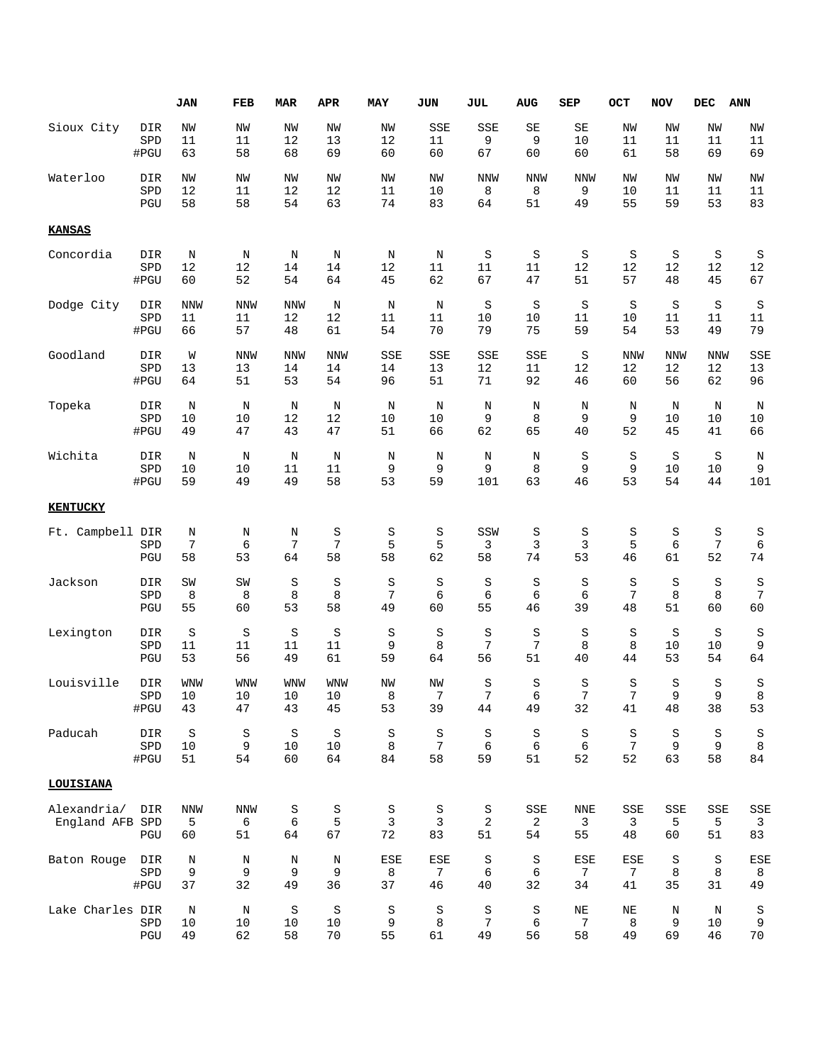|                                |                    | JAN                   | FEB                   | <b>MAR</b>    | <b>APR</b>          | <b>MAY</b>         | <b>JUN</b>         | <b>JUL</b>                | <b>AUG</b>     | <b>SEP</b>     | OCT                 | <b>NOV</b>      | ${\tt DEC}$    | ANN            |
|--------------------------------|--------------------|-----------------------|-----------------------|---------------|---------------------|--------------------|--------------------|---------------------------|----------------|----------------|---------------------|-----------------|----------------|----------------|
| Sioux City                     | DIR                | NW                    | NW                    | NW            | ΝW                  | ΝW                 | SSE                | SSE                       | $\rm SE$       | SE             | ΝW                  | NW              | ΝW             | NW             |
|                                | SPD                | 11                    | 11                    | 12            | 13                  | 12                 | 11                 | 9                         | 9              | 10             | 11                  | 11              | 11             | 11             |
|                                | #PGU               | 63                    | 58                    | 68            | 69                  | 60                 | 60                 | 67                        | 60             | 60             | 61                  | 58              | 69             | 69             |
| Waterloo                       | DIR                | ΝW                    | NW                    | NW            | ΝW                  | NW                 | NW                 | NNW                       | <b>NNW</b>     | <b>NNW</b>     | NW                  | NW              | NW             | NW             |
|                                | SPD                | 12                    | 11                    | 12            | 12                  | 11                 | 10                 | 8                         | 8              | 9              | 10                  | 11              | 11             | 11             |
|                                | PGU                | 58                    | 58                    | 54            | 63                  | 74                 | 83                 | 64                        | 51             | 49             | 55                  | 59              | 53             | 83             |
| <b>KANSAS</b>                  |                    |                       |                       |               |                     |                    |                    |                           |                |                |                     |                 |                |                |
| Concordia                      | DIR                | Ν                     | Ν                     | N             | Ν                   | Ν                  | Ν                  | S                         | S              | S              | S                   | S               | $\rm S$        | S              |
|                                | SPD                | 12                    | 12                    | 14            | 14                  | 12                 | 11                 | 11                        | 11             | 12             | 12                  | 12              | 12             | $12\,$         |
|                                | #PGU               | 60                    | 52                    | 54            | 64                  | 45                 | 62                 | 67                        | 47             | 51             | 57                  | 48              | 45             | 67             |
| Dodge City                     | DIR                | <b>NNW</b>            | <b>NNW</b>            | <b>NNW</b>    | N                   | Ν                  | Ν                  | S                         | S              | S              | S                   | S               | S              | S              |
|                                | SPD                | 11                    | 11                    | 12            | 12                  | 11                 | 11                 | 10                        | 10             | 11             | 10                  | 11              | 11             | 11             |
|                                | #PGU               | 66                    | 57                    | 48            | 61                  | 54                 | 70                 | 79                        | 75             | 59             | 54                  | 53              | 49             | 79             |
| Goodland                       | DIR                | W                     | <b>NNW</b>            | <b>NNW</b>    | <b>NNW</b>          | SSE                | SSE                | SSE                       | SSE            | S              | <b>NNW</b>          | <b>NNW</b>      | <b>NNW</b>     | SSE            |
|                                | SPD                | 13                    | 13                    | 14            | 14                  | 14                 | 13                 | $12$                      | 11             | $12$           | 12                  | 12              | 12             | 13             |
|                                | #PGU               | 64                    | 51                    | 53            | 54                  | 96                 | 51                 | 71                        | 92             | 46             | 60                  | 56              | 62             | 96             |
| Topeka                         | DIR                | N                     | N                     | N             | N                   | N                  | N                  | N                         | N              | N              | N                   | N               | N              | N              |
|                                | SPD                | 10                    | 10                    | 12            | 12                  | 10                 | 10                 | 9                         | 8              | 9              | 9                   | 10              | 10             | 10             |
|                                | #PGU               | 49                    | 47                    | 43            | 47                  | 51                 | 66                 | 62                        | 65             | 40             | 52                  | 45              | 41             | 66             |
| Wichita                        | DIR                | N                     | N                     | N             | N                   | N                  | N                  | N                         | N              | S              | $\rm S$             | S               | $\rm S$        | $\rm N$        |
|                                | SPD                | 10                    | 10                    | 11            | 11                  | 9                  | 9                  | 9                         | 8              | 9              | 9                   | 10              | 10             | 9              |
|                                | #PGU               | 59                    | 49                    | 49            | 58                  | 53                 | 59                 | 101                       | 63             | 46             | 53                  | 54              | 44             | 101            |
| <b>KENTUCKY</b>                |                    |                       |                       |               |                     |                    |                    |                           |                |                |                     |                 |                |                |
| Ft. Campbell                   | DIR                | Ν                     | Ν                     | Ν             | S                   | S                  | S                  | SSW                       | S              | S              | S                   | S               | S              | S              |
|                                | SPD                | 7                     | 6                     | 7             | 7                   | 5                  | 5                  | 3                         | 3              | 3              | 5                   | $6\phantom{1}6$ | 7              | $\epsilon$     |
|                                | PGU                | 58                    | 53                    | 64            | 58                  | 58                 | 62                 | 58                        | 74             | 53             | 46                  | 61              | 52             | 74             |
| Jackson                        | DIR                | SW                    | SW                    | S             | S                   | $\rm S$            | S                  | S                         | S              | S              | S                   | S               | S              | S              |
|                                | SPD                | 8                     | 8                     | 8             | 8                   | 7                  | 6                  | 6                         | 6              | 6              | 7                   | 8               | 8              | $\overline{7}$ |
|                                | PGU                | 55                    | 60                    | 53            | 58                  | 49                 | 60                 | 55                        | 46             | 39             | 48                  | 51              | 60             | 60             |
| Lexington                      | DIR                | $\rm S$               | S                     | S             | $\rm S$             | $\rm S$            | $\rm S$            | $\rm S$                   | $\rm S$        | S              | S                   | S               | $\rm S$        | S              |
|                                | SPD                | 11                    | 11                    | 11            | $11\,$              | 9                  | 8                  | 7                         | 7              | 8              | 8                   | 10              | 10             | 9              |
|                                | PGU                | 53                    | 56                    | 49            | 61                  | 59                 | 64                 | 56                        | 51             | 40             | 44                  | 53              | 54             | 64             |
| Louisville                     | DIR                | <b>WNW</b>            | <b>WNW</b>            | <b>WNW</b>    | <b>WNW</b>          | NW                 | NW                 | $\rm S$                   | S              | S              | S                   | S               | S              | S              |
|                                | ${\tt SPD}$        | 10                    | $10^{-}$              | 10            | 10                  | 8                  | 7                  | 7                         | 6              | 7              | 7                   | 9               | q              | 8              |
|                                | #PGU               | 43                    | 47                    | 43            | 45                  | 53                 | 39                 | 44                        | 49             | 32             | 41                  | 48              | 38             | 53             |
| Paducah                        | DIR                | S                     | S                     | S             | S                   | S                  | S                  | S                         | S              | S              | S                   | S               | S              | $\rm S$        |
|                                | SPD                | 10                    | 9                     | 10            | 10                  | 8                  | 7                  | 6                         | 6              | 6              | $7\phantom{.}$      | 9               | 9              | $\,8\,$        |
|                                | #PGU               | 51                    | 54                    | 60            | 64                  | 84                 | 58                 | 59                        | 51             | 52             | 52                  | 63              | 58             | 84             |
| LOUISIANA                      |                    |                       |                       |               |                     |                    |                    |                           |                |                |                     |                 |                |                |
| Alexandria/<br>England AFB SPD | DIR<br>PGU         | <b>NNW</b><br>5<br>60 | <b>NNW</b><br>6<br>51 | S<br>6<br>64  | S<br>5<br>67        | S<br>3<br>72       | S<br>3<br>83       | S<br>2<br>51              | SSE<br>2<br>54 | NNE<br>3<br>55 | SSE<br>3<br>48      | SSE<br>5<br>60  | SSE<br>5<br>51 | SSE<br>3<br>83 |
| Baton Rouge                    | DIR                | N                     | Ν                     | Ν             | Ν                   | ESE                | ESE                | S                         | S              | ESE            | ESE                 | S               | S              | ESE            |
|                                | SPD                | 9                     | 9                     | 9             | 9                   | 8                  | 7                  | 6                         | 6              | $\overline{7}$ | 7                   | 8               | 8              | 8              |
|                                | #PGU               | 37                    | 32                    | 49            | 36                  | 37                 | 46                 | 40                        | 32             | 34             | 41                  | 35              | 31             | 49             |
| Lake Charles DIR               | ${\tt SPD}$<br>PGU | N<br>10<br>49         | N<br>10<br>62         | S<br>10<br>58 | $\rm S$<br>10<br>70 | $\rm S$<br>9<br>55 | $\rm S$<br>8<br>61 | S<br>$\overline{7}$<br>49 | S<br>6<br>56   | NE<br>7<br>58  | $\rm NE$<br>8<br>49 | Ν<br>9<br>69    | N<br>10<br>46  | S<br>9<br>70   |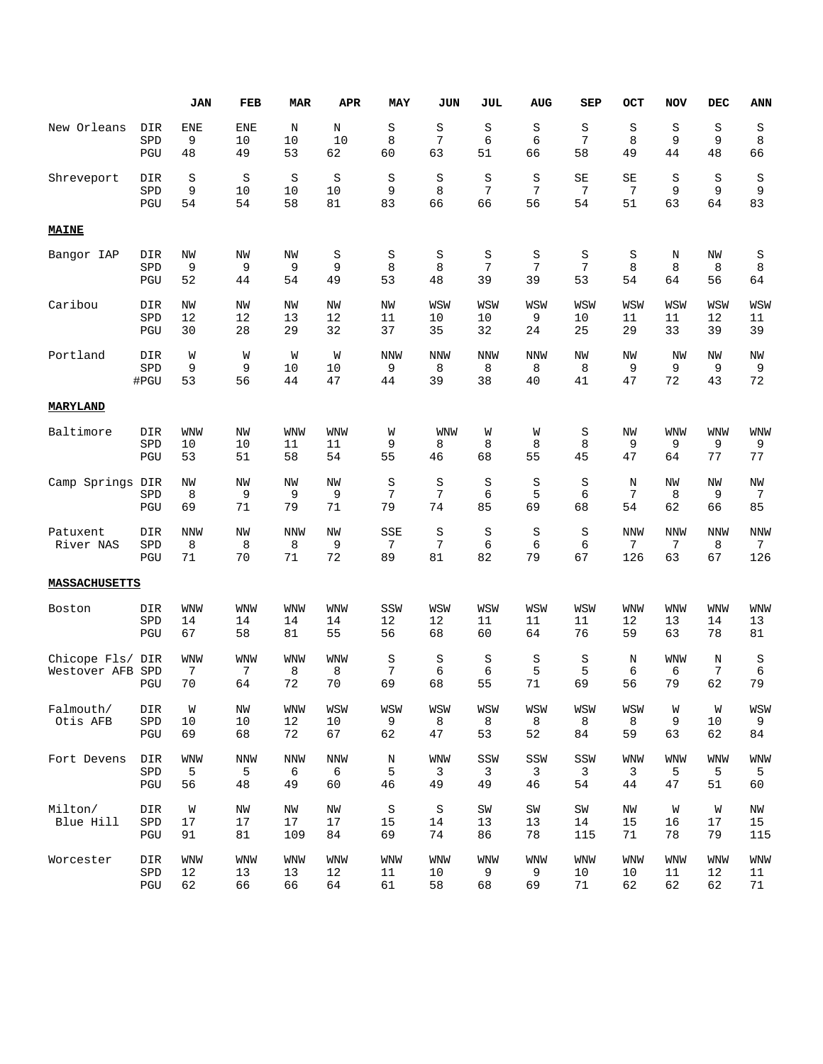|                                  |                   | <b>JAN</b>            | FEB              | <b>MAR</b>            | <b>APR</b>            | MAY                 | JUN                | JUL                | <b>AUG</b>             | SEP                      | <b>OCT</b>             | <b>NOV</b>            | DEC             | <b>ANN</b>            |
|----------------------------------|-------------------|-----------------------|------------------|-----------------------|-----------------------|---------------------|--------------------|--------------------|------------------------|--------------------------|------------------------|-----------------------|-----------------|-----------------------|
| New Orleans                      | DIR               | <b>ENE</b>            | <b>ENE</b>       | N                     | N                     | S                   | S                  | S                  | $\rm S$                | S                        | S                      | S                     | S               | S                     |
|                                  | SPD               | 9                     | 10               | 10                    | 10                    | 8                   | $\overline{7}$     | 6                  | 6                      | 7                        | 8                      | 9                     | 9               | 8                     |
|                                  | PGU               | 48                    | 49               | 53                    | 62                    | 60                  | 63                 | 51                 | 66                     | 58                       | 49                     | 44                    | 48              | 66                    |
| Shreveport                       | DIR               | S                     | S                | S                     | $\rm S$               | S                   | S                  | S                  | $\rm S$                | SE                       | SE                     | S                     | S               | S                     |
|                                  | SPD               | 9                     | 10               | 10                    | 10                    | 9                   | 8                  | 7                  | 7                      | 7                        | 7                      | 9                     | 9               | 9                     |
|                                  | PGU               | 54                    | 54               | 58                    | 81                    | 83                  | 66                 | 66                 | 56                     | 54                       | 51                     | 63                    | 64              | 83                    |
| <b>MAINE</b>                     |                   |                       |                  |                       |                       |                     |                    |                    |                        |                          |                        |                       |                 |                       |
| Bangor IAP                       | DIR               | NW                    | NW               | NW                    | S                     | S                   | S                  | S                  | S                      | S                        | S                      | N                     | NW              | S                     |
|                                  | SPD               | 9                     | 9                | 9                     | 9                     | 8                   | 8                  | 7                  | 7                      | 7                        | 8                      | 8                     | 8               | 8                     |
|                                  | PGU               | 52                    | 44               | 54                    | 49                    | 53                  | 48                 | 39                 | 39                     | 53                       | 54                     | 64                    | 56              | 64                    |
| Caribou                          | DIR               | NW                    | NW               | NW                    | NW                    | NW                  | WSW                | WSW                | WSW                    | WSW                      | WSW                    | WSW                   | WSW             | WSW                   |
|                                  | SPD               | 12                    | 12               | 13                    | 12                    | 11                  | 10                 | 10                 | 9                      | 10                       | 11                     | 11                    | 12              | 11                    |
|                                  | PGU               | 30                    | 28               | 29                    | 32                    | 37                  | 35                 | 32                 | 24                     | 25                       | 29                     | 33                    | 39              | 39                    |
| Portland                         | DIR               | W                     | W                | W                     | W                     | <b>NNW</b>          | <b>NNW</b>         | <b>NNW</b>         | <b>NNW</b>             | <b>NW</b>                | NW                     | <b>NW</b>             | <b>NW</b>       | NW                    |
|                                  | SPD               | 9                     | 9                | 10                    | 10                    | 9                   | 8                  | 8                  | 8                      | 8                        | 9                      | 9                     | 9               | 9                     |
|                                  | #PGU              | 53                    | 56               | 44                    | 47                    | 44                  | 39                 | 38                 | 40                     | 41                       | 47                     | 72                    | 43              | 72                    |
| MARYLAND                         |                   |                       |                  |                       |                       |                     |                    |                    |                        |                          |                        |                       |                 |                       |
| Baltimore                        | DIR               | <b>WNW</b>            | ΝW               | <b>WNW</b>            | <b>WNW</b>            | W                   | <b>WNW</b>         | W                  | W                      | S                        | NW                     | <b>WNW</b>            | WNW             | WNW                   |
|                                  | SPD               | 10                    | 10               | 11                    | 11                    | 9                   | 8                  | 8                  | 8                      | 8                        | 9                      | 9                     | 9               | 9                     |
|                                  | PGU               | 53                    | 51               | 58                    | 54                    | 55                  | 46                 | 68                 | 55                     | 45                       | 47                     | 64                    | 77              | 77                    |
| Camp Springs DIR                 | SPD<br>PGU        | NW<br>8<br>69         | NW<br>9<br>71    | NW<br>9<br>79         | NW<br>9<br>71         | $\rm S$<br>7<br>79  | $\rm S$<br>7<br>74 | S<br>6<br>85       | $\rm S$<br>5<br>69     | S<br>6<br>68             | N<br>7<br>54           | NW<br>8<br>62         | NW<br>9<br>66   | ΝW<br>7<br>85         |
| Patuxent<br>River NAS            | DIR<br>SPD<br>PGU | <b>NNW</b><br>8<br>71 | NW<br>8<br>70    | <b>NNW</b><br>8<br>71 | NW<br>9<br>72         | SSE<br>7<br>89      | S<br>7<br>81       | $\rm S$<br>6<br>82 | $\rm S$<br>6<br>79     | S<br>6<br>67             | <b>NNW</b><br>7<br>126 | <b>NNW</b><br>7<br>63 | NNW<br>8<br>67  | NNW<br>7<br>126       |
| <b>MASSACHUSETTS</b>             |                   |                       |                  |                       |                       |                     |                    |                    |                        |                          |                        |                       |                 |                       |
| Boston                           | DIR               | <b>WNW</b>            | WNW              | <b>WNW</b>            | <b>WNW</b>            | SSW                 | WSW                | WSW                | WSW                    | WSW                      | <b>WNW</b>             | <b>WNW</b>            | WNW             | <b>WNW</b>            |
|                                  | SPD               | 14                    | 14               | 14                    | 14                    | 12                  | 12                 | 11                 | 11                     | 11                       | 12                     | 13                    | 14              | 13                    |
|                                  | PGU               | 67                    | 58               | 81                    | 55                    | 56                  | 68                 | 60                 | 64                     | 76                       | 59                     | 63                    | 78              | 81                    |
| Chicope Fls/ DIR<br>Westover AFB | SPD<br>PGU        | WNW<br>7<br>70        | WNW<br>7<br>64   | <b>WNW</b><br>8<br>72 | <b>WNW</b><br>8<br>70 | $\rm S$<br>7<br>69  | $\rm S$<br>6<br>68 | $\rm S$<br>6<br>55 | $\rm S$<br>5<br>71     | S<br>5<br>69             | N<br>6<br>56           | <b>WNW</b><br>6<br>79 | N<br>7<br>62    | S<br>$\epsilon$<br>79 |
| Falmouth/<br>Otis AFB            | DIR<br>SPD<br>PGU | W<br>10<br>69         | ΝW<br>$10$<br>68 | WNW<br>12<br>72       | WSW<br>10<br>67       | WSW<br>9<br>62      | WSW<br>8<br>47     | WSW<br>8<br>53     | WSW<br>8<br>52         | WSW<br>8<br>84           | WSW<br>8<br>59         | W<br>9<br>63          | W<br>$10$<br>62 | WSW<br>9<br>84        |
| Fort Devens                      | DIR               | WNW                   | <b>NNW</b>       | <b>NNW</b>            | <b>NNW</b>            | $\rm N$             | <b>WNW</b>         | SSW                | SSW                    | SSW                      | <b>WNW</b>             | <b>WNW</b>            | <b>WNW</b>      | <b>WNW</b>            |
|                                  | SPD               | 5                     | 5                | 6                     | 6                     | 5                   | 3                  | 3                  | 3                      | 3                        | 3                      | 5                     | 5               | 5                     |
|                                  | PGU               | 56                    | 48               | 49                    | 60                    | 46                  | 49                 | 49                 | 46                     | 54                       | 44                     | 47                    | 51              | 60                    |
| Milton/<br>Blue Hill             | DIR<br>SPD<br>PGU | W<br>$17$<br>91       | ΝW<br>17<br>81   | ΝW<br>17<br>109       | ΝW<br>17<br>84        | $\rm S$<br>15<br>69 | S<br>14<br>74      | SW<br>13<br>86     | ${\tt SW}$<br>13<br>78 | $\mbox{SW}$<br>14<br>115 | ΝW<br>15<br>71         | W<br>16<br>78         | W<br>17<br>79   | ΝW<br>15<br>115       |
| Worcester                        | DIR               | <b>WNW</b>            | <b>WNW</b>       | <b>WNW</b>            | WNW                   | <b>WNW</b>          | <b>WNW</b>         | <b>WNW</b>         | WNW                    | <b>WNW</b>               | WNW                    | <b>WNW</b>            | <b>WNW</b>      | WNW                   |
|                                  | SPD               | 12                    | 13               | 13                    | 12                    | 11                  | 10                 | 9                  | 9                      | 10                       | 10                     | 11                    | 12              | 11                    |
|                                  | PGU               | 62                    | 66               | 66                    | 64                    | 61                  | 58                 | 68                 | 69                     | 71                       | 62                     | 62                    | 62              | 71                    |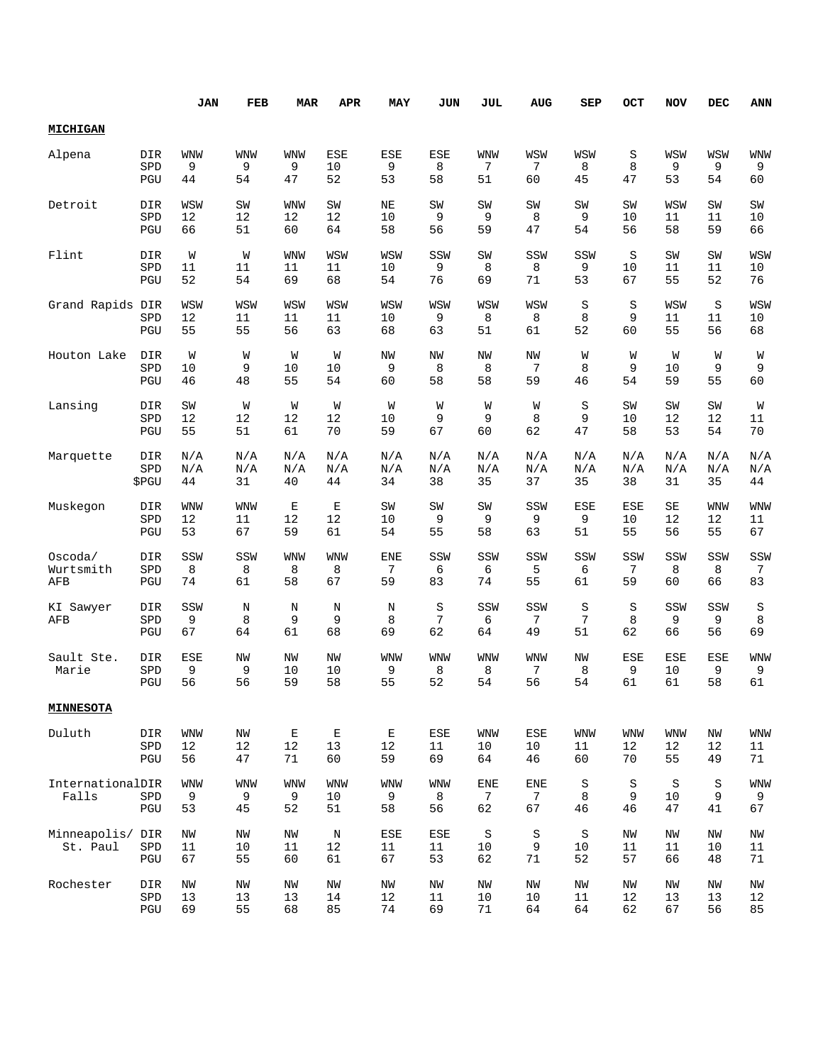|                           |                                      | JAN                   | FEB                   | <b>MAR</b>              | <b>APR</b>               | MAY                   | JUN             | JUL                   | <b>AUG</b>            | SEP                 | OCT                | <b>NOV</b>             | DEC                   | <b>ANN</b>            |
|---------------------------|--------------------------------------|-----------------------|-----------------------|-------------------------|--------------------------|-----------------------|-----------------|-----------------------|-----------------------|---------------------|--------------------|------------------------|-----------------------|-----------------------|
| <b>MICHIGAN</b>           |                                      |                       |                       |                         |                          |                       |                 |                       |                       |                     |                    |                        |                       |                       |
| Alpena                    | DIR                                  | WNW                   | <b>WNW</b>            | <b>WNW</b>              | <b>ESE</b>               | ESE                   | ESE             | <b>WNW</b>            | WSW                   | WSW                 | S                  | WSW                    | WSW                   | <b>WNW</b>            |
|                           | SPD                                  | 9                     | 9                     | 9                       | 10                       | 9                     | 8               | 7                     | 7                     | 8                   | 8                  | 9                      | 9                     | 9                     |
|                           | PGU                                  | 44                    | 54                    | 47                      | 52                       | 53                    | 58              | 51                    | 60                    | 45                  | 47                 | 53                     | 54                    | 60                    |
| Detroit                   | DIR                                  | WSW                   | SW                    | <b>WNW</b>              | SW                       | ΝE                    | SW              | SW                    | SW                    | SW                  | SW                 | WSW                    | SW                    | SW                    |
|                           | SPD                                  | 12                    | 12                    | 12                      | 12                       | 10                    | 9               | 9                     | 8                     | 9                   | 10                 | 11                     | 11                    | 10                    |
|                           | PGU                                  | 66                    | 51                    | 60                      | 64                       | 58                    | 56              | 59                    | 47                    | 54                  | 56                 | 58                     | 59                    | 66                    |
| Flint                     | DIR                                  | W                     | W                     | <b>WNW</b>              | WSW                      | WSW                   | SSW             | SW                    | SSW                   | SSW                 | S                  | SW                     | SW                    | WSW                   |
|                           | SPD                                  | 11                    | 11                    | 11                      | 11                       | 10                    | 9               | 8                     | 8                     | 9                   | 10                 | 11                     | 11                    | 10                    |
|                           | PGU                                  | 52                    | 54                    | 69                      | 68                       | 54                    | 76              | 69                    | 71                    | 53                  | 67                 | 55                     | 52                    | 76                    |
| Grand Rapids DIR          | SPD<br>PGU                           | WSW<br>12<br>55       | WSW<br>11<br>55       | WSW<br>11<br>56         | WSW<br>11<br>63          | WSW<br>10<br>68       | WSW<br>9<br>63  | WSW<br>8<br>51        | WSW<br>8<br>61        | S<br>8<br>52        | S<br>9<br>60       | WSW<br>11<br>55        | S<br>11<br>56         | WSW<br>10<br>68       |
| Houton Lake               | DIR                                  | W                     | W                     | W                       | W                        | NW                    | NW              | NW                    | NW                    | W                   | W                  | W                      | W                     | W                     |
|                           | SPD                                  | 10                    | 9                     | 10                      | 10                       | 9                     | 8               | 8                     | 7                     | 8                   | 9                  | 10                     | 9                     | 9                     |
|                           | PGU                                  | 46                    | 48                    | 55                      | 54                       | 60                    | 58              | 58                    | 59                    | 46                  | 54                 | 59                     | 55                    | 60                    |
| Lansing                   | DIR                                  | SW                    | W                     | W                       | W                        | W                     | W               | W                     | W                     | S                   | SW                 | SW                     | SW                    | W                     |
|                           | SPD                                  | 12                    | 12                    | 12                      | 12                       | 10                    | 9               | 9                     | 8                     | 9                   | 10                 | 12                     | 12                    | 11                    |
|                           | PGU                                  | 55                    | 51                    | 61                      | 70                       | 59                    | 67              | 60                    | 62                    | 47                  | 58                 | 53                     | 54                    | 70                    |
| Marquette                 | DIR                                  | N/A                   | N/A                   | N/A                     | N/A                      | N/A                   | N/A             | N/A                   | N/A                   | N/A                 | N/A                | N/A                    | N/A                   | N/A                   |
|                           | SPD                                  | N/A                   | N/A                   | $\mathrm{N}/\mathrm{A}$ | N/A                      | N/A                   | N/A             | N/A                   | N/A                   | N/A                 | N/A                | N/A                    | N/A                   | N/A                   |
|                           | \$PGU                                | 44                    | 31                    | 40                      | 44                       | 34                    | 38              | 35                    | 37                    | 35                  | 38                 | 31                     | 35                    | 44                    |
| Muskegon                  | DIR                                  | <b>WNW</b>            | <b>WNW</b>            | E                       | Е                        | SW                    | SW              | SW                    | SSW                   | ESE                 | ESE                | SE                     | <b>WNW</b>            | <b>WNW</b>            |
|                           | SPD                                  | 12                    | 11                    | 12                      | 12                       | 10                    | 9               | 9                     | 9                     | 9                   | 10                 | 12                     | 12                    | 11                    |
|                           | PGU                                  | 53                    | 67                    | 59                      | 61                       | 54                    | 55              | 58                    | 63                    | 51                  | 55                 | 56                     | 55                    | 67                    |
| Oscoda/                   | DIR                                  | SSW                   | SSW                   | WNW                     | WNW                      | <b>ENE</b>            | SSW             | SSW                   | SSW                   | SSW                 | SSW                | SSW                    | SSW                   | SSW                   |
| Wurtsmith                 | SPD                                  | 8                     | 8                     | 8                       | 8                        | 7                     | 6               | 6                     | 5                     | 6                   | 7                  | 8                      | 8                     | 7                     |
| AFB                       | PGU                                  | 74                    | 61                    | 58                      | 67                       | 59                    | 83              | 74                    | 55                    | 61                  | 59                 | 60                     | 66                    | 83                    |
| KI Sawyer<br>AFB          | DIR<br>SPD<br>PGU                    | SSW<br>9<br>67        | Ν<br>8<br>64          | N<br>9<br>61            | Ν<br>9<br>68             | Ν<br>8<br>69          | S<br>7<br>62    | SSW<br>6<br>64        | SSW<br>7<br>49        | S<br>7<br>51        | $\rm S$<br>8<br>62 | SSW<br>9<br>66         | SSW<br>9<br>56        | S<br>8<br>69          |
| Sault Ste.<br>Marie       | DIR<br>SPD<br>PGU                    | ESE<br>9<br>56        | NW<br>9<br>56         | ΝW<br>10<br>59          | NW<br>10<br>58           | <b>WNW</b><br>9<br>55 | WNW<br>8<br>52  | <b>WNW</b><br>8<br>54 | WNW<br>7<br>56        | ΝW<br>8<br>54       | ESE<br>9<br>61     | <b>ESE</b><br>10<br>61 | <b>ESE</b><br>9<br>58 | <b>WNW</b><br>9<br>61 |
| <b>MINNESOTA</b>          |                                      |                       |                       |                         |                          |                       |                 |                       |                       |                     |                    |                        |                       |                       |
| Duluth                    | DIR                                  | WNW                   | ΝW                    | E                       | Е                        | Ε                     | ESE             | WNW                   | ESE                   | <b>WNW</b>          | WNW                | WNW                    | ΝW                    | <b>WNW</b>            |
|                           | ${\tt SPD}$                          | 12                    | 12                    | 12                      | 13                       | 12                    | 11              | 10                    | 10                    | 11                  | 12                 | 12                     | 12                    | 11                    |
|                           | PGU                                  | 56                    | 47                    | 71                      | 60                       | 59                    | 69              | 64                    | 46                    | 60                  | $70$               | 55                     | 49                    | 71                    |
| InternationalDIR<br>Falls | SPD<br>$\operatorname{\mathsf{PGU}}$ | <b>WNW</b><br>9<br>53 | <b>WNW</b><br>9<br>45 | <b>WNW</b><br>9<br>52   | <b>WNW</b><br>10<br>51   | <b>WNW</b><br>9<br>58 | WNW<br>8<br>56  | <b>ENE</b><br>7<br>62 | <b>ENE</b><br>7<br>67 | $\rm S$<br>8<br>46  | $\rm S$<br>9<br>46 | S<br>10<br>47          | S<br>9<br>41          | <b>WNW</b><br>9<br>67 |
| Minneapolis/<br>St. Paul  | DIR<br>SPD<br>PGU                    | NW<br>11<br>67        | NW<br>10<br>55        | NW<br>11<br>60          | $\, {\rm N}$<br>12<br>61 | ESE<br>11<br>67       | ESE<br>11<br>53 | $\rm S$<br>10<br>62   | $\rm S$<br>9<br>71    | $\rm S$<br>10<br>52 | NW<br>11<br>57     | ΝW<br>11<br>66         | NW<br>10<br>48        | ΝW<br>11<br>71        |
| Rochester                 | DIR                                  | ΝW                    | ΝW                    | NW                      | ΝW                       | ΝW                    | ΝW              | ΝW                    | ΝW                    | ΝW                  | ΝW                 | NW                     | NW                    | ΝW                    |
|                           | SPD                                  | 13                    | 13                    | 13                      | 14                       | 12                    | 11              | 10                    | 10                    | 11                  | 12                 | 13                     | 13                    | 12                    |
|                           | PGU                                  | 69                    | 55                    | 68                      | 85                       | 74                    | 69              | $71\,$                | 64                    | 64                  | 62                 | 67                     | 56                    | 85                    |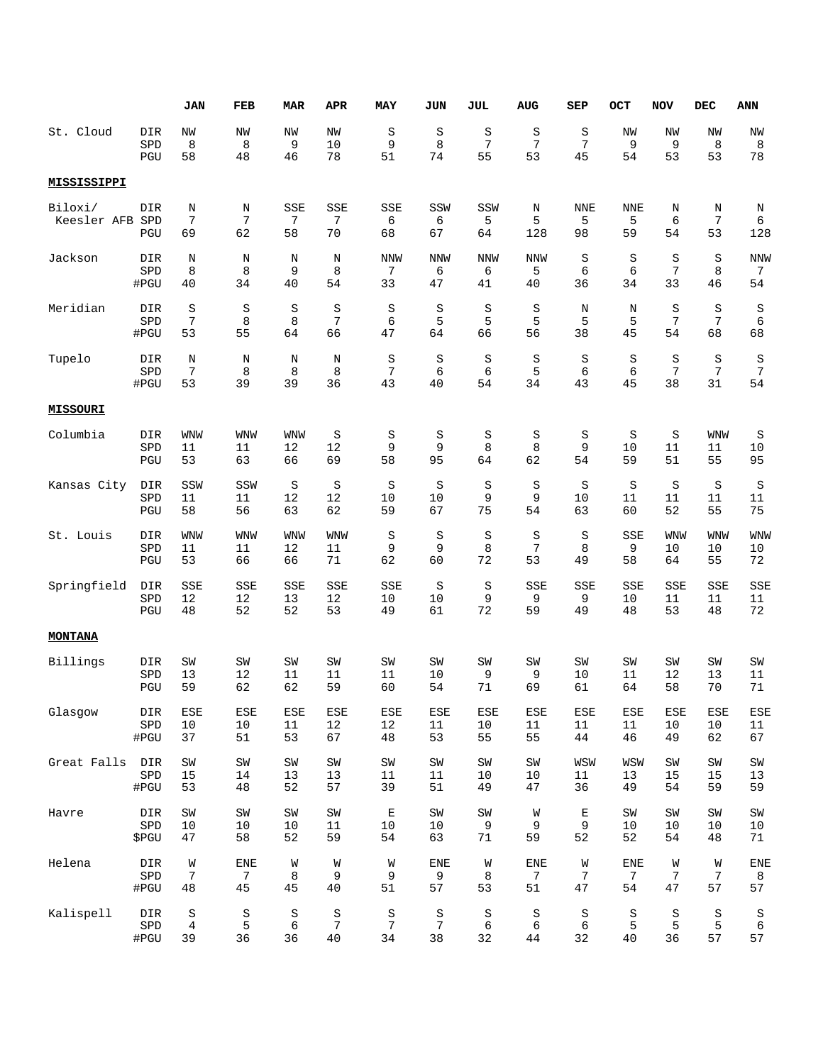|                        |                   | JAN                       | FEB            | <b>MAR</b>                  | <b>APR</b>      | MAY            | JUN            | JUL            | <b>AUG</b>    | SEP            | OCT            | <b>NOV</b>     | <b>DEC</b>   | ANN            |
|------------------------|-------------------|---------------------------|----------------|-----------------------------|-----------------|----------------|----------------|----------------|---------------|----------------|----------------|----------------|--------------|----------------|
| St. Cloud              | DIR               | NW                        | NW             | NW                          | NW              | S              | S              | S              | S             | S              | NW             | NW             | NW           | NW             |
|                        | SPD               | 8                         | 8              | 9                           | 10              | 9              | 8              | 7              | 7             | 7              | 9              | 9              | 8            | 8              |
|                        | PGU               | 58                        | 48             | 46                          | 78              | 51             | 74             | 55             | 53            | 45             | 54             | 53             | 53           | 78             |
| MISSISSIPPI            |                   |                           |                |                             |                 |                |                |                |               |                |                |                |              |                |
| Biloxi/<br>Keesler AFB | DIR<br>SPD<br>PGU | Ν<br>$\overline{7}$<br>69 | Ν<br>7<br>62   | SSE<br>$\overline{7}$<br>58 | SSE<br>7<br>70  | SSE<br>6<br>68 | SSW<br>6<br>67 | SSW<br>5<br>64 | Ν<br>5<br>128 | NNE<br>5<br>98 | NNE<br>5<br>59 | Ν<br>6<br>54   | N<br>7<br>53 | Ν<br>6<br>128  |
| Jackson                | DIR               | Ν                         | Ν              | N                           | Ν               | <b>NNW</b>     | <b>NNW</b>     | NNW            | <b>NNW</b>    | S              | S              | S              | $\rm S$      | NNW            |
|                        | SPD               | 8                         | 8              | 9                           | 8               | 7              | 6              | 6              | 5             | 6              | 6              | $\overline{7}$ | 8            | 7              |
|                        | #PGU              | 40                        | 34             | 40                          | 54              | 33             | 47             | 41             | 40            | 36             | 34             | 33             | 46           | 54             |
| Meridian               | DIR               | S                         | S              | S                           | S               | $\rm S$        | $\rm S$        | S              | S             | N              | N              | S              | S            | S              |
|                        | SPD               | $\overline{7}$            | 8              | 8                           | $7\phantom{.0}$ | 6              | 5              | 5              | 5             | 5              | 5              | $\overline{7}$ | 7            | 6              |
|                        | #PGU              | 53                        | 55             | 64                          | 66              | 47             | 64             | 66             | 56            | 38             | 45             | 54             | 68           | 68             |
| Tupelo                 | DIR               | Ν                         | Ν              | N                           | Ν               | $\rm S$        | $\rm S$        | $\rm S$        | S             | S              | $\rm S$        | S              | $\rm S$      | $\rm S$        |
|                        | SPD               | 7                         | 8              | 8                           | 8               | 7              | 6              | 6              | 5             | 6              | 6              | 7              | 7            | $\overline{7}$ |
|                        | #PGU              | 53                        | 39             | 39                          | 36              | 43             | 40             | 54             | 34            | 43             | 45             | 38             | 31           | 54             |
| <b>MISSOURI</b>        |                   |                           |                |                             |                 |                |                |                |               |                |                |                |              |                |
| Columbia               | DIR               | WNW                       | <b>WNW</b>     | <b>WNW</b>                  | S               | S              | S              | S              | S             | S              | S              | S              | WNW          | S              |
|                        | SPD               | 11                        | 11             | 12                          | 12              | 9              | 9              | 8              | 8             | 9              | 10             | 11             | 11           | 10             |
|                        | PGU               | 53                        | 63             | 66                          | 69              | 58             | 95             | 64             | 62            | 54             | 59             | 51             | 55           | 95             |
| Kansas City            | DIR               | SSW                       | SSW            | S                           | $\rm S$         | S              | S              | S              | $\rm S$       | S              | $\rm S$        | S              | S            | S              |
|                        | SPD               | 11                        | 11             | 12                          | 12              | 10             | 10             | 9              | 9             | 10             | 11             | 11             | 11           | 11             |
|                        | PGU               | 58                        | 56             | 63                          | 62              | 59             | 67             | 75             | 54            | 63             | 60             | 52             | 55           | 75             |
| St. Louis              | DIR               | WNW                       | <b>WNW</b>     | <b>WNW</b>                  | <b>WNW</b>      | $\rm S$        | $\rm S$        | $\rm S$        | $\rm S$       | S              | SSE            | WNW            | <b>WNW</b>   | <b>WNW</b>     |
|                        | SPD               | 11                        | 11             | 12                          | 11              | 9              | 9              | 8              | 7             | 8              | 9              | 10             | 10           | 10             |
|                        | PGU               | 53                        | 66             | 66                          | 71              | 62             | 60             | 72             | 53            | 49             | 58             | 64             | 55           | 72             |
| Springfield            | DIR               | SSE                       | SSE            | SSE                         | SSE             | SSE            | S              | S              | SSE           | SSE            | SSE            | SSE            | SSE          | SSE            |
|                        | SPD               | 12                        | 12             | 13                          | 12              | 10             | 10             | 9              | 9             | 9              | 10             | 11             | 11           | 11             |
|                        | PGU               | 48                        | 52             | 52                          | 53              | 49             | 61             | 72             | 59            | 49             | 48             | 53             | 48           | 72             |
| <b>MONTANA</b>         |                   |                           |                |                             |                 |                |                |                |               |                |                |                |              |                |
| Billings               | DIR               | SW                        | SW             | SW                          | SW              | SW             | SW             | SW             | SW            | SW             | SW             | SW             | SW           | SW             |
|                        | SPD               | 13                        | 12             | 11                          | 11              | 11             | 10             | 9              | 9             | 10             | 11             | 12             | 13           | 11             |
|                        | PGU               | 59                        | 62             | 62                          | 59              | 60             | 54             | 71             | 69            | 61             | 64             | 58             | 70           | $71\,$         |
| Glasgow                | DIR               | ESE                       | ESE            | ESE                         | ESE             | ESE            | ESE            | ESE            | ESE           | ESE            | ESE            | ESE            | ESE          | ESE            |
|                        | SPD               | $10$                      | 10             | 11                          | $1\,2$          | 12             | 11             | 10             | 11            | 11             | 11             | 10             | 10           | 11             |
|                        | #PGU              | 37                        | 51             | 53                          | 67              | 48             | 53             | 55             | 55            | 44             | 46             | 49             | 62           | 67             |
| Great Falls            | DIR               | SW                        | SW             | SW                          | SW              | SW             | SW             | SW             | ${\tt SW}$    | WSW            | WSW            | SW             | SW           | SW             |
|                        | SPD               | 15                        | 14             | 13                          | 13              | 11             | 11             | 10             | 10            | 11             | 13             | 15             | 15           | 13             |
|                        | #PGU              | 53                        | 48             | 52                          | 57              | 39             | 51             | 49             | 47            | 36             | 49             | 54             | 59           | 59             |
| Havre                  | DIR               | SW                        | SW             | SW                          | $\mbox{SW}$     | Е              | SW             | ${\tt SW}$     | W             | Е              | SW             | SW             | SW           | SW             |
|                        | SPD               | 10                        | 10             | 10                          | 11              | 10             | 10             | 9              | 9             | 9              | 10             | 10             | 10           | 10             |
|                        | \$PGU             | 47                        | 58             | 52                          | 59              | 54             | 63             | 71             | 59            | 52             | 52             | 54             | 48           | 71             |
| Helena                 | DIR               | W                         | <b>ENE</b>     | W                           | W               | W              | <b>ENE</b>     | W              | ENE           | W              | <b>ENE</b>     | W              | W            | ENE            |
|                        | SPD               | 7                         | $\overline{7}$ | 8                           | 9               | 9              | 9              | 8              | 7             | 7              | 7              | 7              | 7            | 8              |
|                        | #PGU              | 48                        | 45             | 45                          | 40              | 51             | 57             | 53             | 51            | 47             | 54             | 47             | 57           | 57             |
| Kalispell              | DIR               | S                         | S              | S                           | S               | $\rm S$        | S              | S              | S             | S              | S              | S              | S            | S              |
|                        | SPD               | 4                         | 5              | 6                           | 7               | $\overline{7}$ | 7              | 6              | 6             | 6              | 5              | 5              | 5            | 6              |
|                        | #PGU              | 39                        | 36             | 36                          | $40$            | 34             | 38             | 32             | 44            | 32             | 40             | 36             | 57           | 57             |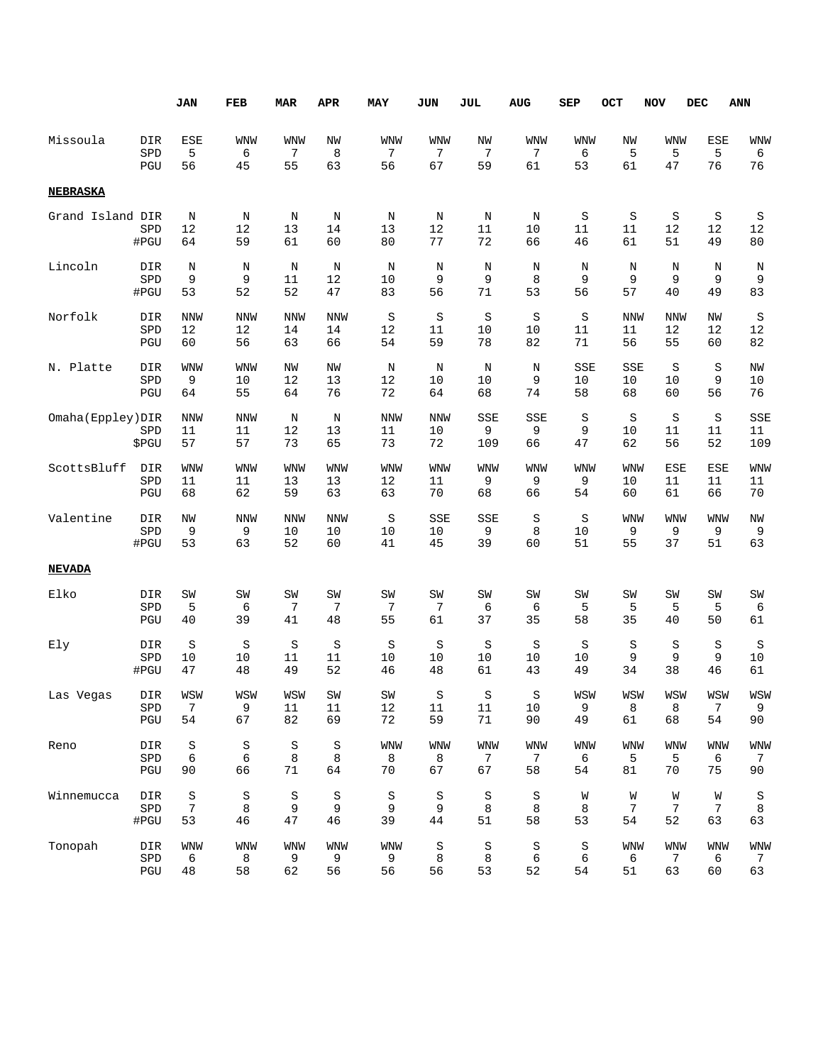|                    |              | <b>JAN</b>             | FEB             | <b>MAR</b>    | <b>APR</b>          | <b>MAY</b>      | JUN             | JUL                 | AUG            | SEP           | OCT           | <b>NOV</b>    | <b>DEC</b>       | <b>ANN</b>        |
|--------------------|--------------|------------------------|-----------------|---------------|---------------------|-----------------|-----------------|---------------------|----------------|---------------|---------------|---------------|------------------|-------------------|
| Missoula           | DIR          | ESE                    | <b>WNW</b>      | <b>WNW</b>    | NW                  | WNW             | <b>WNW</b>      | NW                  | WNW            | WNW           | NW            | <b>WNW</b>    | ESE              | WNW               |
|                    | SPD          | 5                      | 6               | 7             | 8                   | 7               | 7               | 7                   | 7              | 6             | 5             | 5             | 5                | 6                 |
|                    | PGU          | 56                     | 45              | 55            | 63                  | 56              | 67              | 59                  | 61             | 53            | 61            | 47            | 76               | 76                |
| <b>NEBRASKA</b>    |              |                        |                 |               |                     |                 |                 |                     |                |               |               |               |                  |                   |
| Grand Island DIR   | SPD<br>#PGU  | N<br>12<br>64          | Ν<br>12<br>59   | N<br>13<br>61 | $\rm N$<br>14<br>60 | N<br>13<br>80   | Ν<br>12<br>77   | $\rm N$<br>11<br>72 | N<br>10<br>66  | S<br>11<br>46 | S<br>11<br>61 | S<br>12<br>51 | S<br>12<br>49    | S<br>12<br>$8\,0$ |
| Lincoln            | DIR          | $\rm N$                | N               | N             | N                   | N               | N               | N                   | N              | N             | N             | N             | N                | N                 |
|                    | SPD          | 9                      | 9               | 11            | 12                  | 10              | 9               | 9                   | 8              | 9             | 9             | 9             | 9                | 9                 |
|                    | #PGU         | 53                     | 52              | 52            | 47                  | 83              | 56              | 71                  | 53             | 56            | 57            | 40            | 49               | 83                |
| Norfolk            | DIR          | <b>NNW</b>             | NNW             | <b>NNW</b>    | <b>NNW</b>          | S               | S               | S                   | S              | S             | <b>NNW</b>    | <b>NNW</b>    | NW               | S                 |
|                    | SPD          | 12                     | 12              | 14            | 14                  | 12              | 11              | 10                  | 10             | 11            | 11            | 12            | 12               | 12                |
|                    | PGU          | 60                     | 56              | 63            | 66                  | 54              | 59              | 78                  | 82             | 71            | 56            | 55            | 60               | 82                |
| N. Platte          | DIR          | WNW                    | WNW             | NW            | NW                  | Ν               | Ν               | N                   | Ν              | SSE           | SSE           | S             | S                | ΝW                |
|                    | SPD          | 9                      | 10              | 12            | 13                  | 12              | 10              | 10                  | 9              | 10            | 10            | 10            | 9                | 10                |
|                    | PGU          | 64                     | 55              | 64            | 76                  | 72              | 64              | 68                  | 74             | 58            | 68            | 60            | 56               | 76                |
| Omaha (Eppley) DIR | SPD<br>\$PGU | <b>NNW</b><br>11<br>57 | NNW<br>11<br>57 | N<br>12<br>73 | N<br>13<br>65       | NNW<br>11<br>73 | NNW<br>10<br>72 | SSE<br>9<br>109     | SSE<br>9<br>66 | S<br>9<br>47  | S<br>10<br>62 | S<br>11<br>56 | S<br>11<br>52    | SSE<br>11<br>109  |
| ScottsBluff        | DIR          | WNW                    | WNW             | WNW           | <b>WNW</b>          | WNW             | <b>WNW</b>      | <b>WNW</b>          | WNW            | <b>WNW</b>    | <b>WNW</b>    | ESE           | ESE              | <b>WNW</b>        |
|                    | SPD          | 11                     | 11              | 13            | 13                  | 12              | 11              | 9                   | 9              | 9             | 10            | 11            | 11               | 11                |
|                    | PGU          | 68                     | 62              | 59            | 63                  | 63              | 70              | 68                  | 66             | 54            | 60            | 61            | 66               | 70                |
| Valentine          | DIR          | NW                     | NNW             | <b>NNW</b>    | <b>NNW</b>          | S               | SSE             | SSE                 | S              | S             | <b>WNW</b>    | <b>WNW</b>    | <b>WNW</b>       | ΝW                |
|                    | SPD          | 9                      | 9               | 10            | 10                  | 10              | 10              | 9                   | 8              | 10            | 9             | 9             | 9                | 9                 |
|                    | #PGU         | 53                     | 63              | 52            | 60                  | 41              | 45              | 39                  | 60             | 51            | 55            | 37            | 51               | 63                |
| <b>NEVADA</b>      |              |                        |                 |               |                     |                 |                 |                     |                |               |               |               |                  |                   |
| Elko               | DIR          | SW                     | SW              | SW            | SW                  | SW              | SW              | SW                  | SW             | SW            | SW            | SW            | SW               | SW                |
|                    | SPD          | 5                      | 6               | 7             | 7                   | 7               | 7               | 6                   | 6              | 5             | 5             | 5             | 5                | 6                 |
|                    | PGU          | 40                     | 39              | 41            | 48                  | 55              | 61              | 37                  | 35             | 58            | 35            | 40            | 50               | 61                |
| Ely                | DIR          | $\rm S$                | $\rm S$         | S             | S                   | $\rm S$         | S               | $\rm S$             | S              | S             | S             | S             | S                | S                 |
|                    | SPD          | 10                     | 10              | 11            | 11                  | 10              | 10              | 10                  | 10             | 10            | 9             | 9             | 9                | 10                |
|                    | #PGU         | 47                     | 48              | 49            | 52                  | 46              | 48              | 61                  | 43             | 49            | 34            | 38            | 46               | 61                |
| Las Vegas          | DIR          | WSW                    | WSW             | WSW           | SW                  | SW              | S               | S                   | S              | WSW           | WSW           | WSW           | WSW              | WSW               |
|                    | SPD          | 7                      | 9               | $11\,$        | $11\,$              | $12\,$          | $11\,$          | $11\,$              | $10$           | 9             | 8             | 8             | $\boldsymbol{7}$ | 9                 |
|                    | PGU          | 54                     | 67              | 82            | 69                  | 72              | 59              | $71\,$              | 90             | 49            | 61            | 68            | 54               | $90$              |
| Reno               | DIR          | $\rm S$                | $\rm S$         | S             | S                   | <b>WNW</b>      | WNW             | <b>WNW</b>          | <b>WNW</b>     | <b>WNW</b>    | <b>WNW</b>    | <b>WNW</b>    | <b>WNW</b>       | <b>WNW</b>        |
|                    | SPD          | 6                      | 6               | 8             | 8                   | 8               | 8               | $7\phantom{.0}$     | 7              | 6             | 5             | 5             | 6                | 7                 |
|                    | PGU          | 90                     | 66              | 71            | 64                  | 70              | 67              | 67                  | 58             | 54            | 81            | 70            | 75               | $90$              |
| Winnemucca         | DIR          | $\rm S$                | $\rm S$         | S             | $\rm S$             | $\rm S$         | S               | $\rm S$             | $\rm S$        | W             | W             | W             | W                | S                 |
|                    | SPD          | 7                      | 8               | 9             | 9                   | 9               | 9               | 8                   | 8              | 8             | 7             | 7             | 7                | $\,8\,$           |
|                    | #PGU         | 53                     | 46              | 47            | 46                  | 39              | 44              | 51                  | 58             | 53            | 54            | 52            | 63               | 63                |
| Tonopah            | DIR          | <b>WNW</b>             | WNW             | <b>WNW</b>    | WNW                 | <b>WNW</b>      | S               | $\rm S$             | S              | S             | <b>WNW</b>    | <b>WNW</b>    | <b>WNW</b>       | <b>WNW</b>        |
|                    | SPD          | 6                      | 8               | 9             | 9                   | 9               | 8               | 8                   | 6              | 6             | 6             | 7             | 6                | 7                 |
|                    | PGU          | $4\,8$                 | 58              | 62            | 56                  | 56              | 56              | 53                  | 52             | 54            | 51            | 63            | 60               | 63                |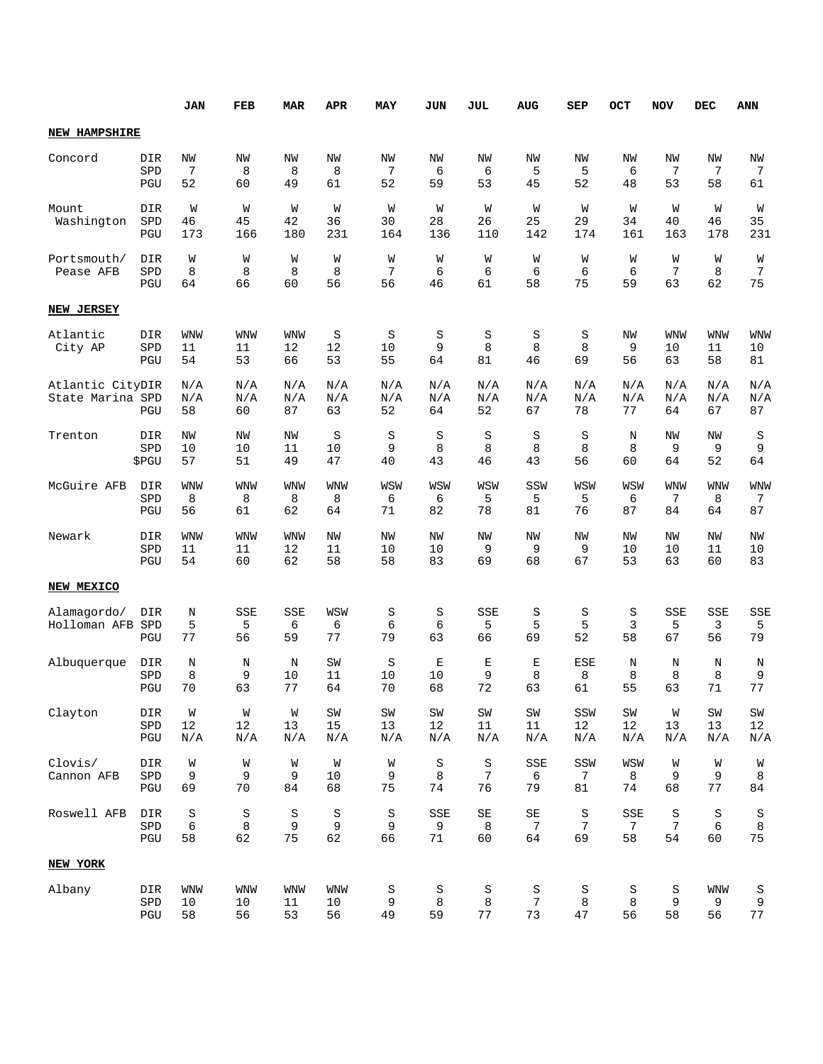|                                      |                     | <b>JAN</b>             | FEB                    | <b>MAR</b>             | APR                     | MAY                | JUN                      | JUL                            | <b>AUG</b>                     | <b>SEP</b>            | OCT                | <b>NOV</b>             | DEC                   | ANN                      |
|--------------------------------------|---------------------|------------------------|------------------------|------------------------|-------------------------|--------------------|--------------------------|--------------------------------|--------------------------------|-----------------------|--------------------|------------------------|-----------------------|--------------------------|
| <b>NEW HAMPSHIRE</b>                 |                     |                        |                        |                        |                         |                    |                          |                                |                                |                       |                    |                        |                       |                          |
| Concord                              | DIR<br>SPD<br>PGU   | NW<br>7<br>52          | NW<br>8<br>60          | NW<br>8<br>49          | NW<br>8<br>61           | NW<br>7<br>52      | NW<br>6<br>59            | NW<br>6<br>53                  | NW<br>5<br>45                  | NW<br>5<br>52         | NW<br>6<br>48      | NW<br>7<br>53          | NW<br>7<br>58         | NW<br>7<br>61            |
| Mount<br>Washington                  | DIR<br>SPD<br>PGU   | W<br>46<br>173         | W<br>45<br>166         | W<br>42<br>180         | W<br>36<br>231          | W<br>30<br>164     | W<br>28<br>136           | W<br>26<br>110                 | W<br>25<br>142                 | W<br>29<br>174        | W<br>34<br>161     | W<br>40<br>163         | W<br>46<br>178        | W<br>35<br>231           |
| Portsmouth/<br>Pease AFB             | DIR<br>SPD<br>PGU   | W<br>8<br>64           | W<br>8<br>66           | W<br>8<br>60           | W<br>8<br>56            | W<br>7<br>56       | W<br>6<br>46             | W<br>6<br>61                   | W<br>6<br>58                   | W<br>6<br>75          | W<br>6<br>59       | W<br>7<br>63           | W<br>8<br>62          | W<br>7<br>75             |
| NEW JERSEY                           |                     |                        |                        |                        |                         |                    |                          |                                |                                |                       |                    |                        |                       |                          |
| Atlantic<br>City AP                  | DIR<br>SPD<br>PGU   | <b>WNW</b><br>11<br>54 | <b>WNW</b><br>11<br>53 | <b>WNW</b><br>12<br>66 | S<br>12<br>53           | S<br>10<br>55      | S<br>9<br>64             | S<br>8<br>81                   | S<br>8<br>46                   | S<br>8<br>69          | ΝW<br>9<br>56      | <b>WNW</b><br>10<br>63 | WNW<br>11<br>58       | <b>WNW</b><br>10<br>81   |
| Atlantic CityDIR<br>State Marina SPD | PGU                 | N/A<br>N/A<br>58       | N/A<br>N/A<br>60       | N/A<br>N/A<br>87       | N/A<br>N/A<br>63        | N/A<br>N/A<br>52   | N/A<br>N/A<br>64         | N/A<br>N/A<br>52               | N/A<br>N/A<br>67               | N/A<br>N/A<br>78      | N/A<br>N/A<br>77   | N/A<br>N/A<br>64       | N/A<br>N/A<br>67      | N/A<br>N/A<br>87         |
| Trenton                              | DIR<br>SPD<br>\$PGU | NW<br>10<br>57         | ΝW<br>10<br>51         | ΝW<br>11<br>49         | S<br>10<br>47           | S<br>9<br>40       | $\rm S$<br>8<br>43       | S<br>8<br>46                   | $\rm S$<br>8<br>43             | $\rm S$<br>8<br>56    | N<br>8<br>60       | NW<br>9<br>64          | ΝW<br>9<br>52         | S<br>9<br>64             |
| McGuire AFB                          | DIR<br>SPD<br>PGU   | <b>WNW</b><br>8<br>56  | <b>WNW</b><br>8<br>61  | <b>WNW</b><br>8<br>62  | <b>WNW</b><br>8<br>64   | WSW<br>6<br>71     | WSW<br>6<br>82           | WSW<br>5<br>78                 | SSW<br>5<br>81                 | WSW<br>5<br>76        | WSW<br>6<br>87     | WNW<br>7<br>84         | <b>WNW</b><br>8<br>64 | <b>WNW</b><br>7<br>87    |
| Newark                               | DIR<br>SPD<br>PGU   | <b>WNW</b><br>11<br>54 | <b>WNW</b><br>11<br>60 | <b>WNW</b><br>12<br>62 | NW<br>11<br>58          | NW<br>10<br>58     | NW<br>10<br>83           | NW<br>9<br>69                  | ΝW<br>9<br>68                  | NW<br>9<br>67         | NW<br>10<br>53     | NW<br>10<br>63         | ΝW<br>11<br>60        | ΝW<br>10<br>83           |
| NEW MEXICO                           |                     |                        |                        |                        |                         |                    |                          |                                |                                |                       |                    |                        |                       |                          |
| Alamagordo/<br>Holloman AFB          | DIR<br>SPD<br>PGU   | N<br>5<br>77           | SSE<br>5<br>56         | SSE<br>6<br>59         | WSW<br>6<br>77          | S<br>6<br>79       | S<br>6<br>63             | SSE<br>5<br>66                 | S<br>5<br>69                   | S<br>5<br>52          | S<br>3<br>58       | SSE<br>5<br>67         | SSE<br>3<br>56        | SSE<br>5<br>79           |
| Albuquerque                          | DIR<br>SPD<br>PGU   | $\rm N$<br>8<br>70     | N<br>9<br>63           | N<br>10<br>77          | SW<br>11<br>64          | S<br>10<br>70      | $\mathbf E$<br>10<br>68  | Е<br>9<br>72                   | Е<br>8<br>63                   | <b>ESE</b><br>8<br>61 | $\rm N$<br>8<br>55 | N<br>8<br>63           | N<br>8<br>71          | N<br>9<br>77             |
| Clayton                              | DIR<br>SPD<br>PGU   | W<br>$1\,2$<br>N/A     | W<br>12<br>N/A         | W<br>13<br>N/A         | ${\tt SW}$<br>15<br>N/A | SW<br>13<br>N/A    | $\mbox{SW}$<br>12<br>N/A | SW<br>11<br>N/A                | SW<br>11<br>N/A                | SSW<br>12<br>N/A      | SW<br>12<br>N/A    | W<br>13<br>N/A         | SW<br>13<br>N/A       | $\mbox{SW}$<br>12<br>N/A |
| Clovis/<br>Cannon AFB                | DIR<br>SPD<br>PGU   | W<br>9<br>69           | W<br>9<br>70           | W<br>9<br>84           | W<br>10<br>68           | W<br>9<br>75       | $\rm S$<br>8<br>74       | $\rm S$<br>7<br>76             | SSE<br>6<br>79                 | SSW<br>7<br>81        | WSW<br>8<br>74     | W<br>9<br>68           | W<br>9<br>77          | W<br>$\,8\,$<br>84       |
| Roswell AFB                          | DIR<br>SPD<br>PGU   | $\rm S$<br>6<br>58     | $\rm S$<br>8<br>62     | $\rm S$<br>9<br>75     | S<br>9<br>62            | $\rm S$<br>9<br>66 | SSE<br>9<br>71           | $\operatorname{SE}$<br>8<br>60 | $\operatorname{SE}$<br>7<br>64 | S<br>7<br>69          | SSE<br>7<br>58     | S<br>7<br>54           | $\rm S$<br>6<br>60    | S<br>$\,8\,$<br>75       |
| NEW YORK                             |                     |                        |                        |                        |                         |                    |                          |                                |                                |                       |                    |                        |                       |                          |
| Albany                               | DIR<br>SPD<br>PGU   | <b>WNW</b><br>10<br>58 | <b>WNW</b><br>10<br>56 | <b>WNW</b><br>11<br>53 | <b>WNW</b><br>10<br>56  | S<br>9<br>49       | S<br>8<br>59             | S<br>8<br>77                   | S<br>$7\phantom{.0}$<br>73     | S<br>8<br>47          | S<br>8<br>56       | S<br>9<br>58           | <b>WNW</b><br>9<br>56 | S<br>9<br>77             |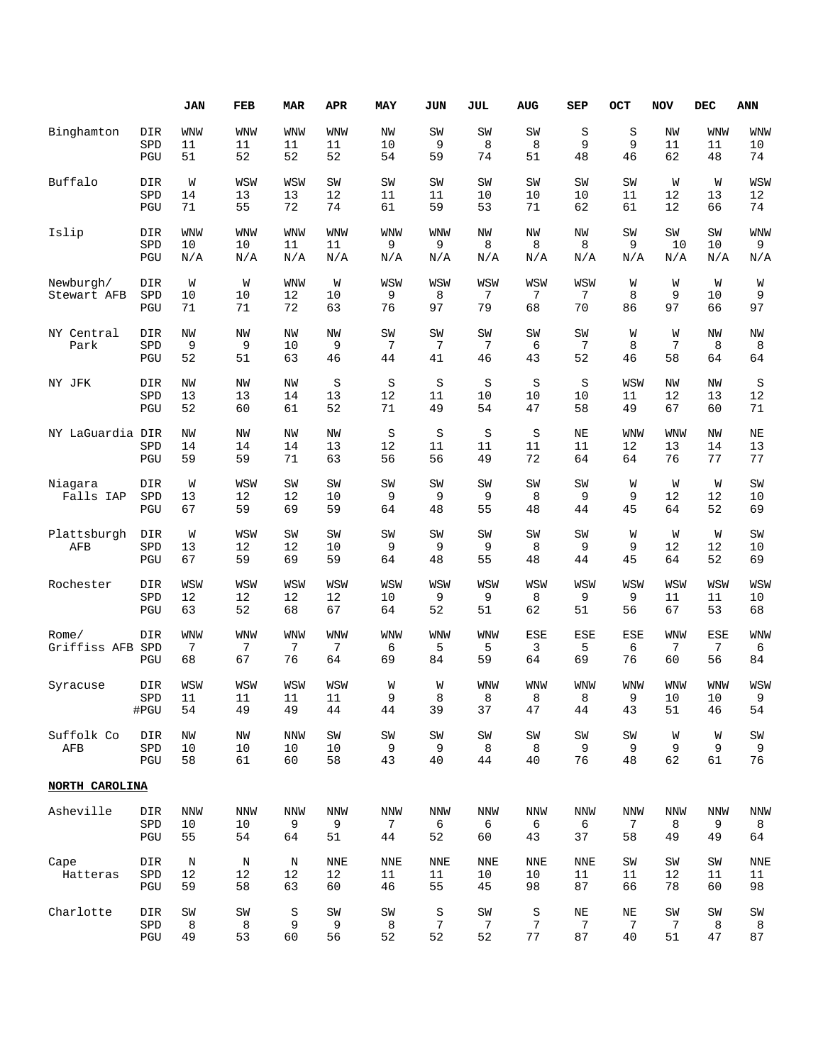|                  |                             | JAN        | FEB        | <b>MAR</b> | <b>APR</b> | MAY            | <b>JUN</b> | JUL             | <b>AUG</b> | SEP        | OCT        | <b>NOV</b> | DEC        | <b>ANN</b>  |
|------------------|-----------------------------|------------|------------|------------|------------|----------------|------------|-----------------|------------|------------|------------|------------|------------|-------------|
| Binghamton       | DIR                         | WNW        | <b>WNW</b> | <b>WNW</b> | WNW        | ΝW             | SW         | SW              | SW         | S          | S          | NW         | <b>WNW</b> | WNW         |
|                  | SPD                         | 11         | 11         | 11         | 11         | 10             | 9          | 8               | 8          | 9          | 9          | 11         | 11         | 10          |
|                  | PGU                         | 51         | 52         | 52         | 52         | 54             | 59         | 74              | 51         | 48         | 46         | 62         | 48         | 74          |
| Buffalo          | DIR                         | W          | WSW        | WSW        | SW         | SW             | SW         | SW              | SW         | SW         | SW         | W          | W          | WSW         |
|                  | SPD                         | 14         | 13         | 13         | 12         | 11             | 11         | 10              | 10         | 10         | 11         | 12         | 13         | 12          |
|                  | PGU                         | 71         | 55         | 72         | 74         | 61             | 59         | 53              | 71         | 62         | 61         | 12         | 66         | 74          |
| Islip            | DIR                         | WNW        | <b>WNW</b> | <b>WNW</b> | WNW        | <b>WNW</b>     | <b>WNW</b> | NW              | NW         | NW         | SW         | SW         | SW         | <b>WNW</b>  |
|                  | SPD                         | 10         | 10         | 11         | 11         | 9              | 9          | 8               | 8          | 8          | 9          | 10         | 10         | 9           |
|                  | PGU                         | N/A        | N/A        | N/A        | N/A        | N/A            | N/A        | N/A             | N/A        | N/A        | N/A        | N/A        | N/A        | N/A         |
| Newburgh/        | DIR                         | W          | W          | <b>WNW</b> | W          | WSW            | WSW        | WSW             | WSW        | WSW        | W          | W          | W          | W           |
| Stewart AFB      | SPD                         | 10         | 10         | 12         | 10         | 9              | 8          | 7               | 7          | 7          | 8          | 9          | 10         | 9           |
|                  | PGU                         | 71         | 71         | 72         | 63         | 76             | 97         | 79              | 68         | 70         | 86         | 97         | 66         | 97          |
| NY Central       | DIR                         | ΝW         | NW         | NW         | NW         | SW             | SW         | SW              | SW         | SW         | W          | W          | ΝW         | ΝW          |
| Park             | SPD                         | 9          | 9          | 10         | 9          | 7              | 7          | $\overline{7}$  | 6          | 7<br>52    | 8          | 7          | 8          | 8           |
|                  | PGU                         | 52         | 51         | 63         | 46         | 44             | 41         | 46              | 43         |            | 46         | 58         | 64         | 64          |
| NY JFK           | DIR                         | NW         | NW         | NW         | S          | $\rm S$        | $\rm S$    | S               | S          | S          | WSW        | NW         | ΝW         | S           |
|                  | SPD                         | 13         | 13         | 14         | 13         | 12             | 11         | 10              | 10         | 10         | 11         | 12         | 13         | 12          |
|                  | PGU                         | 52         | 60         | 61         | 52         | 71             | 49         | 54              | 47         | 58         | 49         | 67         | 60         | 71          |
| NY LaGuardia DIR |                             | NW         | NW         | NW         | NW         | S              | S          | S               | S          | NE         | WNW        | <b>WNW</b> | NW         | ΝE          |
|                  | SPD                         | 14         | 14         | 14         | 13         | 12             | 11         | 11              | 11         | 11         | 12         | 13         | 14         | 13          |
|                  | PGU                         | 59         | 59         | 71         | 63         | 56             | 56         | 49              | 72         | 64         | 64         | 76         | 77         | 77          |
| Niagara          | DIR                         | W          | WSW        | SW         | SW         | SW             | SW         | SW              | SW         | SW         | W          | W          | W          | SW          |
| Falls IAP        | SPD                         | 13         | 12         | 12         | 10         | 9              | 9          | 9               | 8          | 9          | 9          | 12         | 12         | 10          |
|                  | PGU                         | 67         | 59         | 69         | 59         | 64             | 48         | 55              | 48         | 44         | 45         | 64         | 52         | 69          |
| Plattsburgh      | DIR                         | W          | WSW        | SW         | SW         | SW             | SW         | SW              | SW         | SW         | W          | W          | W          | SW          |
| AFB              | SPD                         | 13         | 12         | 12         | 10         | 9              | 9          | 9               | 8          | 9          | 9          | 12         | 12         | 10          |
|                  | PGU                         | 67         | 59         | 69         | 59         | 64             | 48         | 55              | 48         | 44         | 45         | 64         | 52         | 69          |
| Rochester        | DIR                         | WSW        | WSW        | WSW        | WSW        | WSW            | WSW        | WSW             | WSW        | WSW        | WSW        | WSW        | WSW        | WSW         |
|                  | SPD                         | 12         | 12         | 12         | 12         | 10             | 9          | 9               | 8          | 9          | 9          | 11         | 11         | 10          |
|                  | PGU                         | 63         | 52         | 68         | 67         | 64             | 52         | 51              | 62         | 51         | 56         | 67         | 53         | 68          |
| Rome/            | DIR                         | <b>WNW</b> | <b>WNW</b> | <b>WNW</b> | WNW        | <b>WNW</b>     | <b>WNW</b> | <b>WNW</b>      | <b>ESE</b> | <b>ESE</b> | <b>ESE</b> | <b>WNW</b> | <b>ESE</b> | <b>WNW</b>  |
| Griffiss AFB     | SPD                         | 7          | 7          | 7          | 7          | 6              | 5          | 5               | 3          | 5          | 6          | 7          | 7          | 6           |
|                  | PGU                         | 68         | 67         | 76         | 64         | 69             | 84         | 59              | 64         | 69         | 76         | 60         | 56         | 84          |
| Syracuse         | DIR                         | WSW        | WSW        | WSW        | WSW        | W<br>q         | W          | <b>WNW</b>      | <b>WNW</b> | <b>WNW</b> | WNW        | <b>WNW</b> | <b>WNW</b> | WSW         |
|                  | SPD<br>#PGU                 | 11<br>54   | 11<br>49   | 11<br>49   | 11<br>44   | 44             | 8<br>39    | 8<br>37         | 8<br>47    | 8<br>44    | 9<br>43    | 10<br>51   | 10<br>46   | 9<br>54     |
|                  |                             |            |            |            |            |                |            |                 |            |            |            |            |            |             |
| Suffolk Co       | DIR                         | NW         | ΝW         | <b>NNW</b> | SW         | $\mbox{SW}$    | SW         | SW              | SW         | SW         | SW         | W          | W          | $\mbox{SW}$ |
| AFB              | SPD<br>$\operatorname{PGU}$ | 10<br>58   | 10<br>61   | 10<br>60   | 10<br>58   | 9<br>43        | 9<br>40    | 8<br>44         | 8<br>40    | 9<br>76    | 9<br>48    | 9<br>62    | 9<br>61    | 9<br>76     |
| NORTH CAROLINA   |                             |            |            |            |            |                |            |                 |            |            |            |            |            |             |
|                  |                             |            |            |            |            |                |            |                 |            |            |            |            |            |             |
| Asheville        | DIR                         | <b>NNW</b> | <b>NNW</b> | <b>NNW</b> | <b>NNW</b> | <b>NNW</b>     | <b>NNW</b> | <b>NNW</b>      | NNW        | <b>NNW</b> | <b>NNW</b> | <b>NNW</b> | <b>NNW</b> | <b>NNW</b>  |
|                  | SPD                         | 10         | 10         | 9          | 9          | $\overline{7}$ | 6          | 6               | 6          | 6          | 7          | 8          | 9          | 8           |
|                  | PGU                         | 55         | 54         | 64         | 51         | 44             | 52         | 60              | 43         | 37         | 58         | 49         | 49         | 64          |
| Cape             | DIR                         | Ν          | N          | Ν          | <b>NNE</b> | NNE            | NNE        | NNE             | NNE        | NNE        | SW         | SW         | SW         | <b>NNE</b>  |
| Hatteras         | SPD                         | 12         | 12         | 12         | 12         | 11             | 11         | 10              | 10         | 11         | 11         | 12         | 11         | 11          |
|                  | PGU                         | 59         | 58         | 63         | 60         | 46             | 55         | 45              | 98         | 87         | 66         | 78         | 60         | 98          |
| Charlotte        | DIR                         | SW         | SW         | S          | SW         | SW             | S          | SW              | S          | ΝE         | NE         | SW         | SW         | SW          |
|                  | SPD                         | 8          | 8          | 9          | 9          | 8              | 7          | $7\phantom{.0}$ | 7          | 7          | 7          | 7          | 8          | 8           |
|                  | $\operatorname{PGU}$        | 49         | 53         | 60         | 56         | 52             | 52         | 52              | 77         | 87         | 40         | 51         | 47         | 87          |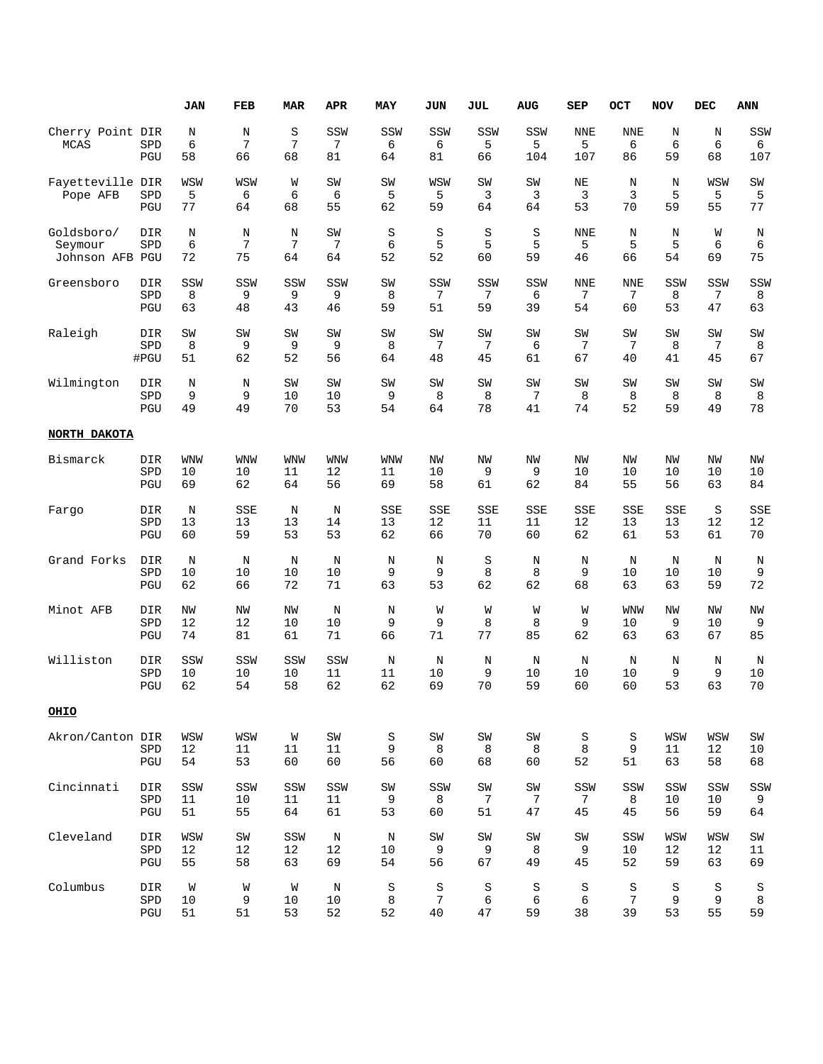|                                          |                    | <b>JAN</b>         | FEB             | <b>MAR</b>    | <b>APR</b>     | MAY                | JUN                | <b>JUL</b>         | AUG                | <b>SEP</b>             | OCT                   | <b>NOV</b>      | <b>DEC</b>      | <b>ANN</b>      |
|------------------------------------------|--------------------|--------------------|-----------------|---------------|----------------|--------------------|--------------------|--------------------|--------------------|------------------------|-----------------------|-----------------|-----------------|-----------------|
| Cherry Point DIR<br><b>MCAS</b>          | SPD<br>PGU         | $\rm N$<br>6<br>58 | N<br>7<br>66    | S<br>7<br>68  | SSW<br>7<br>81 | SSW<br>6<br>64     | SSW<br>6<br>81     | SSW<br>5<br>66     | SSW<br>5<br>104    | <b>NNE</b><br>5<br>107 | <b>NNE</b><br>6<br>86 | N<br>6<br>59    | N<br>6<br>68    | SSW<br>6<br>107 |
| Fayetteville DIR<br>Pope AFB             | SPD<br>PGU         | WSW<br>5<br>77     | WSW<br>6<br>64  | W<br>6<br>68  | SW<br>6<br>55  | SW<br>5<br>62      | WSW<br>5<br>59     | SW<br>3<br>64      | SW<br>3<br>64      | NE<br>3<br>53          | N<br>3<br>70          | N<br>5<br>59    | WSW<br>5<br>55  | SW<br>5<br>77   |
| Goldsboro/<br>Seymour<br>Johnson AFB PGU | <b>DIR</b><br>SPD  | N<br>6<br>72       | N<br>7<br>75    | N<br>7<br>64  | SW<br>7<br>64  | $\rm S$<br>6<br>52 | $\rm S$<br>5<br>52 | $\rm S$<br>5<br>60 | $\rm S$<br>5<br>59 | <b>NNE</b><br>5<br>46  | N<br>5<br>66          | N<br>5<br>54    | W<br>6<br>69    | N<br>6<br>75    |
| Greensboro                               | DIR                | SSW                | SSW             | SSW           | SSW            | SW                 | SSW                | SSW                | SSW                | <b>NNE</b>             | <b>NNE</b>            | SSW             | SSW             | SSW             |
|                                          | SPD                | 8                  | 9               | 9             | 9              | 8                  | 7                  | 7                  | 6                  | 7                      | 7                     | 8               | 7               | 8               |
|                                          | PGU                | 63                 | 48              | 43            | 46             | 59                 | 51                 | 59                 | 39                 | 54                     | 60                    | 53              | 47              | 63              |
| Raleigh                                  | DIR                | SW                 | SW              | SW            | SW             | SW                 | SW                 | SW                 | SW                 | SW                     | SW                    | SW              | SW              | SW              |
|                                          | SPD                | 8                  | 9               | 9             | 9              | 8                  | 7                  | 7                  | 6                  | 7                      | 7                     | 8               | 7               | 8               |
|                                          | #PGU               | 51                 | 62              | 52            | 56             | 64                 | 48                 | 45                 | 61                 | 67                     | 40                    | 41              | 45              | 67              |
| Wilmington                               | DIR                | $\rm N$            | N               | SW            | SW             | SW                 | SW                 | SW                 | SW                 | SW                     | SW                    | SW              | SW              | $\mbox{SW}$     |
|                                          | SPD                | 9                  | 9               | 10            | 10             | 9                  | 8                  | 8                  | 7                  | 8                      | 8                     | 8               | 8               | 8               |
|                                          | PGU                | 49                 | 49              | 70            | 53             | 54                 | 64                 | 78                 | 41                 | 74                     | 52                    | 59              | 49              | 78              |
| NORTH DAKOTA                             |                    |                    |                 |               |                |                    |                    |                    |                    |                        |                       |                 |                 |                 |
| Bismarck                                 | <b>DIR</b>         | <b>WNW</b>         | <b>WNW</b>      | <b>WNW</b>    | <b>WNW</b>     | WNW                | NW                 | NW                 | NW                 | NW                     | <b>NW</b>             | NW              | NW              | ΝW              |
|                                          | SPD                | 10                 | 10              | 11            | 12             | 11                 | 10                 | 9                  | 9                  | 10                     | 10                    | 10              | 10              | 10              |
|                                          | PGU                | 69                 | 62              | 64            | 56             | 69                 | 58                 | 61                 | 62                 | 84                     | 55                    | 56              | 63              | 84              |
| Fargo                                    | <b>DIR</b>         | N                  | SSE             | N             | N              | SSE                | SSE                | SSE                | SSE                | <b>SSE</b>             | SSE                   | SSE             | S               | SSE             |
|                                          | SPD                | 13                 | 13              | 13            | 14             | 13                 | 12                 | 11                 | 11                 | 12                     | 13                    | 13              | 12              | 12              |
|                                          | PGU                | 60                 | 59              | 53            | 53             | 62                 | 66                 | 70                 | 60                 | 62                     | 61                    | 53              | 61              | 70              |
| Grand Forks                              | DIR                | N                  | N               | N             | $\rm N$        | N                  | N                  | $\rm S$            | N                  | N                      | N                     | N               | N               | N               |
|                                          | SPD                | 10                 | 10              | 10            | 10             | 9                  | 9                  | 8                  | 8                  | 9                      | 10                    | 10              | 10              | 9               |
|                                          | PGU                | 62                 | 66              | 72            | 71             | 63                 | 53                 | 62                 | 62                 | 68                     | 63                    | 63              | 59              | 72              |
| Minot AFB                                | <b>DIR</b>         | NW                 | NW              | NW            | N              | N                  | W                  | W                  | W                  | W                      | <b>WNW</b>            | ΝW              | NW              | ΝW              |
|                                          | SPD                | 12                 | 12              | 10            | 10             | 9                  | 9                  | 8                  | 8                  | 9                      | 10                    | 9               | 10              | 9               |
|                                          | PGU                | 74                 | 81              | 61            | 71             | 66                 | 71                 | 77                 | 85                 | 62                     | 63                    | 63              | 67              | 85              |
| Williston                                | DIR                | SSW                | SSW             | SSW           | SSW            | N                  | N                  | $\rm N$            | N                  | N                      | $\rm N$               | N               | N               | N               |
|                                          | SPD                | 10                 | 10              | 10            | 11             | 11                 | 10                 | 9                  | 10                 | 10                     | 10                    | 9               | 9               | 10              |
|                                          | PGU                | 62                 | 54              | 58            | 62             | 62                 | 69                 | 70                 | 59                 | 60                     | 60                    | 53              | 63              | 70              |
| <u>OHIO</u>                              |                    |                    |                 |               |                |                    |                    |                    |                    |                        |                       |                 |                 |                 |
| Akron/Canton DIR                         | ${\tt SPD}$<br>PGU | WSW<br>12<br>54    | WSW<br>11<br>53 | W<br>11<br>60 | SW<br>11<br>60 | S<br>9<br>56       | SW<br>8<br>60      | SW<br>8<br>68      | SW<br>8<br>60      | S<br>8<br>52           | S<br>9<br>51          | WSW<br>11<br>63 | WSW<br>12<br>58 | SW<br>10<br>68  |
| Cincinnati                               | <b>DIR</b>         | SSW                | SSW             | SSW           | SSW            | SW                 | SSW                | SW                 | SW                 | SSW                    | SSW                   | SSW             | SSW             | SSW             |
|                                          | ${\tt SPD}$        | 11                 | 10              | 11            | 11             | 9                  | 8                  | 7                  | 7                  | 7                      | 8                     | 10              | 10              | 9               |
|                                          | PGU                | 51                 | 55              | 64            | 61             | 53                 | 60                 | 51                 | 47                 | 45                     | 45                    | 56              | 59              | 64              |
| Cleveland                                | DIR                | WSW                | $\texttt{SW}$   | SSW           | N              | $\rm N$            | $\mbox{SW}$        | SW                 | SW                 | SW                     | SSW                   | WSW             | WSW             | SW              |
|                                          | SPD                | 12                 | 12              | 12            | 12             | 10                 | 9                  | 9                  | 8                  | 9                      | 10                    | 12              | 12              | 11              |
|                                          | PGU                | 55                 | 58              | 63            | 69             | 54                 | 56                 | 67                 | 49                 | 45                     | 52                    | 59              | 63              | 69              |
| Columbus                                 | DIR                | W                  | W               | W             | N              | $\rm S$            | $\rm S$            | $\rm S$            | $\rm S$            | $\rm S$                | S                     | $\rm S$         | $\rm S$         | S               |
|                                          | SPD                | 10                 | 9               | 10            | 10             | 8                  | $\sqrt{ }$         | 6                  | 6                  | 6                      | 7                     | 9               | 9               | 8               |
|                                          | PGU                | 51                 | 51              | 53            | 52             | 52                 | 40                 | 47                 | 59                 | 38                     | 39                    | 53              | 55              | 59              |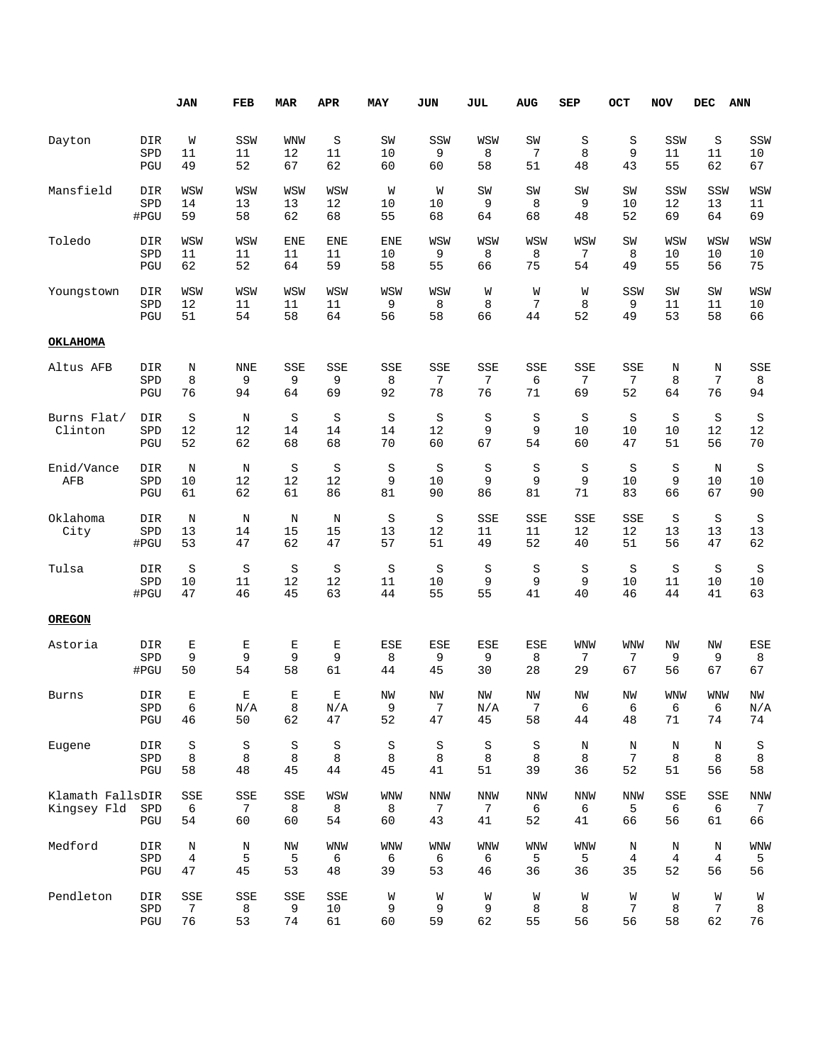|                                 |                    | <b>JAN</b>          | FEB            | <b>MAR</b>          | APR            | <b>MAY</b>            | <b>JUN</b>            | <b>JUL</b>                   | <b>AUG</b>            | SEP                   | OCT                   | <b>NOV</b>     | <b>DEC</b>     | <b>ANN</b>            |
|---------------------------------|--------------------|---------------------|----------------|---------------------|----------------|-----------------------|-----------------------|------------------------------|-----------------------|-----------------------|-----------------------|----------------|----------------|-----------------------|
| Dayton                          | DIR                | W                   | SSW            | <b>WNW</b>          | $\rm S$        | SW                    | SSW                   | WSW                          | SW                    | $\rm S$               | $\rm S$               | SSW            | $\rm S$        | SSW                   |
|                                 | SPD                | 11                  | 11             | 12                  | 11             | 10                    | 9                     | 8                            | $\overline{7}$        | 8                     | 9                     | 11             | 11             | 10                    |
|                                 | PGU                | 49                  | 52             | 67                  | 62             | 60                    | 60                    | 58                           | 51                    | 48                    | 43                    | 55             | 62             | 67                    |
| Mansfield                       | DIR                | WSW                 | WSW            | WSW                 | WSW            | W                     | W                     | SW                           | SW                    | SW                    | SW                    | SSW            | SSW            | WSW                   |
|                                 | SPD                | 14                  | 13             | 13                  | 12             | 10                    | 10                    | 9                            | 8                     | 9                     | 10                    | 12             | 13             | 11                    |
|                                 | #PGU               | 59                  | 58             | 62                  | 68             | 55                    | 68                    | 64                           | 68                    | 48                    | 52                    | 69             | 64             | 69                    |
| Toledo                          | DIR                | WSW                 | WSW            | <b>ENE</b>          | <b>ENE</b>     | <b>ENE</b>            | WSW                   | WSW                          | WSW                   | WSW                   | SW                    | WSW            | WSW            | WSW                   |
|                                 | SPD                | 11                  | 11             | 11                  | 11             | 10                    | 9                     | 8                            | 8                     | 7                     | 8                     | 10             | 10             | 10                    |
|                                 | PGU                | 62                  | 52             | 64                  | 59             | 58                    | 55                    | 66                           | 75                    | 54                    | 49                    | 55             | 56             | 75                    |
| Youngstown                      | DIR                | WSW                 | WSW            | WSW                 | WSW            | WSW                   | WSW                   | W                            | W                     | W                     | SSW                   | SW             | SW             | WSW                   |
|                                 | SPD                | $12$                | 11             | 11                  | 11             | 9                     | 8                     | 8                            | 7                     | 8                     | 9                     | 11             | 11             | 10                    |
|                                 | PGU                | 51                  | 54             | 58                  | 64             | 56                    | 58                    | 66                           | 44                    | 52                    | 49                    | 53             | 58             | 66                    |
| <b>OKLAHOMA</b>                 |                    |                     |                |                     |                |                       |                       |                              |                       |                       |                       |                |                |                       |
| Altus AFB                       | DIR                | N                   | <b>NNE</b>     | SSE                 | SSE            | SSE                   | SSE                   | SSE                          | SSE                   | SSE                   | SSE                   | N              | N              | SSE                   |
|                                 | SPD                | 8                   | 9              | 9                   | 9              | 8                     | 7                     | 7                            | 6                     | 7                     | 7                     | 8              | 7              | 8                     |
|                                 | PGU                | 76                  | 94             | 64                  | 69             | 92                    | 78                    | 76                           | 71                    | 69                    | 52                    | 64             | 76             | 94                    |
| Burns Flat/<br>Clinton          | DIR<br>SPD<br>PGU  | $\rm S$<br>12<br>52 | N<br>12<br>62  | $\rm S$<br>14<br>68 | S<br>14<br>68  | S<br>14<br>70         | S<br>12<br>60         | S<br>9<br>67                 | S<br>9<br>54          | S<br>10<br>60         | $\rm S$<br>10<br>47   | S<br>10<br>51  | S<br>12<br>56  | S<br>12<br>70         |
| Enid/Vance<br>AFB               | DIR<br>SPD<br>PGU  | N<br>10<br>61       | N<br>12<br>62  | $\rm S$<br>12<br>61 | S<br>12<br>86  | S<br>9<br>81          | S<br>10<br>90         | S<br>9<br>86                 | S<br>9<br>81          | $\rm S$<br>9<br>71    | $\rm S$<br>10<br>83   | S<br>9<br>66   | N<br>10<br>67  | S<br>10<br>90         |
| Oklahoma<br>City                | DIR<br>SPD<br>#PGU | N<br>13<br>53       | N<br>14<br>47  | N<br>15<br>62       | N<br>15<br>47  | S<br>13<br>57         | S<br>12<br>51         | SSE<br>11<br>49              | SSE<br>11<br>52       | SSE<br>12<br>40       | SSE<br>12<br>51       | S<br>13<br>56  | S<br>13<br>47  | S<br>13<br>62         |
| Tulsa                           | DIR                | $\rm S$             | S              | S                   | S              | S                     | S                     | S                            | S                     | $\rm S$               | $\rm S$               | S              | S              | S                     |
|                                 | SPD                | 10                  | 11             | 12                  | 12             | 11                    | 10                    | 9                            | 9                     | 9                     | 10                    | 11             | 10             | 10                    |
|                                 | #PGU               | 47                  | 46             | 45                  | 63             | 44                    | 55                    | 55                           | 41                    | 40                    | 46                    | 44             | 41             | 63                    |
| <b>OREGON</b>                   |                    |                     |                |                     |                |                       |                       |                              |                       |                       |                       |                |                |                       |
| Astoria                         | DIR                | Ε                   | Е              | Ε                   | Е              | ESE                   | ESE                   | ESE                          | ESE                   | <b>WNW</b>            | WNW                   | ΝW             | ΝW             | <b>ESE</b>            |
|                                 | SPD                | 9                   | 9              | 9                   | 9              | 8                     | 9                     | 9                            | 8                     | 7                     | 7                     | 9              | 9              | 8                     |
|                                 | #PGU               | 50                  | 54             | 58                  | 61             | 44                    | 45                    | 30                           | 28                    | 29                    | 67                    | 56             | 67             | 67                    |
| Burns                           | DIR                | Е                   | Ε              | Е                   | Е              | NW                    | ΝW                    | NW                           | NW                    | NW                    | NW                    | <b>WNW</b>     | <b>WNW</b>     | NW                    |
|                                 | SPD                | $\epsilon$          | N/A            | 8                   | N/A            | 9                     | 7                     | N/A                          | 7                     | 6                     | 6                     | 6              | 6              | N/A                   |
|                                 | $_{\rm PGU}$       | 46                  | 50             | 62                  | 47             | 52                    | 47                    | 45                           | 58                    | 44                    | 48                    | 71             | 74             | 74                    |
| Eugene                          | DIR                | $\rm S$             | S              | $\rm S$             | S              | $\rm S$               | $\rm S$               | $\rm S$                      | S                     | $\rm N$               | N                     | Ν              | N              | $\rm S$               |
|                                 | SPD                | 8                   | 8              | 8                   | 8              | 8                     | 8                     | 8                            | 8                     | 8                     | 7                     | 8              | 8              | 8                     |
|                                 | $_{\rm PGU}$       | 58                  | 48             | 45                  | 44             | 45                    | 41                    | 51                           | 39                    | 36                    | 52                    | 51             | 56             | 58                    |
| Klamath FallsDIR<br>Kingsey Fld | SPD<br>PGU         | SSE<br>6<br>54      | SSE<br>7<br>60 | SSE<br>8<br>60      | WSW<br>8<br>54 | <b>WNW</b><br>8<br>60 | <b>NNW</b><br>7<br>43 | NNW<br>$7\phantom{.0}$<br>41 | <b>NNW</b><br>6<br>52 | <b>NNW</b><br>6<br>41 | <b>NNW</b><br>5<br>66 | SSE<br>6<br>56 | SSE<br>6<br>61 | <b>NNW</b><br>7<br>66 |
| Medford                         | DIR                | N                   | Ν              | ΝW                  | WNW            | WNW                   | WNW                   | WNW                          | <b>WNW</b>            | <b>WNW</b>            | N                     | Ν              | N              | WNW                   |
|                                 | SPD                | $\overline{4}$      | 5              | 5                   | 6              | 6                     | 6                     | 6                            | 5                     | 5                     | 4                     | 4              | 4              | 5                     |
|                                 | $_{\rm PGU}$       | 47                  | 45             | 53                  | 48             | 39                    | 53                    | 46                           | 36                    | 36                    | 35                    | 52             | 56             | 56                    |
| Pendleton                       | DIR                | SSE                 | SSE            | SSE                 | SSE            | W                     | W                     | W                            | W                     | W                     | W                     | W              | W              | W                     |
|                                 | SPD                | $\overline{7}$      | 8              | 9                   | 10             | 9                     | 9                     | 9                            | 8                     | 8                     | 7                     | 8              | $\overline{7}$ | 8                     |
|                                 | $_{\rm PGU}$       | 76                  | 53             | 74                  | 61             | 60                    | 59                    | 62                           | 55                    | 56                    | 56                    | 58             | 62             | 76                    |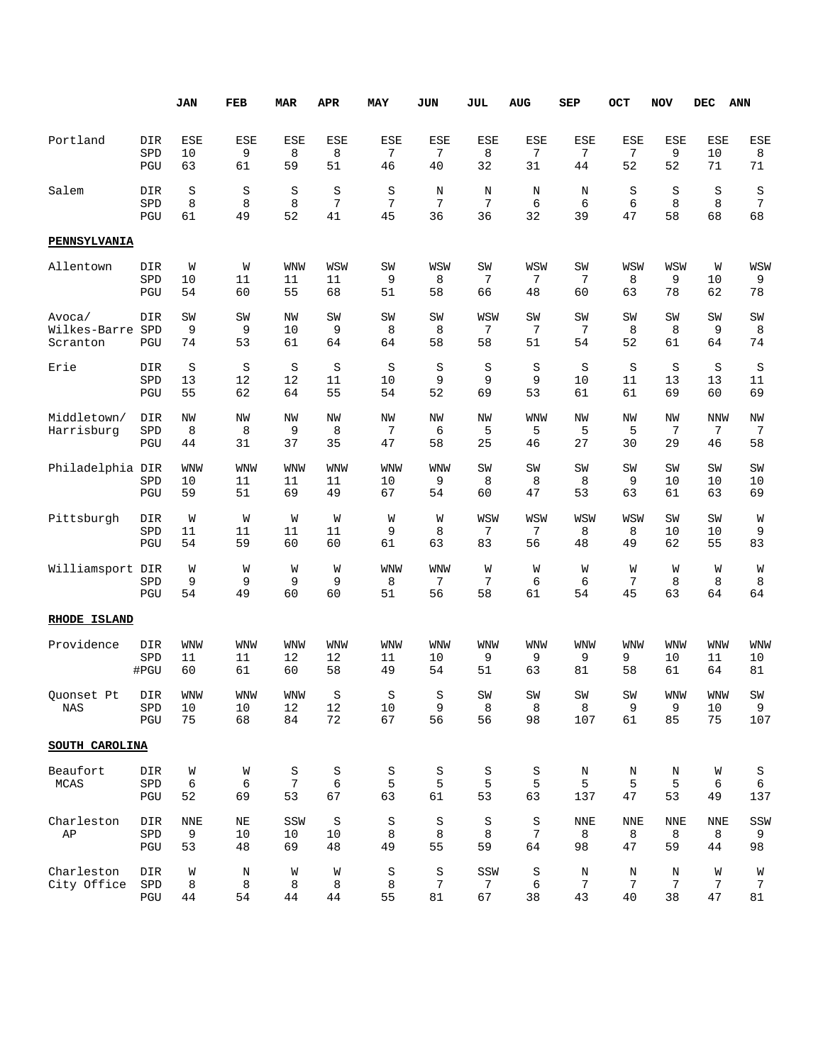|                                    |                    | <b>JAN</b>             | FEB                    | <b>MAR</b>             | APR                    | MAY                    | JUN                | JUL                          | AUG                       | SEP                       | OCT                       | <b>NOV</b>            | DEC                    | <b>ANN</b>                 |
|------------------------------------|--------------------|------------------------|------------------------|------------------------|------------------------|------------------------|--------------------|------------------------------|---------------------------|---------------------------|---------------------------|-----------------------|------------------------|----------------------------|
| Portland                           | DIR<br>SPD<br>PGU  | <b>ESE</b><br>10<br>63 | ESE<br>9<br>61         | <b>ESE</b><br>8<br>59  | ESE<br>8<br>51         | ESE<br>7<br>46         | ESE<br>7<br>40     | ESE<br>8<br>32               | ESE<br>7<br>31            | ESE<br>7<br>44            | ESE<br>7<br>52            | <b>ESE</b><br>9<br>52 | ESE<br>10<br>71        | ESE<br>8<br>71             |
| Salem                              | DIR<br>SPD<br>PGU  | S<br>8<br>61           | S<br>8<br>49           | S<br>8<br>52           | S<br>7<br>41           | S<br>7<br>45           | N<br>7<br>36       | N<br>7<br>36                 | N<br>6<br>32              | N<br>6<br>39              | S<br>6<br>47              | S<br>8<br>58          | S<br>8<br>68           | S<br>7<br>68               |
| <b>PENNSYLVANIA</b>                |                    |                        |                        |                        |                        |                        |                    |                              |                           |                           |                           |                       |                        |                            |
| Allentown                          | DIR<br>SPD<br>PGU  | W<br>10<br>54          | W<br>11<br>60          | WNW<br>11<br>55        | WSW<br>11<br>68        | SW<br>9<br>51          | WSW<br>8<br>58     | SW<br>7<br>66                | WSW<br>7<br>48            | SW<br>7<br>60             | WSW<br>8<br>63            | WSW<br>9<br>78        | W<br>10<br>62          | WSW<br>9<br>78             |
| Avoca/<br>Wilkes-Barre<br>Scranton | DIR<br>SPD<br>PGU  | SW<br>9<br>74          | SW<br>9<br>53          | NW<br>10<br>61         | SW<br>9<br>64          | SW<br>8<br>64          | SW<br>8<br>58      | WSW<br>7<br>58               | SW<br>7<br>51             | SW<br>7<br>54             | SW<br>8<br>52             | SW<br>8<br>61         | SW<br>9<br>64          | SW<br>8<br>74              |
| Erie                               | DIR<br>SPD<br>PGU  | S<br>13<br>55          | S<br>12<br>62          | S<br>12<br>64          | S<br>11<br>55          | S<br>10<br>54          | S<br>9<br>52       | S<br>9<br>69                 | S<br>9<br>53              | S<br>10<br>61             | S<br>11<br>61             | S<br>13<br>69         | S<br>13<br>60          | S<br>11<br>69              |
| Middletown/<br>Harrisburg          | DIR<br>SPD<br>PGU  | NW<br>8<br>44          | NW<br>8<br>31          | NW<br>9<br>37          | NW<br>8<br>35          | NW<br>7<br>47          | ΝW<br>6<br>58      | NW<br>5<br>25                | <b>WNW</b><br>5<br>46     | <b>NW</b><br>5<br>27      | <b>NW</b><br>5<br>30      | NW<br>7<br>29         | <b>NNW</b><br>7<br>46  | NW<br>7<br>58              |
| Philadelphia DIR                   | SPD<br>PGU         | <b>WNW</b><br>10<br>59 | <b>WNW</b><br>11<br>51 | <b>WNW</b><br>11<br>69 | <b>WNW</b><br>11<br>49 | <b>WNW</b><br>10<br>67 | WNW<br>9<br>54     | SW<br>8<br>60                | SW<br>8<br>47             | SW<br>8<br>53             | SW<br>9<br>63             | SW<br>10<br>61        | SW<br>10<br>63         | SW<br>10<br>69             |
| Pittsburgh                         | DIR<br>SPD<br>PGU  | W<br>11<br>54          | W<br>11<br>59          | W<br>11<br>60          | W<br>11<br>60          | W<br>9<br>61           | W<br>8<br>63       | WSW<br>7<br>83               | WSW<br>7<br>56            | WSW<br>8<br>48            | WSW<br>8<br>49            | SW<br>10<br>62        | SW<br>10<br>55         | W<br>9<br>83               |
| Williamsport                       | DIR<br>SPD<br>PGU  | W<br>9<br>54           | W<br>9<br>49           | W<br>9<br>60           | W<br>9<br>60           | <b>WNW</b><br>8<br>51  | WNW<br>7<br>56     | W<br>7<br>58                 | W<br>6<br>61              | W<br>6<br>54              | W<br>7<br>45              | W<br>8<br>63          | W<br>8<br>64           | W<br>8<br>64               |
| RHODE ISLAND                       |                    |                        |                        |                        |                        |                        |                    |                              |                           |                           |                           |                       |                        |                            |
| Providence                         | DIR<br>SPD<br>#PGU | <b>WNW</b><br>11<br>60 | WNW<br>11<br>61        | <b>WNW</b><br>12<br>60 | <b>WNW</b><br>12<br>58 | <b>WNW</b><br>11<br>49 | WNW<br>10<br>54    | <b>WNW</b><br>9<br>51        | WNW<br>9<br>63            | WNW<br>9<br>81            | <b>WNW</b><br>9<br>58     | WNW<br>10<br>61       | <b>WNW</b><br>11<br>64 | WNW<br>10<br>81            |
| Quonset Pt<br>NAS                  | DIR<br>SPD<br>PGU  | <b>WNW</b><br>10<br>75 | WNW<br>10<br>68        | <b>WNM</b><br>12<br>84 | S<br>12<br>72          | S<br>10<br>67          | S<br>9<br>56       | SW<br>8<br>56                | SW<br>8<br>98             | SW<br>8<br>107            | SW<br>9<br>61             | <b>WNW</b><br>9<br>85 | <b>WNW</b><br>10<br>75 | $\mbox{SW}$<br>9<br>107    |
| SOUTH CAROLINA                     |                    |                        |                        |                        |                        |                        |                    |                              |                           |                           |                           |                       |                        |                            |
| Beaufort<br><b>MCAS</b>            | DIR<br>SPD<br>PGU  | W<br>6<br>52           | W<br>6<br>69           | S<br>7<br>53           | S<br>6<br>67           | $\rm S$<br>5<br>63     | $\rm S$<br>5<br>61 | $\rm S$<br>5<br>53           | S<br>5<br>63              | Ν<br>5<br>137             | Ν<br>5<br>47              | Ν<br>5<br>53          | W<br>6<br>49           | S<br>6<br>137              |
| Charleston<br>AP                   | DIR<br>SPD<br>PGU  | <b>NNE</b><br>9<br>53  | $\rm NE$<br>10<br>48   | SSW<br>10<br>69        | S<br>10<br>48          | S<br>8<br>49           | $\rm S$<br>8<br>55 | S<br>8<br>59                 | S<br>$\overline{7}$<br>64 | <b>NNE</b><br>8<br>98     | <b>NNE</b><br>8<br>47     | NNE<br>8<br>59        | <b>NNE</b><br>8<br>44  | SSW<br>9<br>98             |
| Charleston<br>City Office          | DIR<br>SPD<br>PGU  | W<br>8<br>44           | Ν<br>8<br>54           | W<br>8<br>44           | W<br>8<br>44           | S<br>8<br>55           | $\rm S$<br>7<br>81 | SSW<br>$7\phantom{.0}$<br>67 | S<br>6<br>38              | Ν<br>$\overline{7}$<br>43 | Ν<br>$\overline{7}$<br>40 | Ν<br>7<br>38          | W<br>7<br>47           | W<br>$7\phantom{.0}$<br>81 |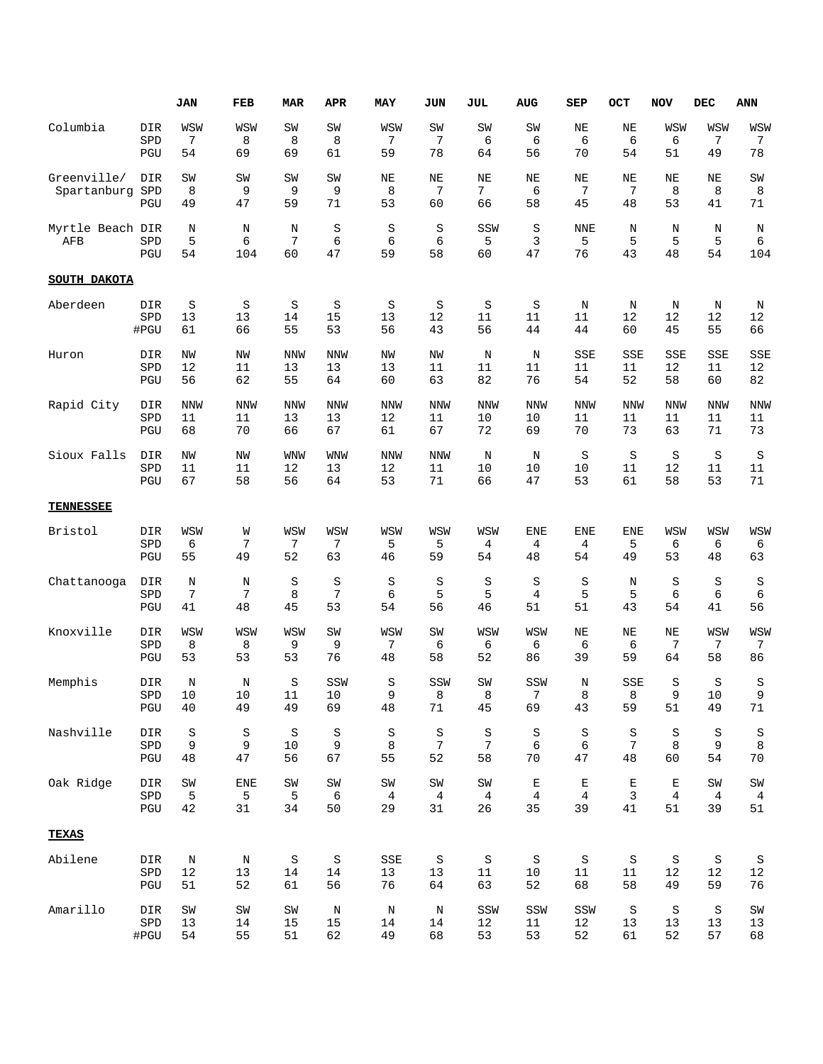|                                |                      | JAN            | FEB           | <b>MAR</b>    | APR           | <b>MAY</b>     | <b>JUN</b>     | JUL                         | <b>AUG</b>     | SEP                   | OCT                 | <b>NOV</b>    | <b>DEC</b>      | <b>ANN</b>     |
|--------------------------------|----------------------|----------------|---------------|---------------|---------------|----------------|----------------|-----------------------------|----------------|-----------------------|---------------------|---------------|-----------------|----------------|
| Columbia                       | DIR                  | WSW            | WSW           | SW            | SW            | WSW            | SW             | SW                          | SW             | ΝE                    | $\rm NE$            | WSW           | WSW             | WSW            |
|                                | SPD                  | $\overline{7}$ | 8             | 8             | 8             | 7              | 7              | 6                           | 6              | 6                     | 6                   | 6             | 7               | 7              |
|                                | PGU                  | 54             | 69            | 69            | 61            | 59             | 78             | 64                          | 56             | 70                    | 54                  | 51            | 49              | 78             |
| Greenville/<br>Spartanburg SPD | DIR<br>PGU           | SW<br>8<br>49  | SW<br>9<br>47 | SW<br>9<br>59 | SW<br>9<br>71 | NE<br>8<br>53  | ΝE<br>7<br>60  | ΝE<br>$7\overline{ }$<br>66 | NE<br>6<br>58  | NE<br>7<br>45         | $\rm NE$<br>7<br>48 | NE<br>8<br>53 | NE<br>8<br>41   | SW<br>8<br>71  |
| Myrtle Beach DIR<br>AFB        | SPD<br>PGU           | N<br>5<br>54   | N<br>6<br>104 | N<br>7<br>60  | S<br>6<br>47  | S<br>6<br>59   | S<br>6<br>58   | SSW<br>5<br>60              | S<br>3<br>47   | <b>NNE</b><br>5<br>76 | N<br>5<br>43        | N<br>5<br>48  | Ν<br>5<br>54    | Ν<br>6<br>104  |
| SOUTH DAKOTA                   |                      |                |               |               |               |                |                |                             |                |                       |                     |               |                 |                |
| Aberdeen                       | DIR                  | S              | S             | S             | S             | S              | S              | S                           | S              | N                     | N                   | N             | Ν               | N              |
|                                | SPD                  | 13             | 13            | 14            | 15            | 13             | 12             | 11                          | 11             | 11                    | 12                  | 12            | 12              | 12             |
|                                | #PGU                 | 61             | 66            | 55            | 53            | 56             | 43             | 56                          | 44             | 44                    | 60                  | 45            | 55              | 66             |
| Huron                          | DIR                  | NW             | NW            | <b>NNW</b>    | <b>NNW</b>    | NW             | NW             | N                           | N              | SSE                   | SSE                 | SSE           | SSE             | SSE            |
|                                | SPD                  | 12             | 11            | 13            | 13            | 13             | 11             | 11                          | 11             | 11                    | 11                  | 12            | 11              | 12             |
|                                | PGU                  | 56             | 62            | 55            | 64            | 60             | 63             | 82                          | 76             | 54                    | 52                  | 58            | 60              | 82             |
| Rapid City                     | DIR                  | <b>NNW</b>     | <b>NNW</b>    | <b>NNW</b>    | <b>NNW</b>    | <b>NNW</b>     | <b>NNW</b>     | <b>NNW</b>                  | <b>NNW</b>     | <b>NNW</b>            | <b>NNW</b>          | <b>NNW</b>    | <b>NNW</b>      | <b>NNW</b>     |
|                                | SPD                  | 11             | 11            | 13            | 13            | 12             | 11             | 10                          | 10             | 11                    | 11                  | 11            | 11              | 11             |
|                                | $_{\rm PGU}$         | 68             | 70            | 66            | 67            | 61             | 67             | 72                          | 69             | 70                    | 73                  | 63            | 71              | 73             |
| Sioux Falls                    | DIR                  | NW             | NW            | <b>WNW</b>    | <b>WNW</b>    | <b>NNW</b>     | <b>NNW</b>     | N                           | N              | S                     | $\rm S$             | S             | S               | S              |
|                                | SPD                  | 11             | 11            | 12            | 13            | 12             | 11             | 10                          | 10             | 10                    | 11                  | 12            | 11              | 11             |
|                                | $_{\rm PGU}$         | 67             | 58            | 56            | 64            | 53             | 71             | 66                          | 47             | 53                    | 61                  | 58            | 53              | 71             |
| <b>TENNESSEE</b>               |                      |                |               |               |               |                |                |                             |                |                       |                     |               |                 |                |
| Bristol                        | DIR                  | WSW            | W             | WSW           | WSW           | WSW            | WSW            | WSW                         | ENE            | <b>ENE</b>            | ENE                 | WSW           | WSW             | WSW            |
|                                | SPD                  | 6              | 7             | 7             | 7             | 5              | 5              | 4                           | 4              | 4                     | 5                   | 6             | 6               | 6              |
|                                | PGU                  | 55             | 49            | 52            | 63            | 46             | 59             | 54                          | 48             | 54                    | 49                  | 53            | 48              | 63             |
| Chattanooga                    | DIR                  | N              | N             | S             | S             | S              | $\rm S$        | S                           | S              | S                     | Ν                   | S             | $\rm S$         | S              |
|                                | SPD                  | 7              | 7             | 8             | 7             | 6              | 5              | 5                           | 4              | 5                     | 5                   | 6             | 6               | $\epsilon$     |
|                                | PGU                  | 41             | 48            | 45            | 53            | 54             | 56             | 46                          | 51             | 51                    | 43                  | 54            | 41              | 56             |
| Knoxville                      | DIR                  | WSW            | WSW           | WSW           | SW            | WSW            | SW             | WSW                         | WSW            | ΝE                    | ΝE                  | NE            | WSW             | WSW            |
|                                | SPD                  | 8              | 8             | 9             | 9             | 7              | 6              | 6                           | 6              | 6                     | 6                   | 7             | 7               | 7              |
|                                | PGU                  | 53             | 53            | 53            | 76            | 48             | 58             | 52                          | 86             | 39                    | 59                  | 64            | 58              | 86             |
| Memphis                        | DIR                  | N              | N             | $\rm S$       | SSW           | $\rm S$        | SSW            | SW                          | SSW            | N                     | SSE                 | $\rm S$       | S               | S              |
|                                | SPD                  | 10             | 10            | 11            | 10            | q              | 8              | 8                           | 7              | 8                     | 8                   | 9             | 10              | 9              |
|                                | $_{\rm PGU}$         | 40             | 49            | 49            | 69            | 48             | 71             | 45                          | 69             | 43                    | 59                  | 51            | 49              | 71             |
| Nashville                      | DIR                  | $\rm S$        | S             | $\rm S$       | $\rm S$       | S              | S              | $\rm S$                     | $\rm S$        | $\rm S$               | $\rm S$             | $\rm S$       | $\rm S$         | S              |
|                                | ${\tt SPD}$          | $\mathsf 9$    | $\mathsf 9$   | $10$          | 9             | $\,8\,$        | $\overline{7}$ | $\sqrt{ }$                  | 6              | 6                     | $\overline{7}$      | 8             | 9               | 8              |
|                                | PGU                  | 48             | 47            | 56            | 67            | 55             | 52             | 58                          | 70             | 47                    | 48                  | 60            | 54              | 70             |
| Oak Ridge                      | DIR                  | $\mbox{SW}$    | <b>ENE</b>    | SW            | SW            | $\texttt{SW}$  | ${\tt SW}$     | $\mbox{SW}$                 | E              | E                     | $\mathbf E$         | E             | SW              | SW             |
|                                | ${\tt SPD}$          | 5              | 5             | 5             | 6             | $\overline{4}$ | $\overline{4}$ | $\overline{4}$              | $\overline{4}$ | $\overline{4}$        | 3                   | 4             | 4               | $\overline{4}$ |
|                                | $\operatorname{PGU}$ | 42             | 31            | 34            | 50            | 29             | 31             | 26                          | 35             | 39                    | 41                  | 51            | 39              | 51             |
| TEXAS                          |                      |                |               |               |               |                |                |                             |                |                       |                     |               |                 |                |
| Abilene                        | DIR                  | N              | N             | S             | $\rm S$       | SSE            | $\rm S$        | $\rm S$                     | S              | $\rm S$               | $\rm S$             | S             | $\, \mathbb{S}$ | $\rm S$        |
|                                | ${\tt SPD}$          | 12             | 13            | 14            | 14            | 13             | 13             | 11                          | 10             | 11                    | 11                  | 12            | 12              | $12$           |
|                                | PGU                  | 51             | 52            | 61            | 56            | 76             | 64             | 63                          | 52             | 68                    | 58                  | 49            | 59              | 76             |
| Amarillo                       | DIR                  | $\mbox{SW}$    | SW            | SW            | N             | Ν              | Ν              | SSW                         | SSW            | SSW                   | $\rm S$             | S             | $\, \mathbb{S}$ | SW             |
|                                | SPD                  | 13             | 14            | 15            | 15            | $14\,$         | 14             | 12                          | 11             | $12\,$                | 13                  | 13            | 13              | 13             |
|                                | #PGU                 | 54             | 55            | 51            | 62            | 49             | 68             | 53                          | 53             | 52                    | 61                  | 52            | 57              | 68             |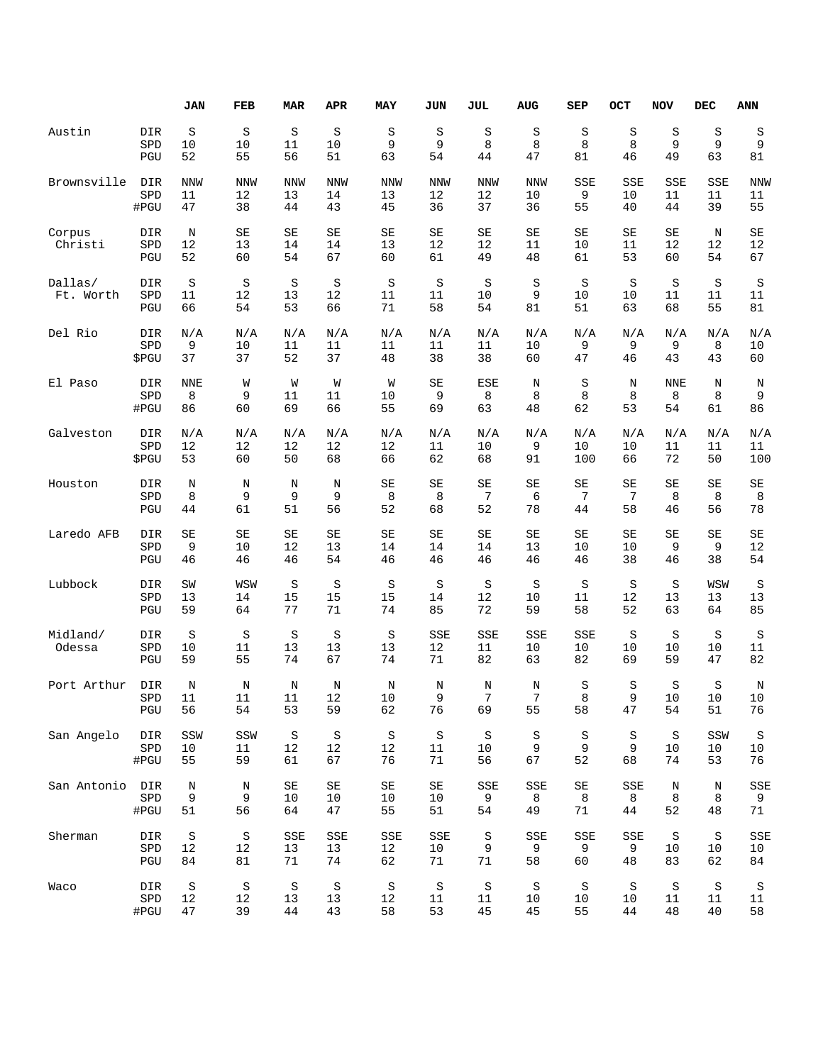|                      |                   | JAN                 | FEB                 | <b>MAR</b>          | <b>APR</b>     | MAY            | JUN                  | JUL                 | <b>AUG</b>         | SEP                 | OCT                 | <b>NOV</b>     | <b>DEC</b>      | <b>ANN</b>     |
|----------------------|-------------------|---------------------|---------------------|---------------------|----------------|----------------|----------------------|---------------------|--------------------|---------------------|---------------------|----------------|-----------------|----------------|
| Austin               | DIR               | $\rm S$             | S                   | S                   | S              | S              | S                    | S                   | S                  | S                   | S                   | S              | S               | S              |
|                      | SPD               | 10                  | 10                  | 11                  | 10             | 9              | 9                    | 8                   | 8                  | 8                   | 8                   | 9              | 9               | 9              |
|                      | PGU               | 52                  | 55                  | 56                  | 51             | 63             | 54                   | 44                  | 47                 | 81                  | 46                  | 49             | 63              | 81             |
| Brownsville          | DIR               | <b>NNW</b>          | <b>NNW</b>          | <b>NNW</b>          | <b>NNW</b>     | NNW            | NNW                  | <b>NNW</b>          | <b>NNW</b>         | SSE                 | SSE                 | SSE            | SSE             | <b>NNW</b>     |
|                      | SPD               | 11                  | 12                  | 13                  | 14             | 13             | 12                   | 12                  | 10                 | 9                   | 10                  | 11             | 11              | 11             |
|                      | #PGU              | 47                  | 38                  | 44                  | 43             | 45             | 36                   | 37                  | 36                 | 55                  | 40                  | 44             | 39              | 55             |
| Corpus<br>Christi    | DIR<br>SPD<br>PGU | $\rm N$<br>12<br>52 | SE<br>13<br>60      | SE<br>14<br>54      | SE<br>14<br>67 | SE<br>13<br>60 | $\rm SE$<br>12<br>61 | SE<br>12<br>49      | SE<br>11<br>48     | SE<br>10<br>61      | SE<br>11<br>53      | SE<br>12<br>60 | N<br>12<br>54   | SE<br>12<br>67 |
| Dallas/<br>Ft. Worth | DIR<br>SPD<br>PGU | S<br>11<br>66       | $\rm S$<br>12<br>54 | $\rm S$<br>13<br>53 | S<br>12<br>66  | S<br>11<br>71  | S<br>11<br>58        | $\rm S$<br>10<br>54 | $\rm S$<br>9<br>81 | $\rm S$<br>10<br>51 | $\rm S$<br>10<br>63 | S<br>11<br>68  | S<br>11<br>55   | S<br>11<br>81  |
| Del Rio              | DIR               | N/A                 | N/A                 | N/A                 | N/A            | N/A            | N/A                  | N/A                 | N/A                | N/A                 | N/A                 | N/A            | N/A             | N/A            |
|                      | SPD               | 9                   | 10                  | 11                  | 11             | 11             | 11                   | 11                  | 10                 | 9                   | 9                   | 9              | 8               | 10             |
|                      | \$PGU             | 37                  | 37                  | 52                  | 37             | 48             | 38                   | 38                  | 60                 | 47                  | 46                  | 43             | 43              | 60             |
| El Paso              | DIR               | <b>NNE</b>          | W                   | W                   | W              | W              | $\rm SE$             | ESE                 | Ν                  | S                   | Ν                   | <b>NNE</b>     | N               | Ν              |
|                      | SPD               | 8                   | 9                   | 11                  | 11             | 10             | 9                    | 8                   | 8                  | 8                   | 8                   | 8              | 8               | 9              |
|                      | #PGU              | 86                  | 60                  | 69                  | 66             | 55             | 69                   | 63                  | 48                 | 62                  | 53                  | 54             | 61              | 86             |
| Galveston            | DIR               | N/A                 | N/A                 | N/A                 | N/A            | N/A            | N/A                  | N/A                 | N/A                | N/A                 | N/A                 | N/A            | N/A             | N/A            |
|                      | SPD               | 12                  | 12                  | 12                  | 12             | 12             | 11                   | 10                  | 9                  | 10                  | 10                  | 11             | 11              | 11             |
|                      | \$PGU             | 53                  | 60                  | 50                  | 68             | 66             | 62                   | 68                  | 91                 | 100                 | 66                  | 72             | 50              | 100            |
| Houston              | DIR               | Ν                   | N                   | N                   | N              | SE             | SE                   | SE                  | SE                 | SE                  | SЕ                  | SE             | SE              | SE             |
|                      | SPD               | 8                   | 9                   | 9                   | 9              | 8              | 8                    | 7                   | 6                  | 7                   | 7                   | 8              | 8               | 8              |
|                      | PGU               | 44                  | 61                  | 51                  | 56             | 52             | 68                   | 52                  | 78                 | 44                  | 58                  | 46             | 56              | 78             |
| Laredo AFB           | DIR               | SE                  | SE                  | SE                  | SE             | SE             | SE                   | SE                  | SE                 | SE                  | SE                  | SE             | SE              | SE             |
|                      | SPD               | 9                   | 10                  | 12                  | 13             | 14             | 14                   | 14                  | 13                 | 10                  | 10                  | 9              | 9               | 12             |
|                      | PGU               | 46                  | 46                  | 46                  | 54             | 46             | 46                   | 46                  | 46                 | 46                  | 38                  | 46             | 38              | 54             |
| Lubbock              | DIR               | SW                  | WSW                 | S                   | S              | S              | S                    | S                   | S                  | S                   | S                   | S              | WSW             | S              |
|                      | SPD               | 13                  | 14                  | 15                  | 15             | 15             | 14                   | 12                  | 10                 | 11                  | 12                  | 13             | 13              | 13             |
|                      | PGU               | 59                  | 64                  | 77                  | 71             | 74             | 85                   | 72                  | 59                 | 58                  | 52                  | 63             | 64              | 85             |
| Midland/<br>Odessa   | DIR<br>SPD<br>PGU | S<br>10<br>59       | $\rm S$<br>11<br>55 | S<br>13<br>74       | S<br>13<br>67  | S<br>13<br>74  | SSE<br>12<br>71      | SSE<br>11<br>82     | SSE<br>10<br>63    | SSE<br>10<br>82     | S<br>10<br>69       | S<br>10<br>59  | S<br>10<br>47   | S<br>11<br>82  |
| Port Arthur          | DIR               | $\rm N$             | Ν                   | N                   | Ν              | Ν              | Ν                    | N                   | N                  | S                   | S                   | S              | S               | Ν              |
|                      | SPD               | 11                  | 11                  | 11                  | 12             | 10             | 9                    | 7                   | 7                  | 8                   | q                   | 10             | 10              | 10             |
|                      | PGU               | 56                  | 54                  | 53                  | 59             | 62             | 76                   | 69                  | 55                 | 58                  | 47                  | 54             | 51              | 76             |
| San Angelo           | DIR               | SSW                 | SSW                 | S                   | S              | S              | S                    | S                   | S                  | S                   | S                   | S              | SSW             | $\,$ S         |
|                      | SPD               | 10                  | 11                  | 12                  | 12             | 12             | 11                   | 10                  | 9                  | 9                   | 9                   | 10             | 10              | 10             |
|                      | #PGU              | 55                  | 59                  | 61                  | 67             | 76             | 71                   | 56                  | 67                 | 52                  | 68                  | 74             | 53              | 76             |
| San Antonio          | DIR               | $\rm N$             | Ν                   | SE                  | SE             | SE             | SE                   | SSE                 | SSE                | SE                  | SSE                 | Ν              | Ν               | SSE            |
|                      | SPD               | 9                   | 9                   | 10                  | 10             | 10             | 10                   | 9                   | 8                  | 8                   | 8                   | 8              | 8               | 9              |
|                      | #PGU              | 51                  | 56                  | 64                  | 47             | 55             | 51                   | 54                  | 49                 | 71                  | 44                  | 52             | 48              | 71             |
| Sherman              | DIR               | $\rm S$             | S                   | SSE                 | SSE            | SSE            | SSE                  | S                   | SSE                | SSE                 | SSE                 | S              | $\, \mathbb{S}$ | SSE            |
|                      | SPD               | 12                  | 12                  | 13                  | 13             | 12             | 10                   | 9                   | 9                  | 9                   | 9                   | 10             | 10              | 10             |
|                      | PGU               | 84                  | 81                  | 71                  | 74             | 62             | 71                   | 71                  | 58                 | 60                  | 48                  | 83             | 62              | 84             |
| Waco                 | DIR               | $\rm S$             | $\rm S$             | S                   | $\rm S$        | $\rm S$        | $\rm S$              | $\rm S$             | $\, \mathbb{S} \,$ | $\rm S$             | $\rm S$             | $\rm S$        | $\rm S$         | S              |
|                      | SPD               | 12                  | 12                  | 13                  | 13             | 12             | 11                   | 11                  | 10                 | 10                  | 10                  | 11             | 11              | 11             |
|                      | #PGU              | 47                  | 39                  | 44                  | 43             | 58             | 53                   | 45                  | 45                 | 55                  | 44                  | 48             | 40              | 58             |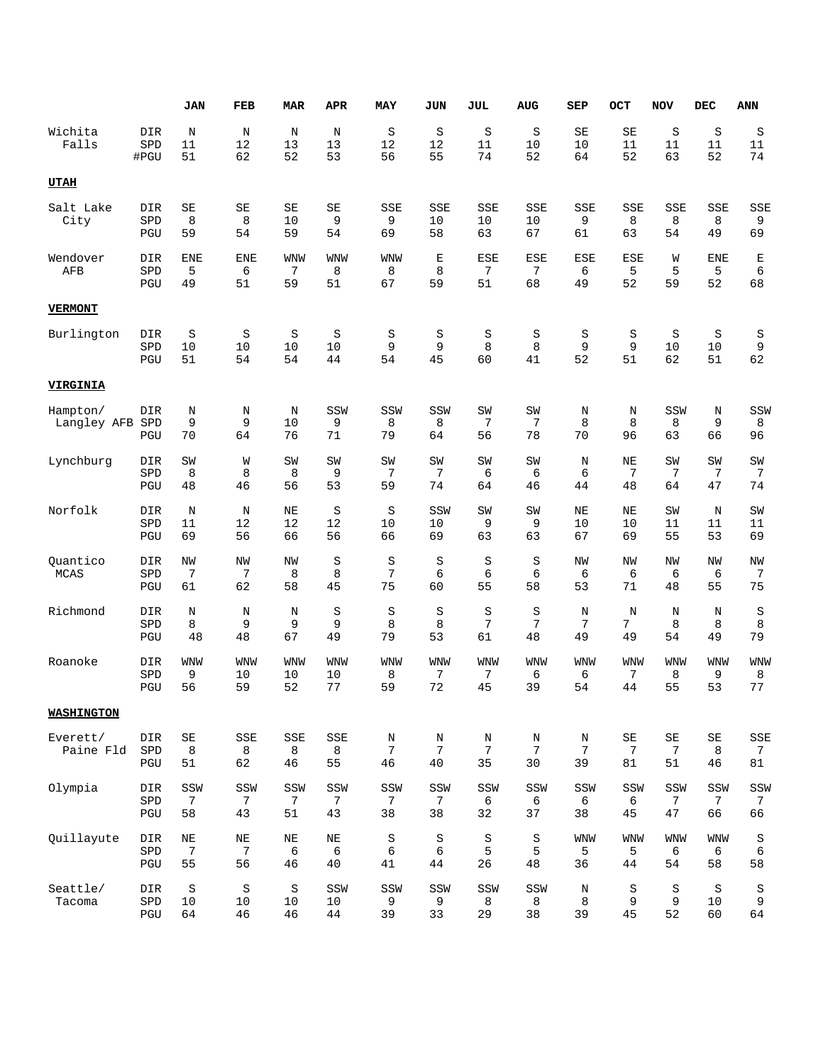|                         |                    | <b>JAN</b>                   | <b>FEB</b>              | <b>MAR</b>              | <b>APR</b>             | MAY                              | JUN                        | <b>JUL</b>                | <b>AUG</b>             | SEP                             | OCT                                          | <b>NOV</b>                     | <b>DEC</b>                     | <b>ANN</b>                  |
|-------------------------|--------------------|------------------------------|-------------------------|-------------------------|------------------------|----------------------------------|----------------------------|---------------------------|------------------------|---------------------------------|----------------------------------------------|--------------------------------|--------------------------------|-----------------------------|
| Wichita<br>Falls        | DIR<br>SPD<br>#PGU | N<br>11<br>51                | N<br>12<br>62           | $\mathbb N$<br>13<br>52 | N<br>13<br>53          | $\rm S$<br>12<br>56              | S<br>12<br>55              | S<br>11<br>74             | $\rm S$<br>10<br>52    | SE<br>10<br>64                  | SE<br>11<br>52                               | $\rm S$<br>11<br>63            | S<br>11<br>52                  | S<br>11<br>74               |
| <b>UTAH</b>             |                    |                              |                         |                         |                        |                                  |                            |                           |                        |                                 |                                              |                                |                                |                             |
| Salt Lake<br>City       | DIR<br>SPD<br>PGU  | SE<br>8<br>59                | SE<br>8<br>54           | SE<br>10<br>59          | SE<br>9<br>54          | SSE<br>9<br>69                   | SSE<br>10<br>58            | SSE<br>10<br>63           | <b>SSE</b><br>10<br>67 | SSE<br>9<br>61                  | SSE<br>8<br>63                               | SSE<br>8<br>54                 | SSE<br>8<br>49                 | <b>SSE</b><br>9<br>69       |
| Wendover<br>AFB         | DIR<br>SPD<br>PGU  | <b>ENE</b><br>5<br>49        | <b>ENE</b><br>6<br>51   | <b>WNW</b><br>7<br>59   | <b>WNW</b><br>8<br>51  | <b>WNW</b><br>8<br>67            | $\mathbf E$<br>8<br>59     | <b>ESE</b><br>7<br>51     | <b>ESE</b><br>7<br>68  | <b>ESE</b><br>б<br>49           | <b>ESE</b><br>5<br>52                        | W<br>5<br>59                   | <b>ENE</b><br>5<br>52          | Ε<br>6<br>68                |
| <b>VERMONT</b>          |                    |                              |                         |                         |                        |                                  |                            |                           |                        |                                 |                                              |                                |                                |                             |
| Burlington              | DIR<br>SPD<br>PGU  | S<br>10<br>51                | S<br>10<br>54           | S<br>10<br>54           | S<br>10<br>44          | S<br>9<br>54                     | S<br>9<br>45               | S<br>8<br>60              | S<br>8<br>41           | S<br>9<br>52                    | S<br>9<br>51                                 | $\rm S$<br>10<br>62            | S<br>10<br>51                  | S<br>9<br>62                |
| <b>VIRGINIA</b>         |                    |                              |                         |                         |                        |                                  |                            |                           |                        |                                 |                                              |                                |                                |                             |
| Hampton/<br>Langley AFB | DIR<br>SPD<br>PGU  | $\mathbf N$<br>9<br>70       | N<br>9<br>64            | N<br>10<br>76           | SSW<br>9<br>71         | SSW<br>8<br>79                   | SSW<br>8<br>64             | SW<br>7<br>56             | SW<br>7<br>78          | $\rm N$<br>8<br>70              | N<br>8<br>96                                 | SSW<br>8<br>63                 | N<br>9<br>66                   | SSW<br>8<br>96              |
| Lynchburg               | DIR<br>SPD<br>PGU  | SW<br>8<br>48                | W<br>8<br>46            | SW<br>8<br>56           | SW<br>9<br>53          | SW<br>7<br>59                    | SW<br>7<br>74              | SW<br>6<br>64             | SW<br>6<br>46          | N<br>6<br>44                    | NE<br>7<br>48                                | SW<br>7<br>64                  | SW<br>7<br>47                  | SW<br>7<br>74               |
| Norfolk                 | DIR<br>SPD<br>PGU  | N<br>11<br>69                | N<br>12<br>56           | NE<br>12<br>66          | S<br>12<br>56          | $\rm S$<br>10<br>66              | SSW<br>10<br>69            | SW<br>9<br>63             | SW<br>9<br>63          | NE<br>10<br>67                  | NE<br>10<br>69                               | SW<br>11<br>55                 | N<br>11<br>53                  | SW<br>11<br>69              |
| Quantico<br><b>MCAS</b> | DIR<br>SPD<br>PGU  | NW<br>7<br>61                | NW<br>7<br>62           | NW<br>8<br>58           | S<br>8<br>45           | $\rm S$<br>7<br>75               | S<br>6<br>60               | $\rm S$<br>6<br>55        | $\rm S$<br>6<br>58     | NW<br>6<br>53                   | <b>NW</b><br>6<br>71                         | NW<br>6<br>48                  | NW<br>6<br>55                  | NW<br>7<br>75               |
| Richmond                | DIR<br>SPD<br>PGU  | N<br>8<br>48                 | N<br>9<br>48            | N<br>9<br>67            | S<br>9<br>49           | $\rm S$<br>8<br>79               | S<br>8<br>53               | S<br>7<br>61              | $\rm S$<br>7<br>48     | $\rm N$<br>7<br>49              | N<br>7<br>49                                 | N<br>8<br>54                   | N<br>8<br>49                   | S<br>8<br>79                |
| Roanoke                 | DIR<br>SPD<br>PGU  | <b>WNW</b><br>9<br>56        | <b>WNW</b><br>10<br>59  | <b>WNW</b><br>10<br>52  | <b>WNW</b><br>10<br>77 | <b>WNW</b><br>8<br>59            | <b>WNW</b><br>7<br>72      | <b>WNW</b><br>7<br>45     | WNW<br>6<br>39         | WNW<br>6<br>54                  | <b>WNW</b><br>7<br>44                        | WNW<br>8<br>55                 | <b>WNW</b><br>9<br>53          | <b>WNW</b><br>8<br>77       |
| <b>WASHINGTON</b>       |                    |                              |                         |                         |                        |                                  |                            |                           |                        |                                 |                                              |                                |                                |                             |
| Everett/<br>Paine Fld   | DIR<br>SPD<br>PGU  | $\mbox{SE}$<br>8<br>51       | $_{\tt SSE}$<br>8<br>62 | SSE<br>8<br>46          | SSE<br>8<br>55         | $\rm N$<br>$7\phantom{.0}$<br>46 | N<br>$7\phantom{.0}$<br>40 | N<br>$7\phantom{.}$<br>35 | N<br>7<br>30           | $\rm N$<br>$7\phantom{.}$<br>39 | $\operatorname{SE}$<br>$7\phantom{.0}$<br>81 | $\operatorname{SE}$<br>7<br>51 | $\operatorname{SE}$<br>8<br>46 | SSE<br>$7\phantom{.}$<br>81 |
| Olympia                 | DIR<br>SPD<br>PGU  | SSW<br>7<br>58               | SSW<br>7<br>43          | SSW<br>7<br>51          | SSW<br>7<br>43         | SSW<br>7<br>38                   | SSW<br>7<br>38             | SSW<br>6<br>32            | SSW<br>6<br>37         | SSW<br>6<br>38                  | SSW<br>6<br>45                               | SSW<br>7<br>47                 | SSW<br>$7\phantom{.0}$<br>66   | SSW<br>7<br>66              |
| Quillayute              | DIR<br>SPD<br>PGU  | $\rm NE$<br>$\sqrt{ }$<br>55 | $\rm{NE}$<br>7<br>56    | $\rm{NE}$<br>6<br>46    | $\rm{NE}$<br>6<br>40   | $\rm S$<br>6<br>41               | $\rm S$<br>6<br>44         | $\rm S$<br>5<br>26        | $\rm S$<br>5<br>48     | <b>WNW</b><br>5<br>36           | <b>WNW</b><br>5<br>44                        | <b>WNW</b><br>6<br>54          | <b>WNW</b><br>6<br>58          | $\rm S$<br>$\epsilon$<br>58 |
| Seattle/<br>Tacoma      | DIR<br>SPD<br>PGU  | $\rm S$<br>10<br>64          | S<br>10<br>46           | $\rm S$<br>$10$<br>46   | SSW<br>10<br>44        | SSW<br>9<br>39                   | SSW<br>9<br>33             | SSW<br>8<br>29            | SSW<br>8<br>38         | $\rm N$<br>8<br>39              | S<br>9<br>45                                 | $\rm S$<br>9<br>52             | $\rm S$<br>10<br>60            | S<br>9<br>64                |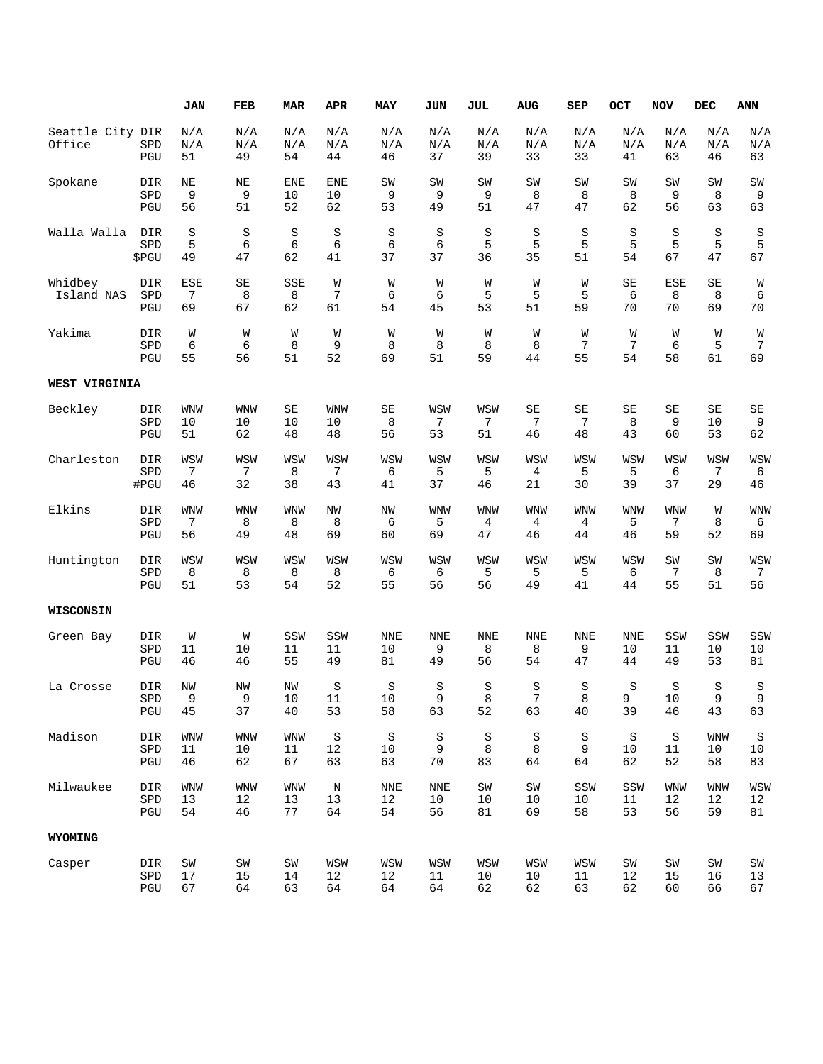|                       |                                              | <b>JAN</b>       | FEB        | <b>MAR</b> | APR              | MAY        | JUN        | JUL             | <b>AUG</b> | SEP             | OCT             | <b>NOV</b>      | DEC       | ANN                      |
|-----------------------|----------------------------------------------|------------------|------------|------------|------------------|------------|------------|-----------------|------------|-----------------|-----------------|-----------------|-----------|--------------------------|
| Seattle City DIR      |                                              | N/A              | N/A        | N/A        | N/A              | N/A        | N/A        | N/A             | N/A        | N/A             | N/A             | N/A             | N/A       | N/A                      |
| Office                | SPD<br>PGU                                   | N/A<br>51        | N/A<br>49  | N/A<br>54  | N/A<br>44        | N/A<br>46  | N/A<br>37  | N/A<br>39       | N/A<br>33  | N/A<br>33       | N/A<br>41       | N/A<br>63       | N/A<br>46 | N/A<br>63                |
| Spokane               | DIR<br>SPD                                   | ΝE<br>9          | NE<br>9    | ENE<br>10  | <b>ENE</b><br>10 | SW<br>9    | SW<br>9    | SW<br>9         | SW<br>8    | SW<br>8         | SW<br>8         | SW<br>9         | SW<br>8   | SW<br>9                  |
|                       | PGU                                          | 56               | 51         | 52         | 62               | 53         | 49         | 51              | 47         | 47              | 62              | 56              | 63        | 63                       |
| Walla Walla           | DIR<br>SPD                                   | S<br>5           | S<br>6     | S<br>6     | S<br>6           | S<br>6     | S<br>6     | S<br>5          | S<br>5     | S<br>5          | S<br>5          | S<br>5          | S<br>5    | S<br>5                   |
|                       | \$PGU                                        | 49               | 47         | 62         | 41               | 37         | 37         | 36              | 35         | 51              | 54              | 67              | 47        | 67                       |
| Whidbey<br>Island NAS | DIR<br>SPD                                   | ESE<br>7         | SE<br>8    | SSE<br>8   | W<br>7           | W<br>6     | W<br>6     | W<br>5          | W<br>5     | W<br>5          | SE<br>6         | <b>ESE</b><br>8 | SE<br>8   | W<br>6                   |
|                       | PGU                                          | 69               | 67         | 62         | 61               | 54         | 45         | 53              | 51         | 59              | 70              | 70              | 69        | 70                       |
| Yakima                | DIR<br>SPD                                   | W<br>6           | W<br>6     | W<br>8     | W<br>9           | W<br>8     | W<br>8     | W<br>8          | W<br>8     | W<br>7          | W<br>7          | W<br>6          | W<br>5    | W<br>7                   |
|                       | PGU                                          | 55               | 56         | 51         | 52               | 69         | 51         | 59              | 44         | 55              | 54              | 58              | 61        | 69                       |
| WEST VIRGINIA         |                                              |                  |            |            |                  |            |            |                 |            |                 |                 |                 |           |                          |
| Beckley               | DIR<br>SPD                                   | <b>WNW</b><br>10 | WNW<br>10  | SE<br>10   | <b>WNW</b><br>10 | SE<br>8    | WSW<br>7   | WSW<br>7        | SE<br>7    | SЕ<br>7         | SE<br>8         | SΕ<br>9         | SE<br>10  | $\operatorname{SE}$<br>9 |
|                       | PGU                                          | 51               | 62         | 48         | 48               | 56         | 53         | 51              | 46         | 48              | 43              | 60              | 53        | 62                       |
| Charleston            | DIR<br>SPD                                   | WSW<br>7         | WSW<br>7   | WSW<br>8   | WSW<br>7         | WSW<br>6   | WSW<br>5   | WSW<br>5        | WSW<br>4   | WSW<br>5        | WSW<br>5        | WSW<br>6        | WSW<br>7  | WSW<br>6                 |
|                       | #PGU                                         | 46               | 32         | 38         | 43               | 41         | 37         | 46              | 21         | 30              | 39              | 37              | 29        | 46                       |
| Elkins                | DIR<br>SPD                                   | WNW<br>7         | WNW<br>8   | WNW<br>8   | ΝW<br>8          | ΝW<br>6    | WNW<br>5   | <b>WNW</b><br>4 | WNW<br>4   | <b>WNW</b><br>4 | <b>WNW</b><br>5 | WNW<br>7        | W<br>8    | <b>WNW</b><br>6          |
|                       | PGU                                          | 56               | 49         | 48         | 69               | 60         | 69         | 47              | 46         | 44              | 46              | 59              | 52        | 69                       |
| Huntington            | DIR                                          | WSW              | WSW        | WSW        | WSW              | WSW        | WSW        | WSW             | WSW        | WSW             | WSW             | SW<br>7         | SW        | WSW                      |
|                       | SPD<br>PGU                                   | 8<br>51          | 8<br>53    | 8<br>54    | 8<br>52          | 6<br>55    | 6<br>56    | 5<br>56         | 5<br>49    | 5<br>41         | 6<br>44         | 55              | 8<br>51   | 7<br>56                  |
| <b>WISCONSIN</b>      |                                              |                  |            |            |                  |            |            |                 |            |                 |                 |                 |           |                          |
| Green Bay             | DIR                                          | W                | W          | SSW        | SSW              | <b>NNE</b> | NNE        | <b>NNE</b>      | <b>NNE</b> | <b>NNE</b>      | <b>NNE</b>      | SSW             | SSW       | SSW                      |
|                       | SPD<br>PGU                                   | 11<br>46         | 10<br>46   | 11<br>55   | 11<br>49         | 10<br>81   | 9<br>49    | 8<br>56         | 8<br>54    | 9<br>47         | 10<br>44        | 11<br>49        | 10<br>53  | 10<br>81                 |
| La Crosse             | DIR                                          | NW               | NW         | NW         | S                | S          | S          | S               | S          | S               | S               | S               | S         | S                        |
|                       | ${\tt SPD}$<br>PGU                           | 9<br>45          | 9<br>37    | 10<br>40   | $11\,$<br>53     | 10<br>58   | 9<br>63    | 8<br>52         | 7<br>63    | 8<br>40         | 9<br>39         | $10$<br>46      | 9<br>43   | 9<br>63                  |
| Madison               | DIR                                          | <b>WNW</b>       | WNW        | <b>WNW</b> | S                | $\rm S$    | S          | S               | S          | $\rm S$         | $\rm S$         | $\rm S$         | WNW       | $\rm S$                  |
|                       | ${\tt SPD}$<br>PGU                           | 11<br>46         | 10<br>62   | 11<br>67   | 12<br>63         | 10<br>63   | 9<br>$70$  | 8<br>83         | 8<br>64    | 9<br>64         | 10<br>62        | 11<br>52        | 10<br>58  | 10<br>83                 |
| Milwaukee             | DIR                                          | <b>WNW</b>       | WNW        | <b>WNW</b> | $\rm N$          | <b>NNE</b> | <b>NNE</b> | SW              | SW         | SSW             | SSW             | WNW             | WNW       | WSW                      |
|                       | ${\tt SPD}$<br>PGU                           | 13<br>54         | 12<br>46   | 13<br>77   | 13<br>64         | 12<br>54   | $10$<br>56 | 10<br>81        | 10<br>69   | 10<br>58        | 11<br>53        | 12<br>56        | 12<br>59  | 12<br>81                 |
| WYOMING               |                                              |                  |            |            |                  |            |            |                 |            |                 |                 |                 |           |                          |
| Casper                | DIR                                          | $\mbox{SW}$      | ${\tt SW}$ | SW         | WSW              | WSW        | WSW        | WSW             | WSW        | WSW             | $\mbox{SW}$     | $\texttt{SW}$   | SW        | $\mbox{SW}$              |
|                       | ${\tt SPD}$<br>$\operatorname{\mathsf{PGU}}$ | 17<br>67         | 15<br>64   | 14<br>63   | 12<br>64         | 12<br>64   | 11<br>64   | 10<br>62        | 10<br>62   | 11<br>63        | 12<br>62        | 15<br>60        | 16<br>66  | 13<br>67                 |